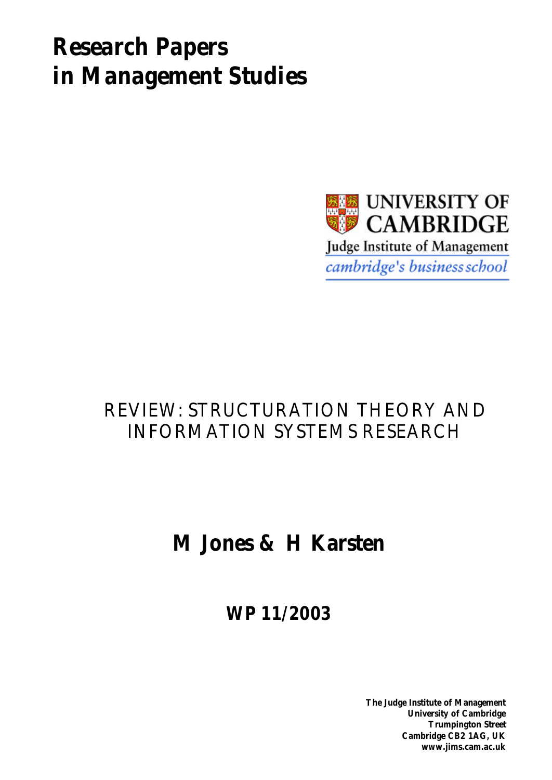# *Research Papers in Management Studies*



## REVIEW: STRUCTURATION THEORY AND INFORMATION SYSTEMS RESEARCH

## **M Jones & H Karsten**

**WP 11/2003**

**The Judge Institute of Management University of Cambridge Trumpington Street Cambridge CB2 1AG, UK www.jims.cam.ac.uk**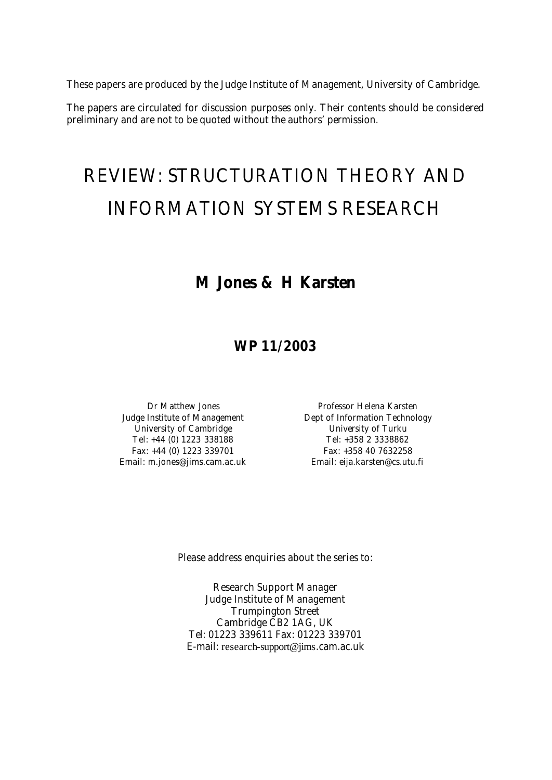These papers are produced by the Judge Institute of Management, University of Cambridge.

The papers are circulated for discussion purposes only. Their contents should be considered preliminary and are not to be quoted without the authors' permission.

# REVIEW: STRUCTURATION THEORY AND INFORMATION SYSTEMS RESEARCH

### **M Jones & H Karsten**

### **WP 11/2003**

University of Cambridge The Controller Controller University of Turku Tel: +44 (0) 1223 338188 Tel: +358 2 3338862 Fax: +44 (0) 1223 339701 Fax: +358 40 7632258 Email: m.jones@jims.cam.ac.uk Email: eija.karsten@cs.utu.fi

Dr Matthew Jones **Professor Helena Karsten** Judge Institute of Management **Dept of Information Technology** 

Please address enquiries about the series to:

Research Support Manager Judge Institute of Management Trumpington Street Cambridge CB2 1AG, UK Tel: 01223 339611 Fax: 01223 339701 E-mail: research-support@jims.cam.ac.uk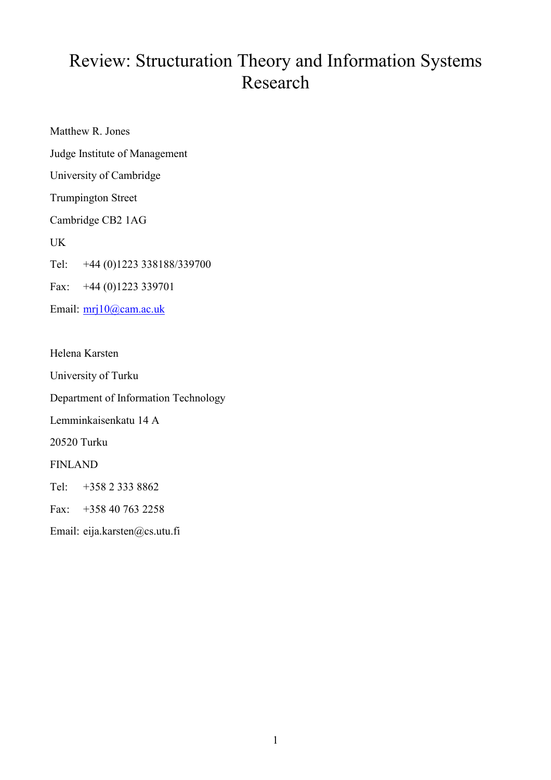## Review: Structuration Theory and Information Systems Research

Matthew R. Jones Judge Institute of Management University of Cambridge Trumpington Street Cambridge CB2 1AG UK Tel: +44 (0)1223 338188/339700 Fax: +44 (0)1223 339701 Email: mrj10@cam.ac.uk

Helena Karsten University of Turku Department of Information Technology Lemminkaisenkatu 14 A 20520 Turku FINLAND Tel: +358 2 333 8862 Fax: +358 40 763 2258 Email: eija.karsten@cs.utu.fi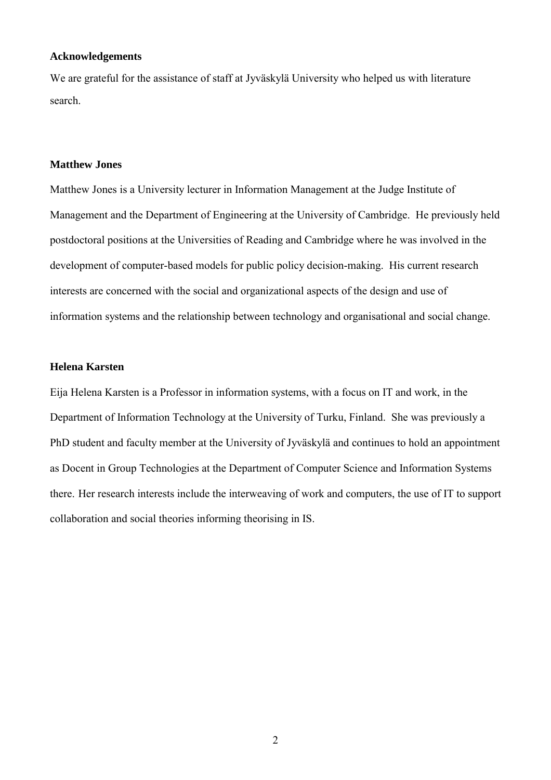#### **Acknowledgements**

We are grateful for the assistance of staff at Jyväskylä University who helped us with literature search.

#### **Matthew Jones**

Matthew Jones is a University lecturer in Information Management at the Judge Institute of Management and the Department of Engineering at the University of Cambridge. He previously held postdoctoral positions at the Universities of Reading and Cambridge where he was involved in the development of computer-based models for public policy decision-making. His current research interests are concerned with the social and organizational aspects of the design and use of information systems and the relationship between technology and organisational and social change.

#### **Helena Karsten**

Eija Helena Karsten is a Professor in information systems, with a focus on IT and work, in the Department of Information Technology at the University of Turku, Finland. She was previously a PhD student and faculty member at the University of Jyväskylä and continues to hold an appointment as Docent in Group Technologies at the Department of Computer Science and Information Systems there. Her research interests include the interweaving of work and computers, the use of IT to support collaboration and social theories informing theorising in IS.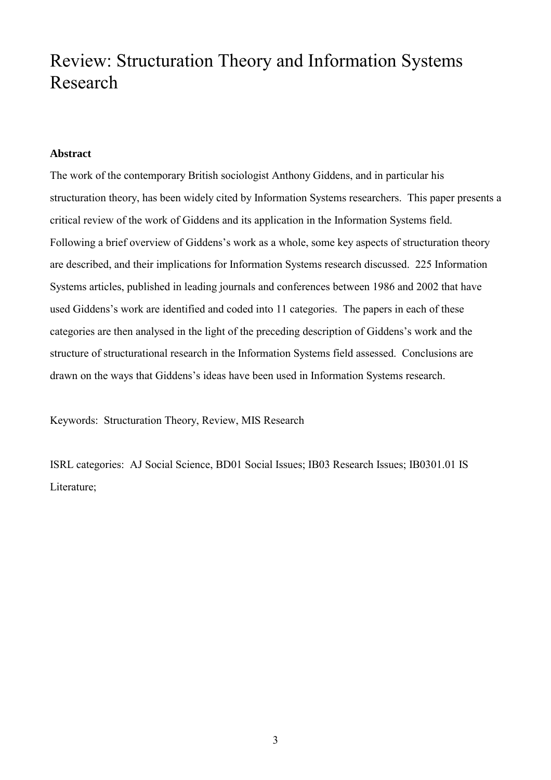### Review: Structuration Theory and Information Systems Research

#### **Abstract**

The work of the contemporary British sociologist Anthony Giddens, and in particular his structuration theory, has been widely cited by Information Systems researchers. This paper presents a critical review of the work of Giddens and its application in the Information Systems field. Following a brief overview of Giddens's work as a whole, some key aspects of structuration theory are described, and their implications for Information Systems research discussed. 225 Information Systems articles, published in leading journals and conferences between 1986 and 2002 that have used Giddens's work are identified and coded into 11 categories. The papers in each of these categories are then analysed in the light of the preceding description of Giddens's work and the structure of structurational research in the Information Systems field assessed. Conclusions are drawn on the ways that Giddens's ideas have been used in Information Systems research.

Keywords: Structuration Theory, Review, MIS Research

ISRL categories: AJ Social Science, BD01 Social Issues; IB03 Research Issues; IB0301.01 IS Literature;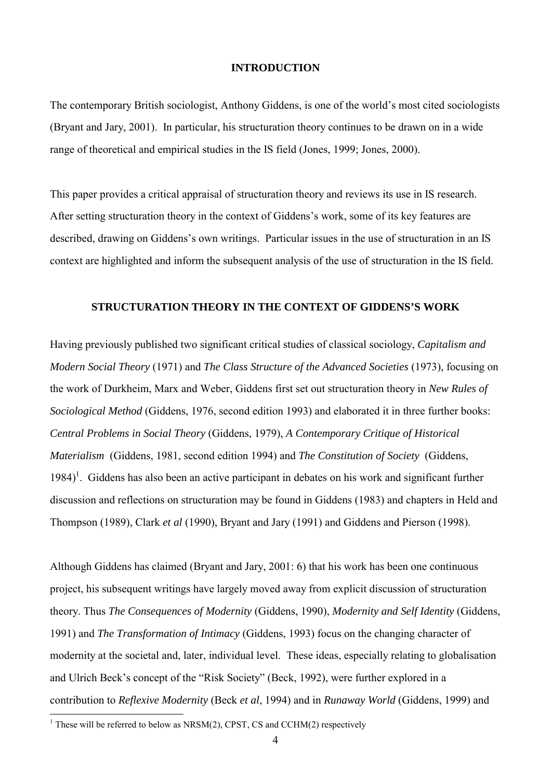#### **INTRODUCTION**

The contemporary British sociologist, Anthony Giddens, is one of the world's most cited sociologists (Bryant and Jary, 2001). In particular, his structuration theory continues to be drawn on in a wide range of theoretical and empirical studies in the IS field (Jones, 1999; Jones, 2000).

This paper provides a critical appraisal of structuration theory and reviews its use in IS research. After setting structuration theory in the context of Giddens's work, some of its key features are described, drawing on Giddens's own writings. Particular issues in the use of structuration in an IS context are highlighted and inform the subsequent analysis of the use of structuration in the IS field.

#### **STRUCTURATION THEORY IN THE CONTEXT OF GIDDENS'S WORK**

Having previously published two significant critical studies of classical sociology, *Capitalism and Modern Social Theory* (1971) and *The Class Structure of the Advanced Societies* (1973)*,* focusing on the work of Durkheim, Marx and Weber, Giddens first set out structuration theory in *New Rules of Sociological Method* (Giddens, 1976, second edition 1993) and elaborated it in three further books: *Central Problems in Social Theory* (Giddens, 1979), *A Contemporary Critique of Historical Materialism* (Giddens, 1981, second edition 1994) and *The Constitution of Society* (Giddens, 1984)<sup>1</sup>. Giddens has also been an active participant in debates on his work and significant further discussion and reflections on structuration may be found in Giddens (1983) and chapters in Held and Thompson (1989), Clark *et al* (1990), Bryant and Jary (1991) and Giddens and Pierson (1998).

Although Giddens has claimed (Bryant and Jary, 2001: 6) that his work has been one continuous project, his subsequent writings have largely moved away from explicit discussion of structuration theory. Thus *The Consequences of Modernity* (Giddens, 1990), *Modernity and Self Identity* (Giddens, 1991) and *The Transformation of Intimacy* (Giddens, 1993) focus on the changing character of modernity at the societal and, later, individual level. These ideas, especially relating to globalisation and Ulrich Beck's concept of the "Risk Society" (Beck, 1992), were further explored in a contribution to *Reflexive Modernity* (Beck *et al*, 1994) and in *Runaway World* (Giddens, 1999) and  $\overline{a}$ 

<sup>&</sup>lt;sup>1</sup> These will be referred to below as NRSM(2), CPST, CS and CCHM(2) respectively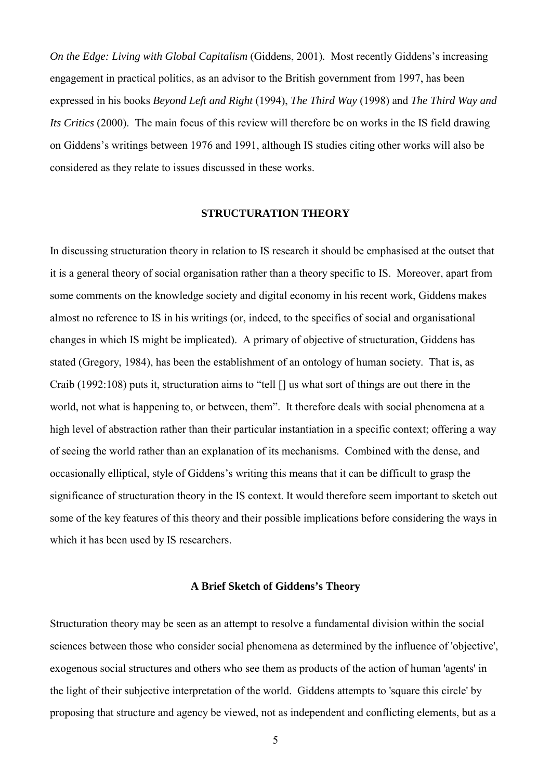*On the Edge: Living with Global Capitalism* (Giddens, 2001)*.* Most recently Giddens's increasing engagement in practical politics, as an advisor to the British government from 1997, has been expressed in his books *Beyond Left and Right* (1994), *The Third Way* (1998) and *The Third Way and Its Critics* (2000). The main focus of this review will therefore be on works in the IS field drawing on Giddens's writings between 1976 and 1991, although IS studies citing other works will also be considered as they relate to issues discussed in these works.

#### **STRUCTURATION THEORY**

In discussing structuration theory in relation to IS research it should be emphasised at the outset that it is a general theory of social organisation rather than a theory specific to IS. Moreover, apart from some comments on the knowledge society and digital economy in his recent work, Giddens makes almost no reference to IS in his writings (or, indeed, to the specifics of social and organisational changes in which IS might be implicated). A primary of objective of structuration, Giddens has stated (Gregory, 1984), has been the establishment of an ontology of human society. That is, as Craib (1992:108) puts it, structuration aims to "tell [] us what sort of things are out there in the world, not what is happening to, or between, them". It therefore deals with social phenomena at a high level of abstraction rather than their particular instantiation in a specific context; offering a way of seeing the world rather than an explanation of its mechanisms. Combined with the dense, and occasionally elliptical, style of Giddens's writing this means that it can be difficult to grasp the significance of structuration theory in the IS context. It would therefore seem important to sketch out some of the key features of this theory and their possible implications before considering the ways in which it has been used by IS researchers.

#### **A Brief Sketch of Giddens's Theory**

Structuration theory may be seen as an attempt to resolve a fundamental division within the social sciences between those who consider social phenomena as determined by the influence of 'objective', exogenous social structures and others who see them as products of the action of human 'agents' in the light of their subjective interpretation of the world. Giddens attempts to 'square this circle' by proposing that structure and agency be viewed, not as independent and conflicting elements, but as a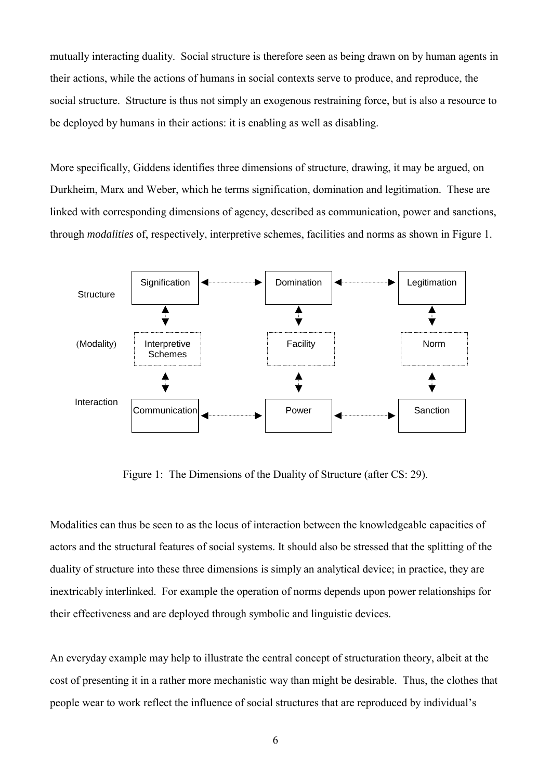mutually interacting duality. Social structure is therefore seen as being drawn on by human agents in their actions, while the actions of humans in social contexts serve to produce, and reproduce, the social structure. Structure is thus not simply an exogenous restraining force, but is also a resource to be deployed by humans in their actions: it is enabling as well as disabling.

More specifically, Giddens identifies three dimensions of structure, drawing, it may be argued, on Durkheim, Marx and Weber, which he terms signification, domination and legitimation. These are linked with corresponding dimensions of agency, described as communication, power and sanctions, through *modalities* of, respectively, interpretive schemes, facilities and norms as shown in Figure 1.



Figure 1: The Dimensions of the Duality of Structure (after CS: 29).

Modalities can thus be seen to as the locus of interaction between the knowledgeable capacities of actors and the structural features of social systems. It should also be stressed that the splitting of the duality of structure into these three dimensions is simply an analytical device; in practice, they are inextricably interlinked. For example the operation of norms depends upon power relationships for their effectiveness and are deployed through symbolic and linguistic devices.

An everyday example may help to illustrate the central concept of structuration theory, albeit at the cost of presenting it in a rather more mechanistic way than might be desirable. Thus, the clothes that people wear to work reflect the influence of social structures that are reproduced by individual's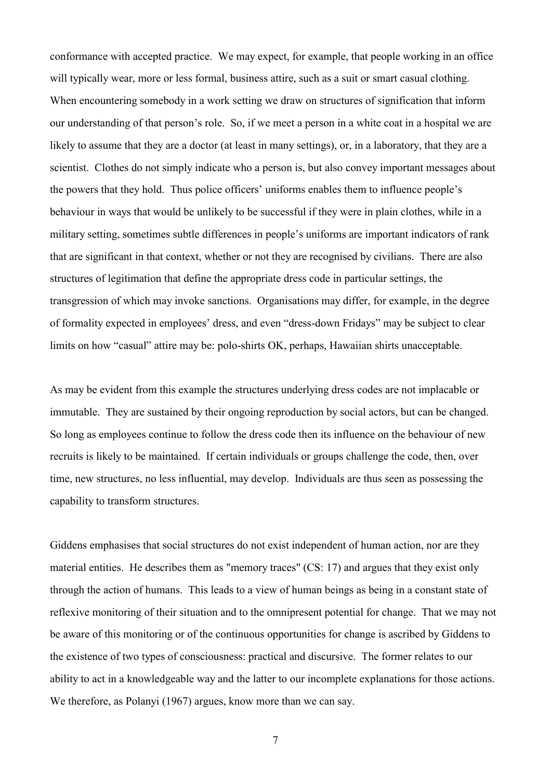conformance with accepted practice. We may expect, for example, that people working in an office will typically wear, more or less formal, business attire, such as a suit or smart casual clothing. When encountering somebody in a work setting we draw on structures of signification that inform our understanding of that person's role. So, if we meet a person in a white coat in a hospital we are likely to assume that they are a doctor (at least in many settings), or, in a laboratory, that they are a scientist. Clothes do not simply indicate who a person is, but also convey important messages about the powers that they hold. Thus police officers' uniforms enables them to influence people's behaviour in ways that would be unlikely to be successful if they were in plain clothes, while in a military setting, sometimes subtle differences in people's uniforms are important indicators of rank that are significant in that context, whether or not they are recognised by civilians. There are also structures of legitimation that define the appropriate dress code in particular settings, the transgression of which may invoke sanctions. Organisations may differ, for example, in the degree of formality expected in employees' dress, and even "dress-down Fridays" may be subject to clear limits on how "casual" attire may be: polo-shirts OK, perhaps, Hawaiian shirts unacceptable.

As may be evident from this example the structures underlying dress codes are not implacable or immutable. They are sustained by their ongoing reproduction by social actors, but can be changed. So long as employees continue to follow the dress code then its influence on the behaviour of new recruits is likely to be maintained. If certain individuals or groups challenge the code, then, over time, new structures, no less influential, may develop. Individuals are thus seen as possessing the capability to transform structures.

Giddens emphasises that social structures do not exist independent of human action, nor are they material entities. He describes them as "memory traces" (CS: 17) and argues that they exist only through the action of humans. This leads to a view of human beings as being in a constant state of reflexive monitoring of their situation and to the omnipresent potential for change. That we may not be aware of this monitoring or of the continuous opportunities for change is ascribed by Giddens to the existence of two types of consciousness: practical and discursive. The former relates to our ability to act in a knowledgeable way and the latter to our incomplete explanations for those actions. We therefore, as Polanyi (1967) argues, know more than we can say.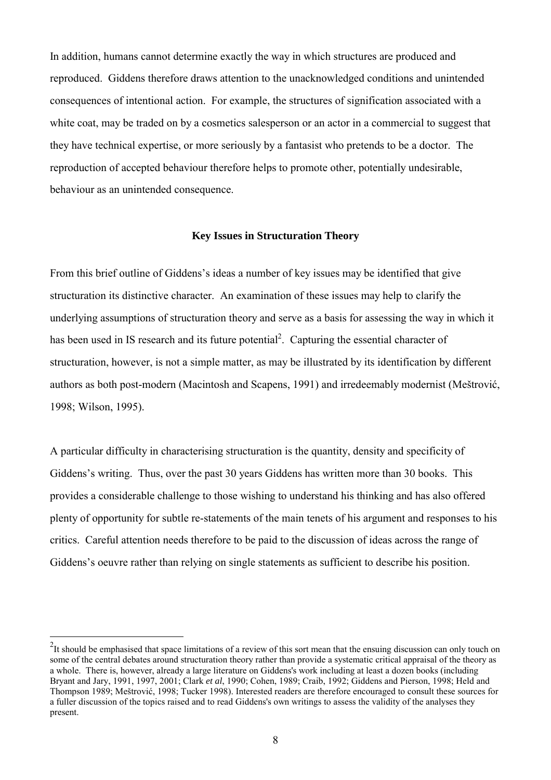In addition, humans cannot determine exactly the way in which structures are produced and reproduced. Giddens therefore draws attention to the unacknowledged conditions and unintended consequences of intentional action. For example, the structures of signification associated with a white coat, may be traded on by a cosmetics salesperson or an actor in a commercial to suggest that they have technical expertise, or more seriously by a fantasist who pretends to be a doctor. The reproduction of accepted behaviour therefore helps to promote other, potentially undesirable, behaviour as an unintended consequence.

#### **Key Issues in Structuration Theory**

From this brief outline of Giddens's ideas a number of key issues may be identified that give structuration its distinctive character. An examination of these issues may help to clarify the underlying assumptions of structuration theory and serve as a basis for assessing the way in which it has been used in IS research and its future potential<sup>2</sup>. Capturing the essential character of structuration, however, is not a simple matter, as may be illustrated by its identification by different authors as both post-modern (Macintosh and Scapens, 1991) and irredeemably modernist (Meštrović, 1998; Wilson, 1995).

A particular difficulty in characterising structuration is the quantity, density and specificity of Giddens's writing. Thus, over the past 30 years Giddens has written more than 30 books. This provides a considerable challenge to those wishing to understand his thinking and has also offered plenty of opportunity for subtle re-statements of the main tenets of his argument and responses to his critics. Careful attention needs therefore to be paid to the discussion of ideas across the range of Giddens's oeuvre rather than relying on single statements as sufficient to describe his position.

<sup>&</sup>lt;sup>2</sup><br><sup>2</sup>It should be emphasised that space limitations of a review of this sort mean that the ensuing discussion can only touch on some of the central debates around structuration theory rather than provide a systematic critical appraisal of the theory as a whole. There is, however, already a large literature on Giddens's work including at least a dozen books (including Bryant and Jary, 1991, 1997, 2001; Clark *et al*, 1990; Cohen, 1989; Craib, 1992; Giddens and Pierson, 1998; Held and Thompson 1989; Meštrović, 1998; Tucker 1998). Interested readers are therefore encouraged to consult these sources for a fuller discussion of the topics raised and to read Giddens's own writings to assess the validity of the analyses they present.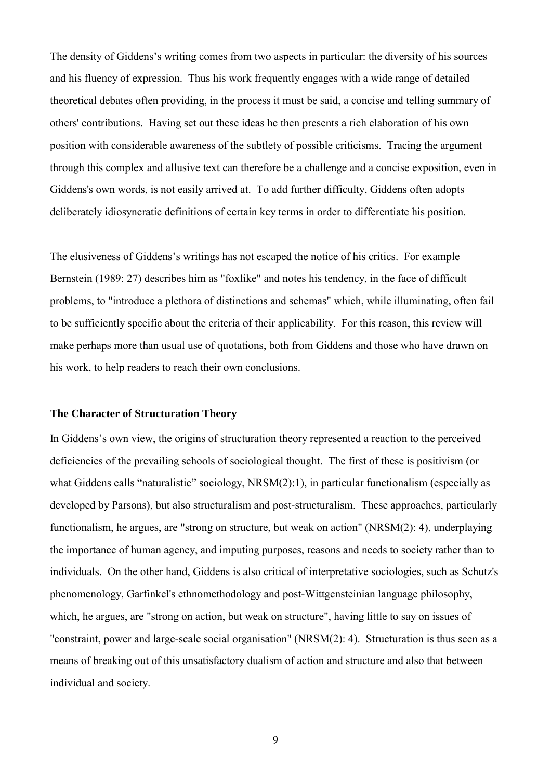The density of Giddens's writing comes from two aspects in particular: the diversity of his sources and his fluency of expression. Thus his work frequently engages with a wide range of detailed theoretical debates often providing, in the process it must be said, a concise and telling summary of others' contributions. Having set out these ideas he then presents a rich elaboration of his own position with considerable awareness of the subtlety of possible criticisms. Tracing the argument through this complex and allusive text can therefore be a challenge and a concise exposition, even in Giddens's own words, is not easily arrived at. To add further difficulty, Giddens often adopts deliberately idiosyncratic definitions of certain key terms in order to differentiate his position.

The elusiveness of Giddens's writings has not escaped the notice of his critics. For example Bernstein (1989: 27) describes him as "foxlike" and notes his tendency, in the face of difficult problems, to "introduce a plethora of distinctions and schemas" which, while illuminating, often fail to be sufficiently specific about the criteria of their applicability. For this reason, this review will make perhaps more than usual use of quotations, both from Giddens and those who have drawn on his work, to help readers to reach their own conclusions.

#### **The Character of Structuration Theory**

In Giddens's own view, the origins of structuration theory represented a reaction to the perceived deficiencies of the prevailing schools of sociological thought. The first of these is positivism (or what Giddens calls "naturalistic" sociology, NRSM(2):1), in particular functionalism (especially as developed by Parsons), but also structuralism and post-structuralism. These approaches, particularly functionalism, he argues, are "strong on structure, but weak on action" (NRSM(2): 4), underplaying the importance of human agency, and imputing purposes, reasons and needs to society rather than to individuals. On the other hand, Giddens is also critical of interpretative sociologies, such as Schutz's phenomenology, Garfinkel's ethnomethodology and post-Wittgensteinian language philosophy, which, he argues, are "strong on action, but weak on structure", having little to say on issues of "constraint, power and large-scale social organisation" (NRSM(2): 4). Structuration is thus seen as a means of breaking out of this unsatisfactory dualism of action and structure and also that between individual and society.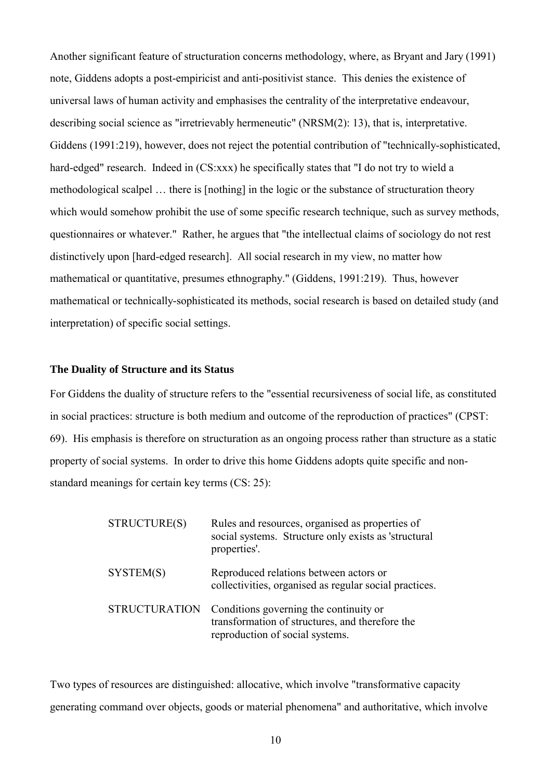Another significant feature of structuration concerns methodology, where, as Bryant and Jary (1991) note, Giddens adopts a post-empiricist and anti-positivist stance. This denies the existence of universal laws of human activity and emphasises the centrality of the interpretative endeavour, describing social science as "irretrievably hermeneutic" (NRSM(2): 13), that is, interpretative. Giddens (1991:219), however, does not reject the potential contribution of "technically-sophisticated, hard-edged" research. Indeed in (CS:xxx) he specifically states that "I do not try to wield a methodological scalpel … there is [nothing] in the logic or the substance of structuration theory which would somehow prohibit the use of some specific research technique, such as survey methods, questionnaires or whatever." Rather, he argues that "the intellectual claims of sociology do not rest distinctively upon [hard-edged research]. All social research in my view, no matter how mathematical or quantitative, presumes ethnography." (Giddens, 1991:219). Thus, however mathematical or technically-sophisticated its methods, social research is based on detailed study (and interpretation) of specific social settings.

#### **The Duality of Structure and its Status**

For Giddens the duality of structure refers to the "essential recursiveness of social life, as constituted in social practices: structure is both medium and outcome of the reproduction of practices" (CPST: 69). His emphasis is therefore on structuration as an ongoing process rather than structure as a static property of social systems. In order to drive this home Giddens adopts quite specific and nonstandard meanings for certain key terms (CS: 25):

| STRUCTURE(S)         | Rules and resources, organised as properties of<br>social systems. Structure only exists as 'structural<br>properties'.      |
|----------------------|------------------------------------------------------------------------------------------------------------------------------|
| SYSTEM(S)            | Reproduced relations between actors or<br>collectivities, organised as regular social practices.                             |
| <b>STRUCTURATION</b> | Conditions governing the continuity or<br>transformation of structures, and therefore the<br>reproduction of social systems. |

Two types of resources are distinguished: allocative, which involve "transformative capacity generating command over objects, goods or material phenomena" and authoritative, which involve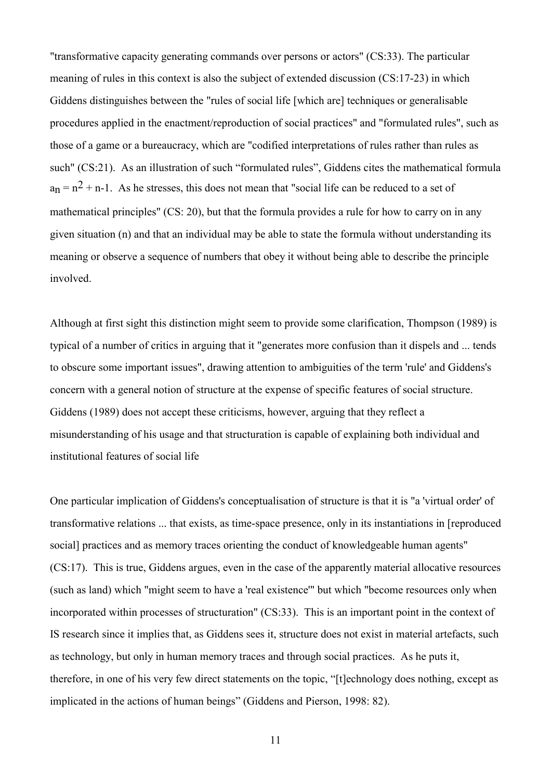"transformative capacity generating commands over persons or actors" (CS:33). The particular meaning of rules in this context is also the subject of extended discussion (CS:17-23) in which Giddens distinguishes between the "rules of social life [which are] techniques or generalisable procedures applied in the enactment/reproduction of social practices" and "formulated rules", such as those of a game or a bureaucracy, which are "codified interpretations of rules rather than rules as such" (CS:21). As an illustration of such "formulated rules", Giddens cites the mathematical formula  $a_n = n^2 + n-1$ . As he stresses, this does not mean that "social life can be reduced to a set of mathematical principles" (CS: 20), but that the formula provides a rule for how to carry on in any given situation (n) and that an individual may be able to state the formula without understanding its meaning or observe a sequence of numbers that obey it without being able to describe the principle involved.

Although at first sight this distinction might seem to provide some clarification, Thompson (1989) is typical of a number of critics in arguing that it "generates more confusion than it dispels and ... tends to obscure some important issues", drawing attention to ambiguities of the term 'rule' and Giddens's concern with a general notion of structure at the expense of specific features of social structure. Giddens (1989) does not accept these criticisms, however, arguing that they reflect a misunderstanding of his usage and that structuration is capable of explaining both individual and institutional features of social life

One particular implication of Giddens's conceptualisation of structure is that it is "a 'virtual order' of transformative relations ... that exists, as time-space presence, only in its instantiations in [reproduced sociall practices and as memory traces orienting the conduct of knowledgeable human agents" (CS:17). This is true, Giddens argues, even in the case of the apparently material allocative resources (such as land) which "might seem to have a 'real existence'" but which "become resources only when incorporated within processes of structuration" (CS:33). This is an important point in the context of IS research since it implies that, as Giddens sees it, structure does not exist in material artefacts, such as technology, but only in human memory traces and through social practices. As he puts it, therefore, in one of his very few direct statements on the topic, "[t]echnology does nothing, except as implicated in the actions of human beings" (Giddens and Pierson, 1998: 82).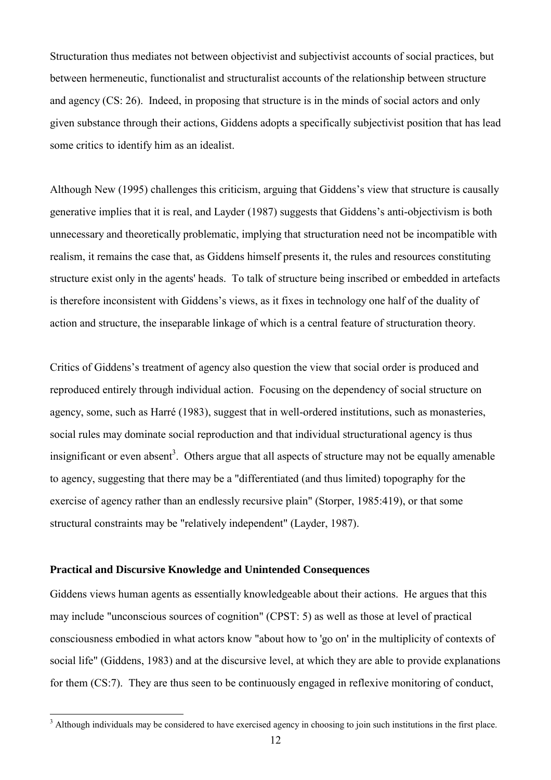Structuration thus mediates not between objectivist and subjectivist accounts of social practices, but between hermeneutic, functionalist and structuralist accounts of the relationship between structure and agency (CS: 26). Indeed, in proposing that structure is in the minds of social actors and only given substance through their actions, Giddens adopts a specifically subjectivist position that has lead some critics to identify him as an idealist.

Although New (1995) challenges this criticism, arguing that Giddens's view that structure is causally generative implies that it is real, and Layder (1987) suggests that Giddens's anti-objectivism is both unnecessary and theoretically problematic, implying that structuration need not be incompatible with realism, it remains the case that, as Giddens himself presents it, the rules and resources constituting structure exist only in the agents' heads. To talk of structure being inscribed or embedded in artefacts is therefore inconsistent with Giddens's views, as it fixes in technology one half of the duality of action and structure, the inseparable linkage of which is a central feature of structuration theory.

Critics of Giddens's treatment of agency also question the view that social order is produced and reproduced entirely through individual action. Focusing on the dependency of social structure on agency, some, such as Harré (1983), suggest that in well-ordered institutions, such as monasteries, social rules may dominate social reproduction and that individual structurational agency is thus insignificant or even absent<sup>3</sup>. Others argue that all aspects of structure may not be equally amenable to agency, suggesting that there may be a "differentiated (and thus limited) topography for the exercise of agency rather than an endlessly recursive plain" (Storper, 1985:419), or that some structural constraints may be "relatively independent" (Layder, 1987).

#### **Practical and Discursive Knowledge and Unintended Consequences**

 $\overline{a}$ 

Giddens views human agents as essentially knowledgeable about their actions. He argues that this may include "unconscious sources of cognition" (CPST: 5) as well as those at level of practical consciousness embodied in what actors know "about how to 'go on' in the multiplicity of contexts of social life" (Giddens, 1983) and at the discursive level, at which they are able to provide explanations for them (CS:7). They are thus seen to be continuously engaged in reflexive monitoring of conduct,

 $3$  Although individuals may be considered to have exercised agency in choosing to join such institutions in the first place.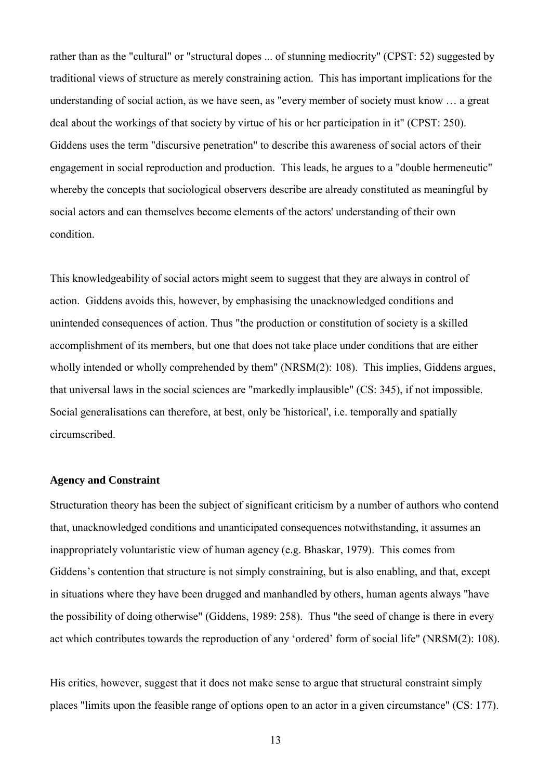rather than as the "cultural" or "structural dopes ... of stunning mediocrity" (CPST: 52) suggested by traditional views of structure as merely constraining action. This has important implications for the understanding of social action, as we have seen, as "every member of society must know … a great deal about the workings of that society by virtue of his or her participation in it" (CPST: 250). Giddens uses the term "discursive penetration" to describe this awareness of social actors of their engagement in social reproduction and production. This leads, he argues to a "double hermeneutic" whereby the concepts that sociological observers describe are already constituted as meaningful by social actors and can themselves become elements of the actors' understanding of their own condition.

This knowledgeability of social actors might seem to suggest that they are always in control of action. Giddens avoids this, however, by emphasising the unacknowledged conditions and unintended consequences of action. Thus "the production or constitution of society is a skilled accomplishment of its members, but one that does not take place under conditions that are either wholly intended or wholly comprehended by them" (NRSM(2): 108). This implies, Giddens argues, that universal laws in the social sciences are "markedly implausible" (CS: 345), if not impossible. Social generalisations can therefore, at best, only be 'historical', i.e. temporally and spatially circumscribed.

#### **Agency and Constraint**

Structuration theory has been the subject of significant criticism by a number of authors who contend that, unacknowledged conditions and unanticipated consequences notwithstanding, it assumes an inappropriately voluntaristic view of human agency (e.g. Bhaskar, 1979). This comes from Giddens's contention that structure is not simply constraining, but is also enabling, and that, except in situations where they have been drugged and manhandled by others, human agents always "have the possibility of doing otherwise" (Giddens, 1989: 258). Thus "the seed of change is there in every act which contributes towards the reproduction of any 'ordered' form of social life" (NRSM(2): 108).

His critics, however, suggest that it does not make sense to argue that structural constraint simply places "limits upon the feasible range of options open to an actor in a given circumstance" (CS: 177).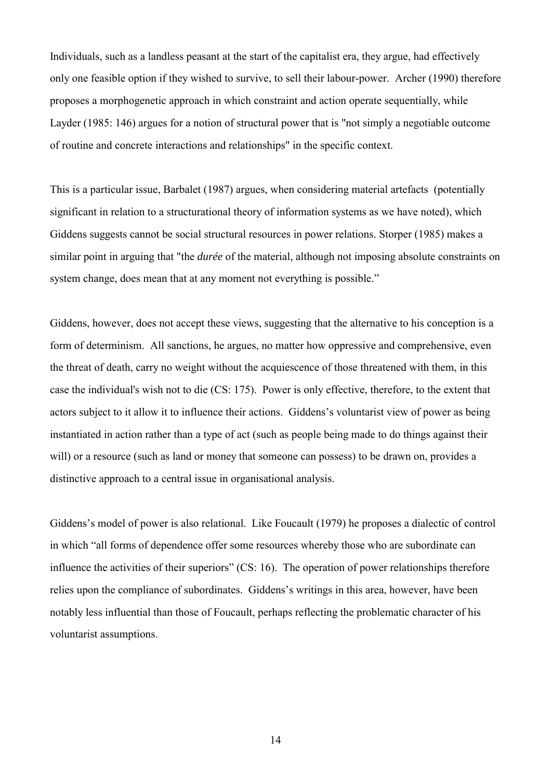Individuals, such as a landless peasant at the start of the capitalist era, they argue, had effectively only one feasible option if they wished to survive, to sell their labour-power. Archer (1990) therefore proposes a morphogenetic approach in which constraint and action operate sequentially, while Layder (1985: 146) argues for a notion of structural power that is "not simply a negotiable outcome of routine and concrete interactions and relationships" in the specific context.

This is a particular issue, Barbalet (1987) argues, when considering material artefacts (potentially significant in relation to a structurational theory of information systems as we have noted), which Giddens suggests cannot be social structural resources in power relations. Storper (1985) makes a similar point in arguing that "the *durée* of the material, although not imposing absolute constraints on system change, does mean that at any moment not everything is possible."

Giddens, however, does not accept these views, suggesting that the alternative to his conception is a form of determinism. All sanctions, he argues, no matter how oppressive and comprehensive, even the threat of death, carry no weight without the acquiescence of those threatened with them, in this case the individual's wish not to die (CS: 175). Power is only effective, therefore, to the extent that actors subject to it allow it to influence their actions. Giddens's voluntarist view of power as being instantiated in action rather than a type of act (such as people being made to do things against their will) or a resource (such as land or money that someone can possess) to be drawn on, provides a distinctive approach to a central issue in organisational analysis.

Giddens's model of power is also relational. Like Foucault (1979) he proposes a dialectic of control in which "all forms of dependence offer some resources whereby those who are subordinate can influence the activities of their superiors" (CS: 16). The operation of power relationships therefore relies upon the compliance of subordinates. Giddens's writings in this area, however, have been notably less influential than those of Foucault, perhaps reflecting the problematic character of his voluntarist assumptions.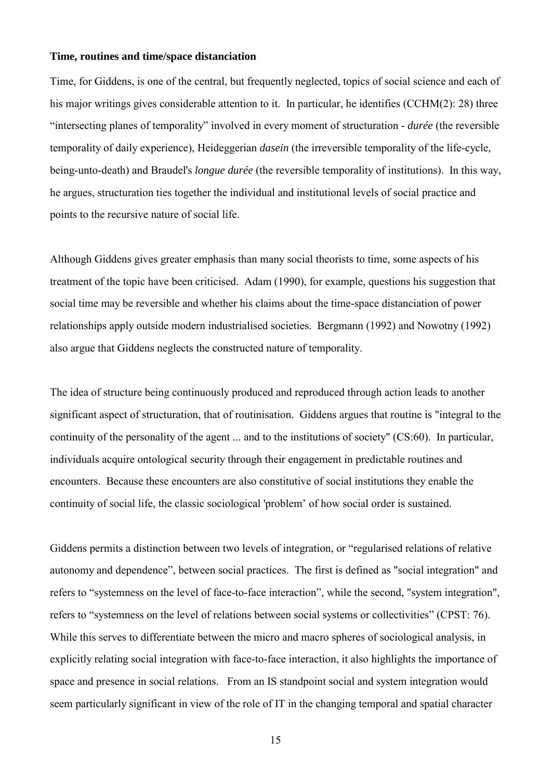#### **Time, routines and time/space distanciation**

Time, for Giddens, is one of the central, but frequently neglected, topics of social science and each of his major writings gives considerable attention to it. In particular, he identifies (CCHM(2): 28) three "intersecting planes of temporality" involved in every moment of structuration - *durée* (the reversible temporality of daily experience), Heideggerian *dasein* (the irreversible temporality of the life-cycle, being-unto-death) and Braudel's *longue durée* (the reversible temporality of institutions). In this way, he argues, structuration ties together the individual and institutional levels of social practice and points to the recursive nature of social life.

Although Giddens gives greater emphasis than many social theorists to time, some aspects of his treatment of the topic have been criticised. Adam (1990), for example, questions his suggestion that social time may be reversible and whether his claims about the time-space distanciation of power relationships apply outside modern industrialised societies. Bergmann (1992) and Nowotny (1992) also argue that Giddens neglects the constructed nature of temporality.

The idea of structure being continuously produced and reproduced through action leads to another significant aspect of structuration, that of routinisation. Giddens argues that routine is "integral to the continuity of the personality of the agent ... and to the institutions of society" (CS:60). In particular, individuals acquire ontological security through their engagement in predictable routines and encounters. Because these encounters are also constitutive of social institutions they enable the continuity of social life, the classic sociological 'problem' of how social order is sustained.

Giddens permits a distinction between two levels of integration, or "regularised relations of relative autonomy and dependence", between social practices. The first is defined as "social integration" and refers to "systemness on the level of face-to-face interaction", while the second, "system integration", refers to "systemness on the level of relations between social systems or collectivities" (CPST: 76). While this serves to differentiate between the micro and macro spheres of sociological analysis, in explicitly relating social integration with face-to-face interaction, it also highlights the importance of space and presence in social relations. From an IS standpoint social and system integration would seem particularly significant in view of the role of IT in the changing temporal and spatial character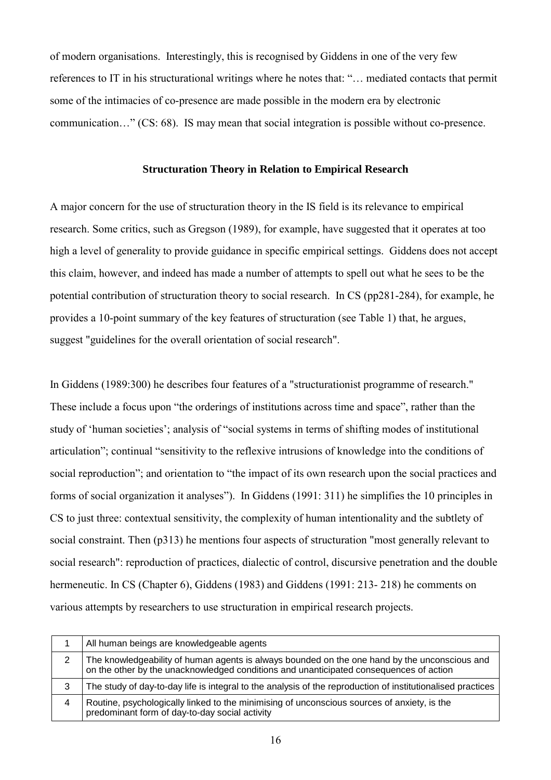of modern organisations. Interestingly, this is recognised by Giddens in one of the very few references to IT in his structurational writings where he notes that: "… mediated contacts that permit some of the intimacies of co-presence are made possible in the modern era by electronic communication…" (CS: 68). IS may mean that social integration is possible without co-presence.

#### **Structuration Theory in Relation to Empirical Research**

A major concern for the use of structuration theory in the IS field is its relevance to empirical research. Some critics, such as Gregson (1989), for example, have suggested that it operates at too high a level of generality to provide guidance in specific empirical settings. Giddens does not accept this claim, however, and indeed has made a number of attempts to spell out what he sees to be the potential contribution of structuration theory to social research. In CS (pp281-284), for example, he provides a 10-point summary of the key features of structuration (see Table 1) that, he argues, suggest "guidelines for the overall orientation of social research".

In Giddens (1989:300) he describes four features of a "structurationist programme of research." These include a focus upon "the orderings of institutions across time and space", rather than the study of 'human societies'; analysis of "social systems in terms of shifting modes of institutional articulation"; continual "sensitivity to the reflexive intrusions of knowledge into the conditions of social reproduction"; and orientation to "the impact of its own research upon the social practices and forms of social organization it analyses"). In Giddens (1991: 311) he simplifies the 10 principles in CS to just three: contextual sensitivity, the complexity of human intentionality and the subtlety of social constraint. Then (p313) he mentions four aspects of structuration "most generally relevant to social research": reproduction of practices, dialectic of control, discursive penetration and the double hermeneutic. In CS (Chapter 6), Giddens (1983) and Giddens (1991: 213- 218) he comments on various attempts by researchers to use structuration in empirical research projects.

|   | All human beings are knowledgeable agents                                                                                                                                               |
|---|-----------------------------------------------------------------------------------------------------------------------------------------------------------------------------------------|
| 2 | The knowledgeability of human agents is always bounded on the one hand by the unconscious and<br>on the other by the unacknowledged conditions and unanticipated consequences of action |
| 3 | The study of day-to-day life is integral to the analysis of the reproduction of institutionalised practices                                                                             |
| 4 | Routine, psychologically linked to the minimising of unconscious sources of anxiety, is the<br>predominant form of day-to-day social activity                                           |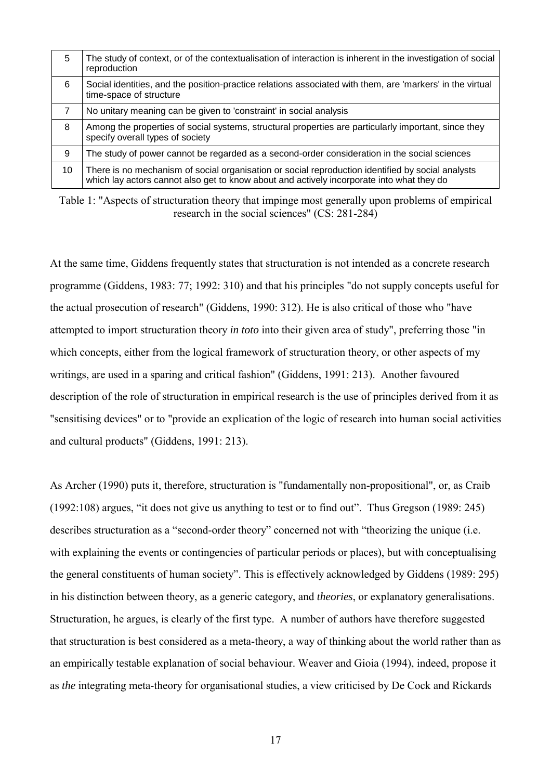| 5  | The study of context, or of the contextualisation of interaction is inherent in the investigation of social<br>reproduction                                                                    |
|----|------------------------------------------------------------------------------------------------------------------------------------------------------------------------------------------------|
| 6  | Social identities, and the position-practice relations associated with them, are 'markers' in the virtual<br>time-space of structure                                                           |
| 7  | No unitary meaning can be given to 'constraint' in social analysis                                                                                                                             |
| 8  | Among the properties of social systems, structural properties are particularly important, since they<br>specify overall types of society                                                       |
| 9  | The study of power cannot be regarded as a second-order consideration in the social sciences                                                                                                   |
| 10 | There is no mechanism of social organisation or social reproduction identified by social analysts<br>which lay actors cannot also get to know about and actively incorporate into what they do |

Table 1: "Aspects of structuration theory that impinge most generally upon problems of empirical research in the social sciences" (CS: 281-284)

At the same time, Giddens frequently states that structuration is not intended as a concrete research programme (Giddens, 1983: 77; 1992: 310) and that his principles "do not supply concepts useful for the actual prosecution of research" (Giddens, 1990: 312). He is also critical of those who "have attempted to import structuration theory *in toto* into their given area of study", preferring those "in which concepts, either from the logical framework of structuration theory, or other aspects of my writings, are used in a sparing and critical fashion" (Giddens, 1991: 213). Another favoured description of the role of structuration in empirical research is the use of principles derived from it as "sensitising devices" or to "provide an explication of the logic of research into human social activities and cultural products" (Giddens, 1991: 213).

As Archer (1990) puts it, therefore, structuration is "fundamentally non-propositional", or, as Craib (1992:108) argues, "it does not give us anything to test or to find out". Thus Gregson (1989: 245) describes structuration as a "second-order theory" concerned not with "theorizing the unique (i.e. with explaining the events or contingencies of particular periods or places), but with conceptualising the general constituents of human society". This is effectively acknowledged by Giddens (1989: 295) in his distinction between theory, as a generic category, and *theories*, or explanatory generalisations. Structuration, he argues, is clearly of the first type. A number of authors have therefore suggested that structuration is best considered as a meta-theory, a way of thinking about the world rather than as an empirically testable explanation of social behaviour. Weaver and Gioia (1994), indeed, propose it as *the* integrating meta-theory for organisational studies, a view criticised by De Cock and Rickards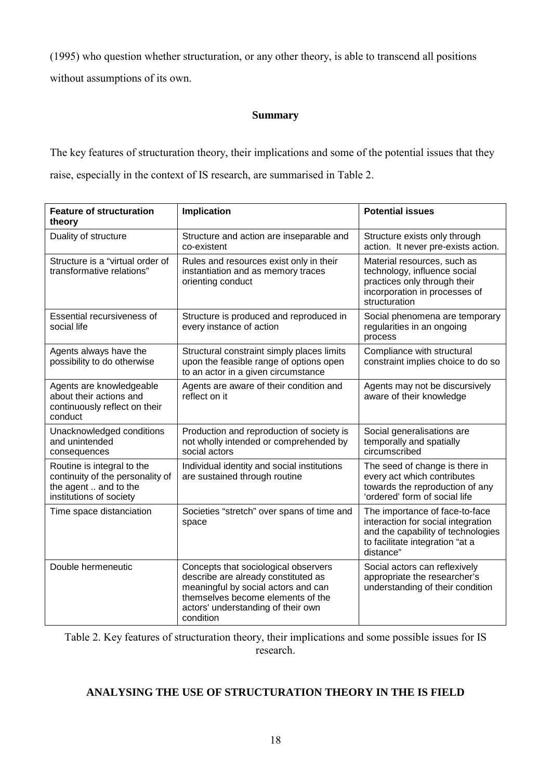(1995) who question whether structuration, or any other theory, is able to transcend all positions without assumptions of its own.

#### **Summary**

The key features of structuration theory, their implications and some of the potential issues that they raise, especially in the context of IS research, are summarised in Table 2.

| <b>Feature of structuration</b><br>theory                                                                          | Implication                                                                                                                                                                                                | <b>Potential issues</b>                                                                                                                                    |  |  |  |  |  |
|--------------------------------------------------------------------------------------------------------------------|------------------------------------------------------------------------------------------------------------------------------------------------------------------------------------------------------------|------------------------------------------------------------------------------------------------------------------------------------------------------------|--|--|--|--|--|
| Duality of structure                                                                                               | Structure and action are inseparable and<br>co-existent                                                                                                                                                    | Structure exists only through<br>action. It never pre-exists action.                                                                                       |  |  |  |  |  |
| Structure is a "virtual order of<br>transformative relations"                                                      | Rules and resources exist only in their<br>instantiation and as memory traces<br>orienting conduct                                                                                                         | Material resources, such as<br>technology, influence social<br>practices only through their<br>incorporation in processes of<br>structuration              |  |  |  |  |  |
| Essential recursiveness of<br>social life                                                                          | Structure is produced and reproduced in<br>every instance of action                                                                                                                                        | Social phenomena are temporary<br>regularities in an ongoing<br>process                                                                                    |  |  |  |  |  |
| Agents always have the<br>possibility to do otherwise                                                              | Structural constraint simply places limits<br>upon the feasible range of options open<br>to an actor in a given circumstance                                                                               | Compliance with structural<br>constraint implies choice to do so                                                                                           |  |  |  |  |  |
| Agents are knowledgeable<br>about their actions and<br>continuously reflect on their<br>conduct                    | Agents are aware of their condition and<br>reflect on it                                                                                                                                                   | Agents may not be discursively<br>aware of their knowledge                                                                                                 |  |  |  |  |  |
| Unacknowledged conditions<br>and unintended<br>consequences                                                        | Production and reproduction of society is<br>not wholly intended or comprehended by<br>social actors                                                                                                       | Social generalisations are<br>temporally and spatially<br>circumscribed                                                                                    |  |  |  |  |  |
| Routine is integral to the<br>continuity of the personality of<br>the agent  and to the<br>institutions of society | Individual identity and social institutions<br>are sustained through routine                                                                                                                               | The seed of change is there in<br>every act which contributes<br>towards the reproduction of any<br>'ordered' form of social life                          |  |  |  |  |  |
| Time space distanciation                                                                                           | Societies "stretch" over spans of time and<br>space                                                                                                                                                        | The importance of face-to-face<br>interaction for social integration<br>and the capability of technologies<br>to facilitate integration "at a<br>distance" |  |  |  |  |  |
| Double hermeneutic                                                                                                 | Concepts that sociological observers<br>describe are already constituted as<br>meaningful by social actors and can<br>themselves become elements of the<br>actors' understanding of their own<br>condition | Social actors can reflexively<br>appropriate the researcher's<br>understanding of their condition                                                          |  |  |  |  |  |

Table 2. Key features of structuration theory, their implications and some possible issues for IS research.

#### **ANALYSING THE USE OF STRUCTURATION THEORY IN THE IS FIELD**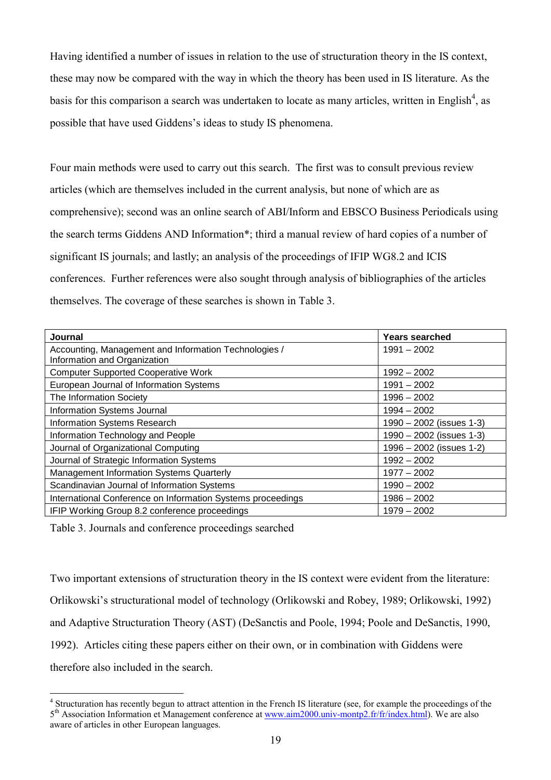Having identified a number of issues in relation to the use of structuration theory in the IS context, these may now be compared with the way in which the theory has been used in IS literature. As the basis for this comparison a search was undertaken to locate as many articles, written in English<sup>4</sup>, as possible that have used Giddens's ideas to study IS phenomena.

Four main methods were used to carry out this search. The first was to consult previous review articles (which are themselves included in the current analysis, but none of which are as comprehensive); second was an online search of ABI/Inform and EBSCO Business Periodicals using the search terms Giddens AND Information\*; third a manual review of hard copies of a number of significant IS journals; and lastly; an analysis of the proceedings of IFIP WG8.2 and ICIS conferences. Further references were also sought through analysis of bibliographies of the articles themselves. The coverage of these searches is shown in Table 3.

| Journal                                                                               | Years searched             |  |  |  |  |  |  |
|---------------------------------------------------------------------------------------|----------------------------|--|--|--|--|--|--|
| Accounting, Management and Information Technologies /<br>Information and Organization | $1991 - 2002$              |  |  |  |  |  |  |
| <b>Computer Supported Cooperative Work</b>                                            | $1992 - 2002$              |  |  |  |  |  |  |
| European Journal of Information Systems                                               | $1991 - 2002$              |  |  |  |  |  |  |
| The Information Society                                                               | $1996 - 2002$              |  |  |  |  |  |  |
| Information Systems Journal                                                           | $1994 - 2002$              |  |  |  |  |  |  |
| <b>Information Systems Research</b>                                                   | $1990 - 2002$ (issues 1-3) |  |  |  |  |  |  |
| Information Technology and People                                                     | $1990 - 2002$ (issues 1-3) |  |  |  |  |  |  |
| Journal of Organizational Computing                                                   | 1996 - 2002 (issues 1-2)   |  |  |  |  |  |  |
| Journal of Strategic Information Systems                                              | $1992 - 2002$              |  |  |  |  |  |  |
| Management Information Systems Quarterly                                              | $1977 - 2002$              |  |  |  |  |  |  |
| Scandinavian Journal of Information Systems                                           | $1990 - 2002$              |  |  |  |  |  |  |
| International Conference on Information Systems proceedings                           | $1986 - 2002$              |  |  |  |  |  |  |
| IFIP Working Group 8.2 conference proceedings                                         | $1979 - 2002$              |  |  |  |  |  |  |

Table 3. Journals and conference proceedings searched

 $\overline{a}$ 

Two important extensions of structuration theory in the IS context were evident from the literature: Orlikowski's structurational model of technology (Orlikowski and Robey, 1989; Orlikowski, 1992) and Adaptive Structuration Theory (AST) (DeSanctis and Poole, 1994; Poole and DeSanctis, 1990, 1992). Articles citing these papers either on their own, or in combination with Giddens were therefore also included in the search.

<sup>&</sup>lt;sup>4</sup> Structuration has recently begun to attract attention in the French IS literature (see, for example the proceedings of the 5<sup>th</sup> Association Information et Management conference at www.aim2000.univ-montp2.fr/fr/index.html). We are also aware of articles in other European languages.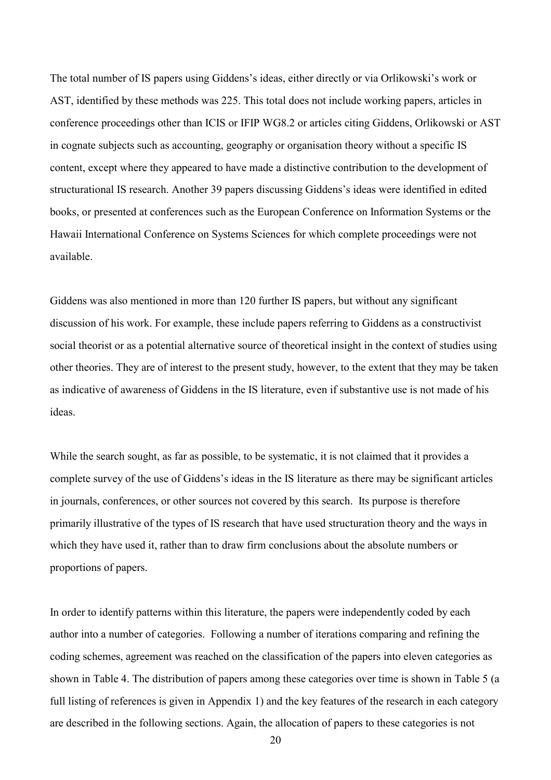The total number of IS papers using Giddens's ideas, either directly or via Orlikowski's work or AST, identified by these methods was 225. This total does not include working papers, articles in conference proceedings other than ICIS or IFIP WG8.2 or articles citing Giddens, Orlikowski or AST in cognate subjects such as accounting, geography or organisation theory without a specific IS content, except where they appeared to have made a distinctive contribution to the development of structurational IS research. Another 39 papers discussing Giddens's ideas were identified in edited books, or presented at conferences such as the European Conference on Information Systems or the Hawaii International Conference on Systems Sciences for which complete proceedings were not available.

Giddens was also mentioned in more than 120 further IS papers, but without any significant discussion of his work. For example, these include papers referring to Giddens as a constructivist social theorist or as a potential alternative source of theoretical insight in the context of studies using other theories. They are of interest to the present study, however, to the extent that they may be taken as indicative of awareness of Giddens in the IS literature, even if substantive use is not made of his ideas.

While the search sought, as far as possible, to be systematic, it is not claimed that it provides a complete survey of the use of Giddens's ideas in the IS literature as there may be significant articles in journals, conferences, or other sources not covered by this search. Its purpose is therefore primarily illustrative of the types of IS research that have used structuration theory and the ways in which they have used it, rather than to draw firm conclusions about the absolute numbers or proportions of papers.

In order to identify patterns within this literature, the papers were independently coded by each author into a number of categories. Following a number of iterations comparing and refining the coding schemes, agreement was reached on the classification of the papers into eleven categories as shown in Table 4. The distribution of papers among these categories over time is shown in Table 5 (a full listing of references is given in Appendix 1) and the key features of the research in each category are described in the following sections. Again, the allocation of papers to these categories is not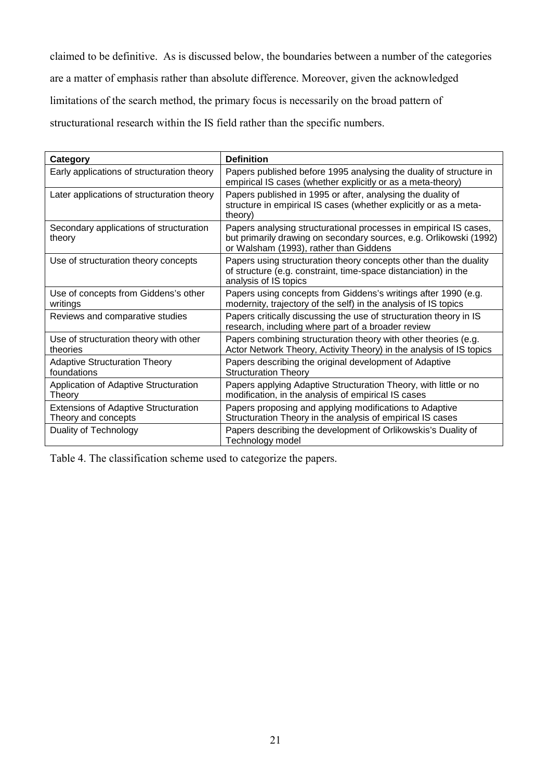claimed to be definitive. As is discussed below, the boundaries between a number of the categories are a matter of emphasis rather than absolute difference. Moreover, given the acknowledged limitations of the search method, the primary focus is necessarily on the broad pattern of structurational research within the IS field rather than the specific numbers.

| Category                                                           | <b>Definition</b>                                                                                                                                                                 |
|--------------------------------------------------------------------|-----------------------------------------------------------------------------------------------------------------------------------------------------------------------------------|
| Early applications of structuration theory                         | Papers published before 1995 analysing the duality of structure in<br>empirical IS cases (whether explicitly or as a meta-theory)                                                 |
| Later applications of structuration theory                         | Papers published in 1995 or after, analysing the duality of<br>structure in empirical IS cases (whether explicitly or as a meta-<br>theory)                                       |
| Secondary applications of structuration<br>theory                  | Papers analysing structurational processes in empirical IS cases,<br>but primarily drawing on secondary sources, e.g. Orlikowski (1992)<br>or Walsham (1993), rather than Giddens |
| Use of structuration theory concepts                               | Papers using structuration theory concepts other than the duality<br>of structure (e.g. constraint, time-space distanciation) in the<br>analysis of IS topics                     |
| Use of concepts from Giddens's other<br>writings                   | Papers using concepts from Giddens's writings after 1990 (e.g.<br>modernity, trajectory of the self) in the analysis of IS topics                                                 |
| Reviews and comparative studies                                    | Papers critically discussing the use of structuration theory in IS<br>research, including where part of a broader review                                                          |
| Use of structuration theory with other<br>theories                 | Papers combining structuration theory with other theories (e.g.<br>Actor Network Theory, Activity Theory) in the analysis of IS topics                                            |
| <b>Adaptive Structuration Theory</b><br>foundations                | Papers describing the original development of Adaptive<br><b>Structuration Theory</b>                                                                                             |
| Application of Adaptive Structuration<br>Theory                    | Papers applying Adaptive Structuration Theory, with little or no<br>modification, in the analysis of empirical IS cases                                                           |
| <b>Extensions of Adaptive Structuration</b><br>Theory and concepts | Papers proposing and applying modifications to Adaptive<br>Structuration Theory in the analysis of empirical IS cases                                                             |
| Duality of Technology                                              | Papers describing the development of Orlikowskis's Duality of<br>Technology model                                                                                                 |

Table 4. The classification scheme used to categorize the papers.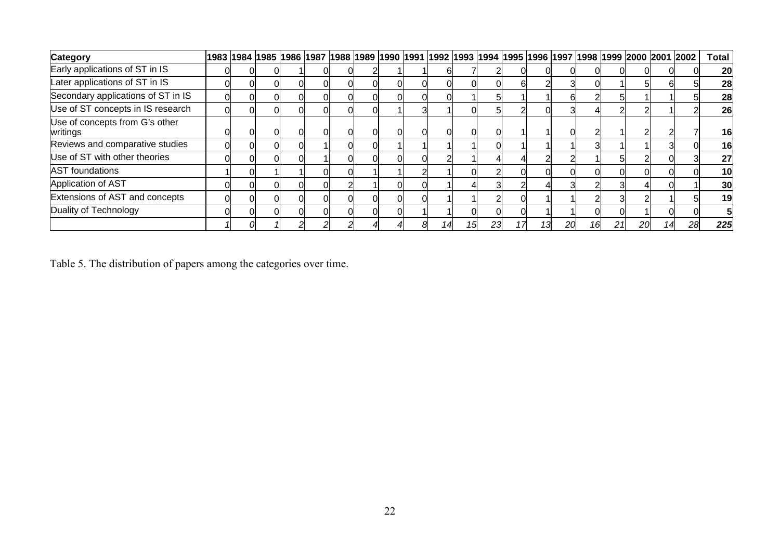| <b>Category</b>                            |   |  |  |  |  |  |    |    | 1983  1984  1985  1986  1987  1988  1989  1990  1991  1992  1993  1994  1995  1996  1997  1998  1999  2000  2001  2002 |    |    |    |    |                |    | <b>Total</b> |
|--------------------------------------------|---|--|--|--|--|--|----|----|------------------------------------------------------------------------------------------------------------------------|----|----|----|----|----------------|----|--------------|
| Early applications of ST in IS             |   |  |  |  |  |  |    |    |                                                                                                                        |    |    |    |    |                |    | 20           |
| Later applications of ST in IS             | 0 |  |  |  |  |  |    | 61 |                                                                                                                        |    |    |    |    | n              |    | 28           |
| Secondary applications of ST in IS         |   |  |  |  |  |  |    |    |                                                                                                                        | h  |    | 51 |    |                |    | 28           |
| Use of ST concepts in IS research          | U |  |  |  |  |  |    |    |                                                                                                                        |    |    | っ  |    |                |    | 26           |
| Use of concepts from G's other<br>writings |   |  |  |  |  |  |    |    |                                                                                                                        |    |    |    |    |                |    | 16           |
| Reviews and comparative studies            |   |  |  |  |  |  |    |    |                                                                                                                        |    |    |    |    |                |    | 16           |
| Use of ST with other theories              |   |  |  |  |  |  |    |    |                                                                                                                        |    |    | 51 |    |                |    | 27           |
| <b>AST</b> foundations                     |   |  |  |  |  |  |    |    |                                                                                                                        |    |    | 0  |    |                |    | 10           |
| Application of AST                         |   |  |  |  |  |  |    |    |                                                                                                                        |    |    |    |    |                |    | 30           |
| Extensions of AST and concepts             |   |  |  |  |  |  |    |    |                                                                                                                        |    |    | 3  |    |                |    | 19           |
| Duality of Technology                      |   |  |  |  |  |  |    |    |                                                                                                                        |    |    |    |    |                |    |              |
|                                            |   |  |  |  |  |  | 23 |    |                                                                                                                        | 20 | 16 | 21 | 20 | $\overline{4}$ | 28 | 225          |

Table 5. The distribution of papers among the categories over time.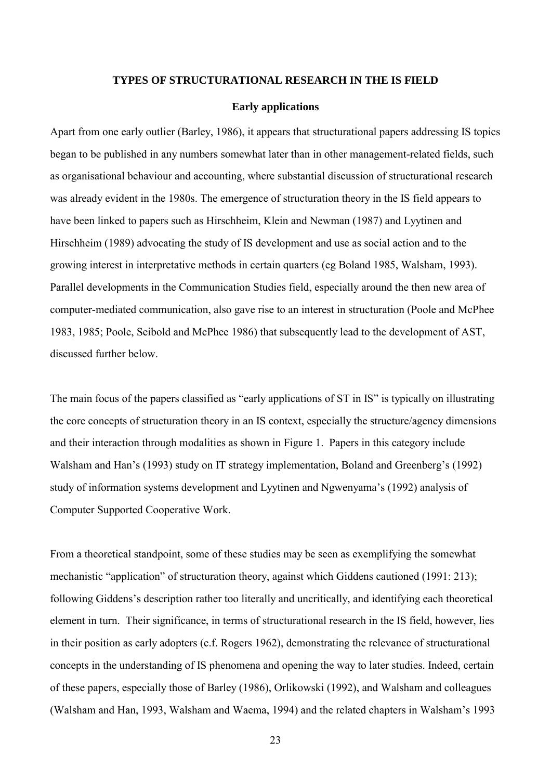#### **TYPES OF STRUCTURATIONAL RESEARCH IN THE IS FIELD**

#### **Early applications**

Apart from one early outlier (Barley, 1986), it appears that structurational papers addressing IS topics began to be published in any numbers somewhat later than in other management-related fields, such as organisational behaviour and accounting, where substantial discussion of structurational research was already evident in the 1980s. The emergence of structuration theory in the IS field appears to have been linked to papers such as Hirschheim, Klein and Newman (1987) and Lyytinen and Hirschheim (1989) advocating the study of IS development and use as social action and to the growing interest in interpretative methods in certain quarters (eg Boland 1985, Walsham, 1993). Parallel developments in the Communication Studies field, especially around the then new area of computer-mediated communication, also gave rise to an interest in structuration (Poole and McPhee 1983, 1985; Poole, Seibold and McPhee 1986) that subsequently lead to the development of AST, discussed further below.

The main focus of the papers classified as "early applications of ST in IS" is typically on illustrating the core concepts of structuration theory in an IS context, especially the structure/agency dimensions and their interaction through modalities as shown in Figure 1. Papers in this category include Walsham and Han's (1993) study on IT strategy implementation, Boland and Greenberg's (1992) study of information systems development and Lyytinen and Ngwenyama's (1992) analysis of Computer Supported Cooperative Work.

From a theoretical standpoint, some of these studies may be seen as exemplifying the somewhat mechanistic "application" of structuration theory, against which Giddens cautioned (1991: 213); following Giddens's description rather too literally and uncritically, and identifying each theoretical element in turn. Their significance, in terms of structurational research in the IS field, however, lies in their position as early adopters (c.f. Rogers 1962), demonstrating the relevance of structurational concepts in the understanding of IS phenomena and opening the way to later studies. Indeed, certain of these papers, especially those of Barley (1986), Orlikowski (1992), and Walsham and colleagues (Walsham and Han, 1993, Walsham and Waema, 1994) and the related chapters in Walsham's 1993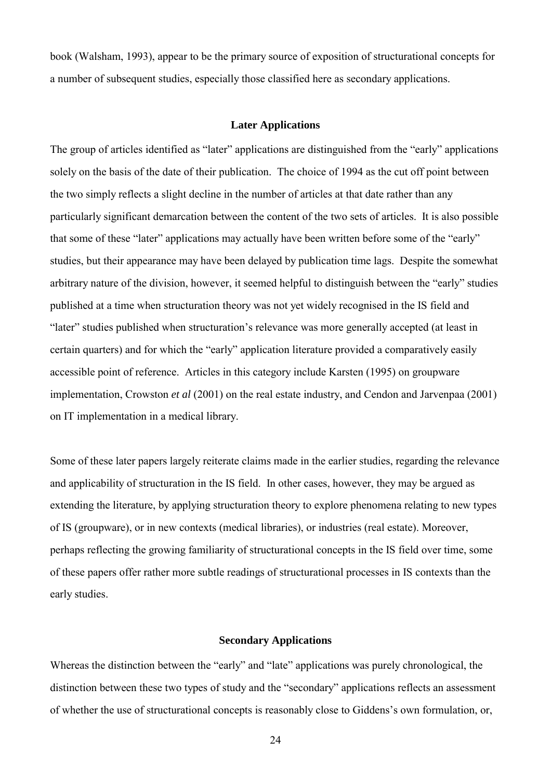book (Walsham, 1993), appear to be the primary source of exposition of structurational concepts for a number of subsequent studies, especially those classified here as secondary applications.

#### **Later Applications**

The group of articles identified as "later" applications are distinguished from the "early" applications solely on the basis of the date of their publication. The choice of 1994 as the cut off point between the two simply reflects a slight decline in the number of articles at that date rather than any particularly significant demarcation between the content of the two sets of articles. It is also possible that some of these "later" applications may actually have been written before some of the "early" studies, but their appearance may have been delayed by publication time lags. Despite the somewhat arbitrary nature of the division, however, it seemed helpful to distinguish between the "early" studies published at a time when structuration theory was not yet widely recognised in the IS field and "later" studies published when structuration's relevance was more generally accepted (at least in certain quarters) and for which the "early" application literature provided a comparatively easily accessible point of reference. Articles in this category include Karsten (1995) on groupware implementation, Crowston *et al* (2001) on the real estate industry, and Cendon and Jarvenpaa (2001) on IT implementation in a medical library.

Some of these later papers largely reiterate claims made in the earlier studies, regarding the relevance and applicability of structuration in the IS field. In other cases, however, they may be argued as extending the literature, by applying structuration theory to explore phenomena relating to new types of IS (groupware), or in new contexts (medical libraries), or industries (real estate). Moreover, perhaps reflecting the growing familiarity of structurational concepts in the IS field over time, some of these papers offer rather more subtle readings of structurational processes in IS contexts than the early studies.

#### **Secondary Applications**

Whereas the distinction between the "early" and "late" applications was purely chronological, the distinction between these two types of study and the "secondary" applications reflects an assessment of whether the use of structurational concepts is reasonably close to Giddens's own formulation, or,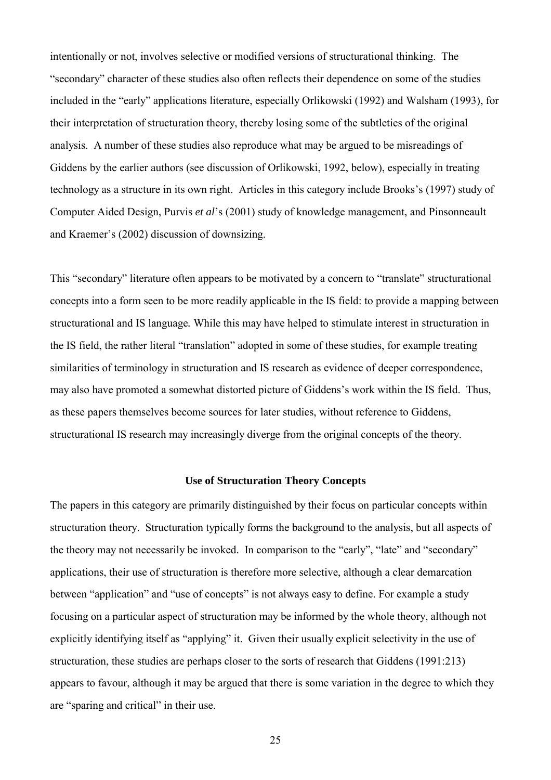intentionally or not, involves selective or modified versions of structurational thinking. The "secondary" character of these studies also often reflects their dependence on some of the studies included in the "early" applications literature, especially Orlikowski (1992) and Walsham (1993), for their interpretation of structuration theory, thereby losing some of the subtleties of the original analysis. A number of these studies also reproduce what may be argued to be misreadings of Giddens by the earlier authors (see discussion of Orlikowski, 1992, below), especially in treating technology as a structure in its own right. Articles in this category include Brooks's (1997) study of Computer Aided Design, Purvis *et al*'s (2001) study of knowledge management, and Pinsonneault and Kraemer's (2002) discussion of downsizing.

This "secondary" literature often appears to be motivated by a concern to "translate" structurational concepts into a form seen to be more readily applicable in the IS field: to provide a mapping between structurational and IS language*.* While this may have helped to stimulate interest in structuration in the IS field, the rather literal "translation" adopted in some of these studies, for example treating similarities of terminology in structuration and IS research as evidence of deeper correspondence, may also have promoted a somewhat distorted picture of Giddens's work within the IS field. Thus, as these papers themselves become sources for later studies, without reference to Giddens, structurational IS research may increasingly diverge from the original concepts of the theory.

#### **Use of Structuration Theory Concepts**

The papers in this category are primarily distinguished by their focus on particular concepts within structuration theory. Structuration typically forms the background to the analysis, but all aspects of the theory may not necessarily be invoked. In comparison to the "early", "late" and "secondary" applications, their use of structuration is therefore more selective, although a clear demarcation between "application" and "use of concepts" is not always easy to define. For example a study focusing on a particular aspect of structuration may be informed by the whole theory, although not explicitly identifying itself as "applying" it. Given their usually explicit selectivity in the use of structuration, these studies are perhaps closer to the sorts of research that Giddens (1991:213) appears to favour, although it may be argued that there is some variation in the degree to which they are "sparing and critical" in their use.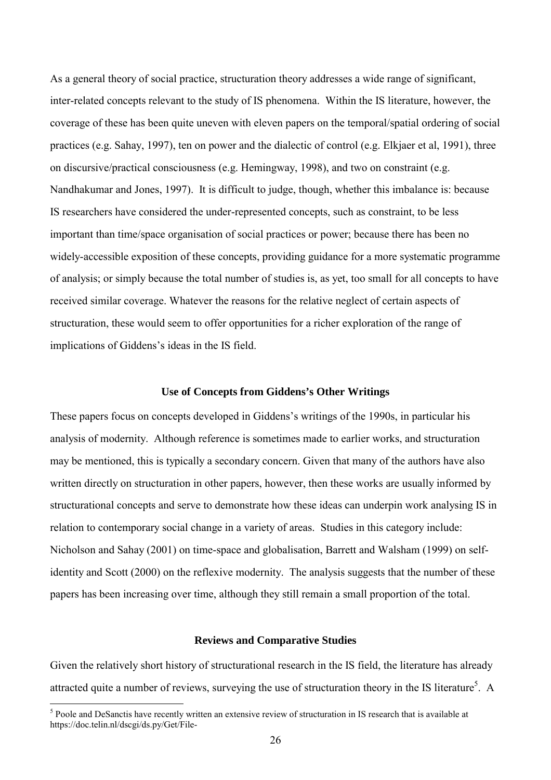As a general theory of social practice, structuration theory addresses a wide range of significant, inter-related concepts relevant to the study of IS phenomena. Within the IS literature, however, the coverage of these has been quite uneven with eleven papers on the temporal/spatial ordering of social practices (e.g. Sahay, 1997), ten on power and the dialectic of control (e.g. Elkjaer et al, 1991), three on discursive/practical consciousness (e.g. Hemingway, 1998), and two on constraint (e.g. Nandhakumar and Jones, 1997). It is difficult to judge, though, whether this imbalance is: because IS researchers have considered the under-represented concepts, such as constraint, to be less important than time/space organisation of social practices or power; because there has been no widely-accessible exposition of these concepts, providing guidance for a more systematic programme of analysis; or simply because the total number of studies is, as yet, too small for all concepts to have received similar coverage. Whatever the reasons for the relative neglect of certain aspects of structuration, these would seem to offer opportunities for a richer exploration of the range of implications of Giddens's ideas in the IS field.

#### **Use of Concepts from Giddens's Other Writings**

These papers focus on concepts developed in Giddens's writings of the 1990s, in particular his analysis of modernity. Although reference is sometimes made to earlier works, and structuration may be mentioned, this is typically a secondary concern. Given that many of the authors have also written directly on structuration in other papers, however, then these works are usually informed by structurational concepts and serve to demonstrate how these ideas can underpin work analysing IS in relation to contemporary social change in a variety of areas. Studies in this category include: Nicholson and Sahay (2001) on time-space and globalisation, Barrett and Walsham (1999) on selfidentity and Scott (2000) on the reflexive modernity. The analysis suggests that the number of these papers has been increasing over time, although they still remain a small proportion of the total.

#### **Reviews and Comparative Studies**

Given the relatively short history of structurational research in the IS field, the literature has already attracted quite a number of reviews, surveying the use of structuration theory in the IS literature<sup>5</sup>. A

 $\overline{a}$ 

 $<sup>5</sup>$  Poole and DeSanctis have recently written an extensive review of structuration in IS research that is available at</sup> https://doc.telin.nl/dscgi/ds.py/Get/File-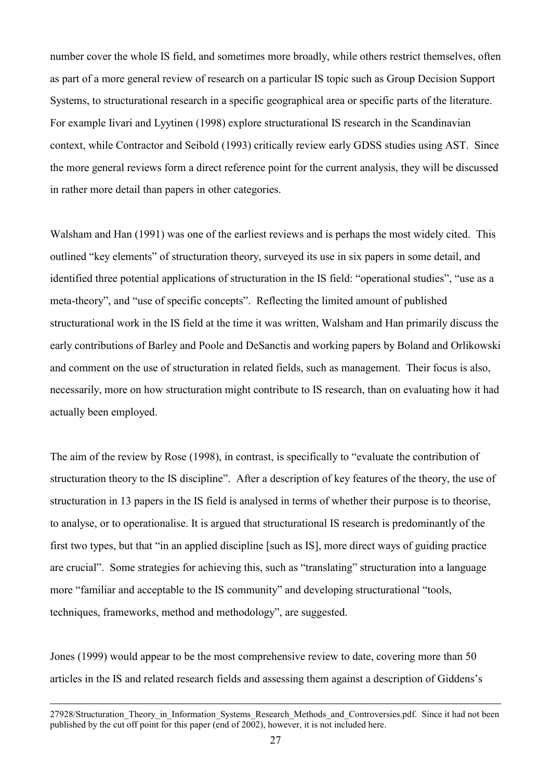number cover the whole IS field, and sometimes more broadly, while others restrict themselves, often as part of a more general review of research on a particular IS topic such as Group Decision Support Systems, to structurational research in a specific geographical area or specific parts of the literature. For example Iivari and Lyytinen (1998) explore structurational IS research in the Scandinavian context, while Contractor and Seibold (1993) critically review early GDSS studies using AST. Since the more general reviews form a direct reference point for the current analysis, they will be discussed in rather more detail than papers in other categories.

Walsham and Han (1991) was one of the earliest reviews and is perhaps the most widely cited. This outlined "key elements" of structuration theory, surveyed its use in six papers in some detail, and identified three potential applications of structuration in the IS field: "operational studies", "use as a meta-theory", and "use of specific concepts". Reflecting the limited amount of published structurational work in the IS field at the time it was written, Walsham and Han primarily discuss the early contributions of Barley and Poole and DeSanctis and working papers by Boland and Orlikowski and comment on the use of structuration in related fields, such as management. Their focus is also, necessarily, more on how structuration might contribute to IS research, than on evaluating how it had actually been employed.

The aim of the review by Rose (1998), in contrast, is specifically to "evaluate the contribution of structuration theory to the IS discipline". After a description of key features of the theory, the use of structuration in 13 papers in the IS field is analysed in terms of whether their purpose is to theorise, to analyse, or to operationalise. It is argued that structurational IS research is predominantly of the first two types, but that "in an applied discipline [such as IS], more direct ways of guiding practice are crucial". Some strategies for achieving this, such as "translating" structuration into a language more "familiar and acceptable to the IS community" and developing structurational "tools, techniques, frameworks, method and methodology", are suggested.

Jones (1999) would appear to be the most comprehensive review to date, covering more than 50 articles in the IS and related research fields and assessing them against a description of Giddens's

27928/Structuration\_Theory\_in\_Information\_Systems\_Research\_Methods\_and\_Controversies.pdf. Since it had not been published by the cut off point for this paper (end of 2002), however, it is not included here.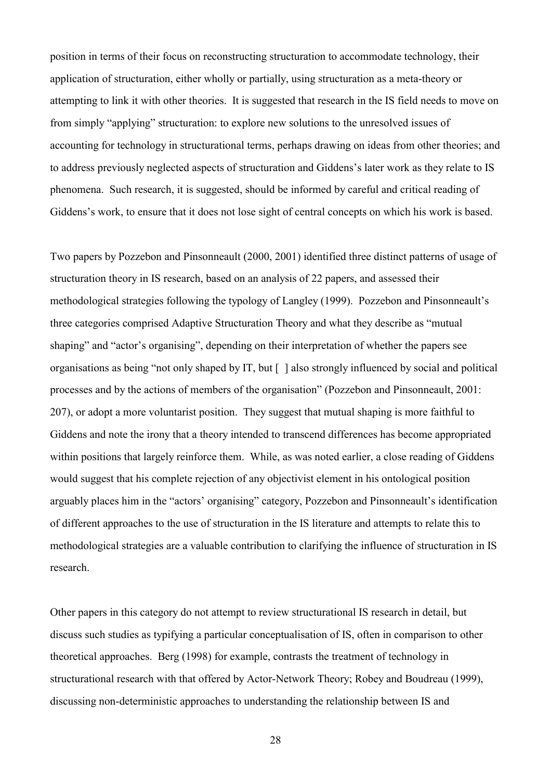position in terms of their focus on reconstructing structuration to accommodate technology, their application of structuration, either wholly or partially, using structuration as a meta-theory or attempting to link it with other theories. It is suggested that research in the IS field needs to move on from simply "applying" structuration: to explore new solutions to the unresolved issues of accounting for technology in structurational terms, perhaps drawing on ideas from other theories; and to address previously neglected aspects of structuration and Giddens's later work as they relate to IS phenomena. Such research, it is suggested, should be informed by careful and critical reading of Giddens's work, to ensure that it does not lose sight of central concepts on which his work is based.

Two papers by Pozzebon and Pinsonneault (2000, 2001) identified three distinct patterns of usage of structuration theory in IS research, based on an analysis of 22 papers, and assessed their methodological strategies following the typology of Langley (1999). Pozzebon and Pinsonneault's three categories comprised Adaptive Structuration Theory and what they describe as "mutual shaping" and "actor's organising", depending on their interpretation of whether the papers see organisations as being "not only shaped by IT, but [ ] also strongly influenced by social and political processes and by the actions of members of the organisation" (Pozzebon and Pinsonneault, 2001: 207), or adopt a more voluntarist position. They suggest that mutual shaping is more faithful to Giddens and note the irony that a theory intended to transcend differences has become appropriated within positions that largely reinforce them. While, as was noted earlier, a close reading of Giddens would suggest that his complete rejection of any objectivist element in his ontological position arguably places him in the "actors' organising" category, Pozzebon and Pinsonneault's identification of different approaches to the use of structuration in the IS literature and attempts to relate this to methodological strategies are a valuable contribution to clarifying the influence of structuration in IS research.

Other papers in this category do not attempt to review structurational IS research in detail, but discuss such studies as typifying a particular conceptualisation of IS, often in comparison to other theoretical approaches. Berg (1998) for example, contrasts the treatment of technology in structurational research with that offered by Actor-Network Theory; Robey and Boudreau (1999), discussing non-deterministic approaches to understanding the relationship between IS and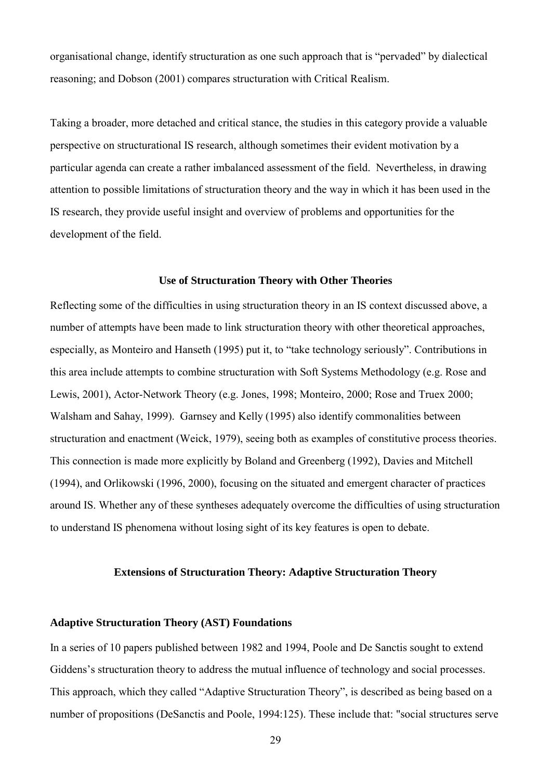organisational change, identify structuration as one such approach that is "pervaded" by dialectical reasoning; and Dobson (2001) compares structuration with Critical Realism.

Taking a broader, more detached and critical stance, the studies in this category provide a valuable perspective on structurational IS research, although sometimes their evident motivation by a particular agenda can create a rather imbalanced assessment of the field. Nevertheless, in drawing attention to possible limitations of structuration theory and the way in which it has been used in the IS research, they provide useful insight and overview of problems and opportunities for the development of the field.

#### **Use of Structuration Theory with Other Theories**

Reflecting some of the difficulties in using structuration theory in an IS context discussed above, a number of attempts have been made to link structuration theory with other theoretical approaches, especially, as Monteiro and Hanseth (1995) put it, to "take technology seriously". Contributions in this area include attempts to combine structuration with Soft Systems Methodology (e.g. Rose and Lewis, 2001), Actor-Network Theory (e.g. Jones, 1998; Monteiro, 2000; Rose and Truex 2000; Walsham and Sahay, 1999). Garnsey and Kelly (1995) also identify commonalities between structuration and enactment (Weick, 1979), seeing both as examples of constitutive process theories. This connection is made more explicitly by Boland and Greenberg (1992), Davies and Mitchell (1994), and Orlikowski (1996, 2000), focusing on the situated and emergent character of practices around IS. Whether any of these syntheses adequately overcome the difficulties of using structuration to understand IS phenomena without losing sight of its key features is open to debate.

#### **Extensions of Structuration Theory: Adaptive Structuration Theory**

#### **Adaptive Structuration Theory (AST) Foundations**

In a series of 10 papers published between 1982 and 1994, Poole and De Sanctis sought to extend Giddens's structuration theory to address the mutual influence of technology and social processes. This approach, which they called "Adaptive Structuration Theory", is described as being based on a number of propositions (DeSanctis and Poole, 1994:125). These include that: "social structures serve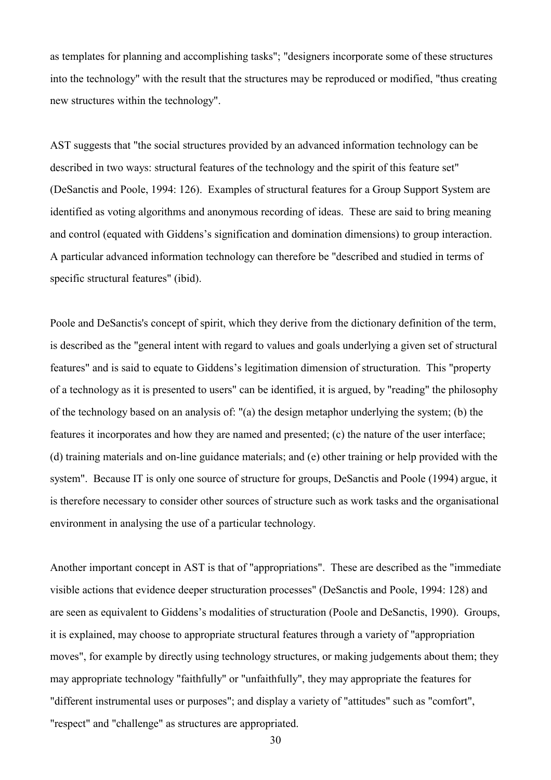as templates for planning and accomplishing tasks"; "designers incorporate some of these structures into the technology" with the result that the structures may be reproduced or modified, "thus creating new structures within the technology".

AST suggests that "the social structures provided by an advanced information technology can be described in two ways: structural features of the technology and the spirit of this feature set" (DeSanctis and Poole, 1994: 126). Examples of structural features for a Group Support System are identified as voting algorithms and anonymous recording of ideas. These are said to bring meaning and control (equated with Giddens's signification and domination dimensions) to group interaction. A particular advanced information technology can therefore be "described and studied in terms of specific structural features" (ibid).

Poole and DeSanctis's concept of spirit, which they derive from the dictionary definition of the term, is described as the "general intent with regard to values and goals underlying a given set of structural features" and is said to equate to Giddens's legitimation dimension of structuration. This "property of a technology as it is presented to users" can be identified, it is argued, by "reading" the philosophy of the technology based on an analysis of: "(a) the design metaphor underlying the system; (b) the features it incorporates and how they are named and presented; (c) the nature of the user interface; (d) training materials and on-line guidance materials; and (e) other training or help provided with the system". Because IT is only one source of structure for groups, DeSanctis and Poole (1994) argue, it is therefore necessary to consider other sources of structure such as work tasks and the organisational environment in analysing the use of a particular technology.

Another important concept in AST is that of "appropriations". These are described as the "immediate visible actions that evidence deeper structuration processes" (DeSanctis and Poole, 1994: 128) and are seen as equivalent to Giddens's modalities of structuration (Poole and DeSanctis, 1990). Groups, it is explained, may choose to appropriate structural features through a variety of "appropriation moves", for example by directly using technology structures, or making judgements about them; they may appropriate technology "faithfully" or "unfaithfully", they may appropriate the features for "different instrumental uses or purposes"; and display a variety of "attitudes" such as "comfort", "respect" and "challenge" as structures are appropriated.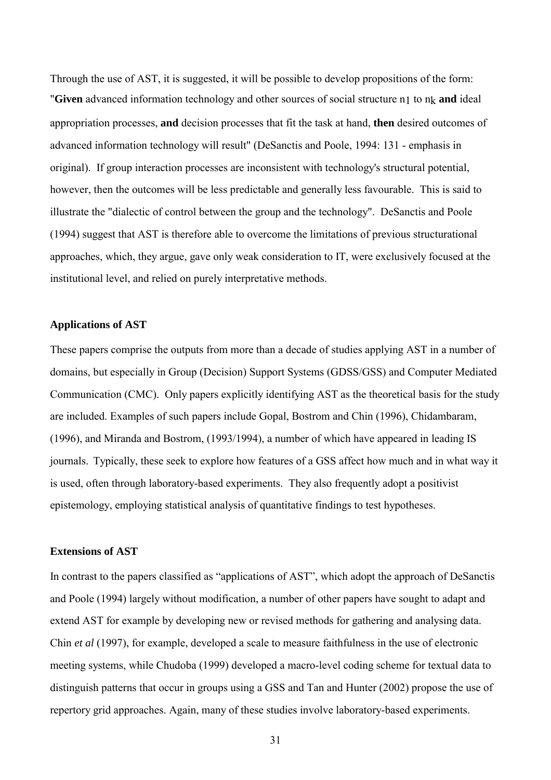Through the use of AST, it is suggested, it will be possible to develop propositions of the form: "Given advanced information technology and other sources of social structure  $n_1$  to  $n_k$  and ideal appropriation processes, **and** decision processes that fit the task at hand, **then** desired outcomes of advanced information technology will result" (DeSanctis and Poole, 1994: 131 - emphasis in original). If group interaction processes are inconsistent with technology's structural potential, however, then the outcomes will be less predictable and generally less favourable. This is said to illustrate the "dialectic of control between the group and the technology". DeSanctis and Poole (1994) suggest that AST is therefore able to overcome the limitations of previous structurational approaches, which, they argue, gave only weak consideration to IT, were exclusively focused at the institutional level, and relied on purely interpretative methods.

#### **Applications of AST**

These papers comprise the outputs from more than a decade of studies applying AST in a number of domains, but especially in Group (Decision) Support Systems (GDSS/GSS) and Computer Mediated Communication (CMC). Only papers explicitly identifying AST as the theoretical basis for the study are included. Examples of such papers include Gopal, Bostrom and Chin (1996), Chidambaram, (1996), and Miranda and Bostrom, (1993/1994), a number of which have appeared in leading IS journals. Typically, these seek to explore how features of a GSS affect how much and in what way it is used, often through laboratory-based experiments. They also frequently adopt a positivist epistemology, employing statistical analysis of quantitative findings to test hypotheses.

#### **Extensions of AST**

In contrast to the papers classified as "applications of AST", which adopt the approach of DeSanctis and Poole (1994) largely without modification, a number of other papers have sought to adapt and extend AST for example by developing new or revised methods for gathering and analysing data. Chin *et al* (1997), for example, developed a scale to measure faithfulness in the use of electronic meeting systems, while Chudoba (1999) developed a macro-level coding scheme for textual data to distinguish patterns that occur in groups using a GSS and Tan and Hunter (2002) propose the use of repertory grid approaches. Again, many of these studies involve laboratory-based experiments.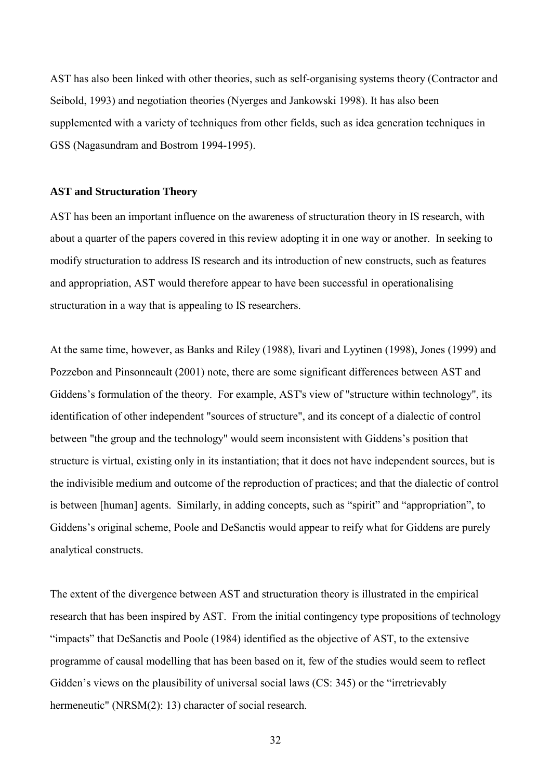AST has also been linked with other theories, such as self-organising systems theory (Contractor and Seibold, 1993) and negotiation theories (Nyerges and Jankowski 1998). It has also been supplemented with a variety of techniques from other fields, such as idea generation techniques in GSS (Nagasundram and Bostrom 1994-1995).

#### **AST and Structuration Theory**

AST has been an important influence on the awareness of structuration theory in IS research, with about a quarter of the papers covered in this review adopting it in one way or another. In seeking to modify structuration to address IS research and its introduction of new constructs, such as features and appropriation, AST would therefore appear to have been successful in operationalising structuration in a way that is appealing to IS researchers.

At the same time, however, as Banks and Riley (1988), Iivari and Lyytinen (1998), Jones (1999) and Pozzebon and Pinsonneault (2001) note, there are some significant differences between AST and Giddens's formulation of the theory. For example, AST's view of "structure within technology", its identification of other independent "sources of structure", and its concept of a dialectic of control between "the group and the technology" would seem inconsistent with Giddens's position that structure is virtual, existing only in its instantiation; that it does not have independent sources, but is the indivisible medium and outcome of the reproduction of practices; and that the dialectic of control is between [human] agents. Similarly, in adding concepts, such as "spirit" and "appropriation", to Giddens's original scheme, Poole and DeSanctis would appear to reify what for Giddens are purely analytical constructs.

The extent of the divergence between AST and structuration theory is illustrated in the empirical research that has been inspired by AST. From the initial contingency type propositions of technology "impacts" that DeSanctis and Poole (1984) identified as the objective of AST, to the extensive programme of causal modelling that has been based on it, few of the studies would seem to reflect Gidden's views on the plausibility of universal social laws (CS: 345) or the "irretrievably hermeneutic" (NRSM(2): 13) character of social research.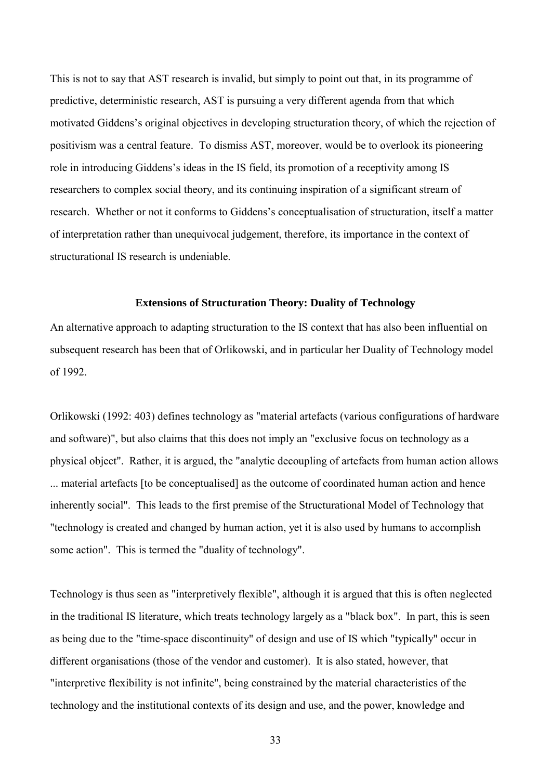This is not to say that AST research is invalid, but simply to point out that, in its programme of predictive, deterministic research, AST is pursuing a very different agenda from that which motivated Giddens's original objectives in developing structuration theory, of which the rejection of positivism was a central feature. To dismiss AST, moreover, would be to overlook its pioneering role in introducing Giddens's ideas in the IS field, its promotion of a receptivity among IS researchers to complex social theory, and its continuing inspiration of a significant stream of research. Whether or not it conforms to Giddens's conceptualisation of structuration, itself a matter of interpretation rather than unequivocal judgement, therefore, its importance in the context of structurational IS research is undeniable.

#### **Extensions of Structuration Theory: Duality of Technology**

An alternative approach to adapting structuration to the IS context that has also been influential on subsequent research has been that of Orlikowski, and in particular her Duality of Technology model of 1992.

Orlikowski (1992: 403) defines technology as "material artefacts (various configurations of hardware and software)", but also claims that this does not imply an "exclusive focus on technology as a physical object". Rather, it is argued, the "analytic decoupling of artefacts from human action allows ... material artefacts [to be conceptualised] as the outcome of coordinated human action and hence inherently social". This leads to the first premise of the Structurational Model of Technology that "technology is created and changed by human action, yet it is also used by humans to accomplish some action". This is termed the "duality of technology".

Technology is thus seen as "interpretively flexible", although it is argued that this is often neglected in the traditional IS literature, which treats technology largely as a "black box". In part, this is seen as being due to the "time-space discontinuity" of design and use of IS which "typically" occur in different organisations (those of the vendor and customer). It is also stated, however, that "interpretive flexibility is not infinite", being constrained by the material characteristics of the technology and the institutional contexts of its design and use, and the power, knowledge and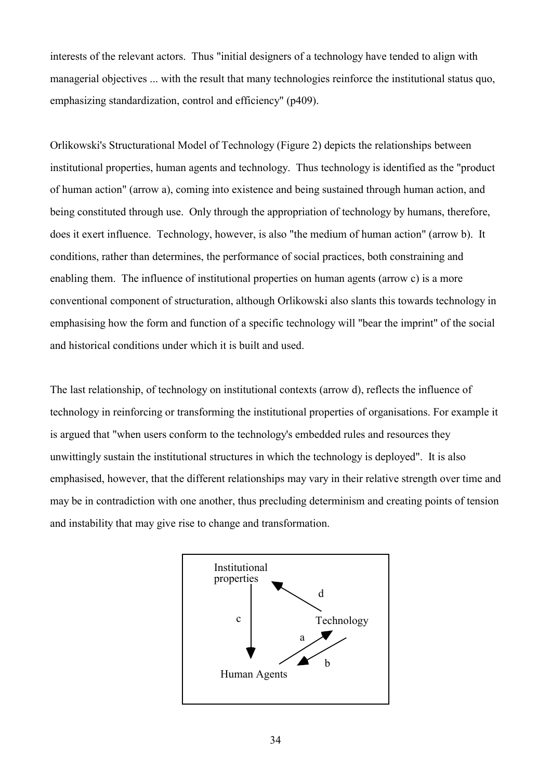interests of the relevant actors. Thus "initial designers of a technology have tended to align with managerial objectives ... with the result that many technologies reinforce the institutional status quo, emphasizing standardization, control and efficiency" (p409).

Orlikowski's Structurational Model of Technology (Figure 2) depicts the relationships between institutional properties, human agents and technology. Thus technology is identified as the "product of human action" (arrow a), coming into existence and being sustained through human action, and being constituted through use. Only through the appropriation of technology by humans, therefore, does it exert influence. Technology, however, is also "the medium of human action" (arrow b). It conditions, rather than determines, the performance of social practices, both constraining and enabling them. The influence of institutional properties on human agents (arrow c) is a more conventional component of structuration, although Orlikowski also slants this towards technology in emphasising how the form and function of a specific technology will "bear the imprint" of the social and historical conditions under which it is built and used.

The last relationship, of technology on institutional contexts (arrow d), reflects the influence of technology in reinforcing or transforming the institutional properties of organisations. For example it is argued that "when users conform to the technology's embedded rules and resources they unwittingly sustain the institutional structures in which the technology is deployed". It is also emphasised, however, that the different relationships may vary in their relative strength over time and may be in contradiction with one another, thus precluding determinism and creating points of tension and instability that may give rise to change and transformation.

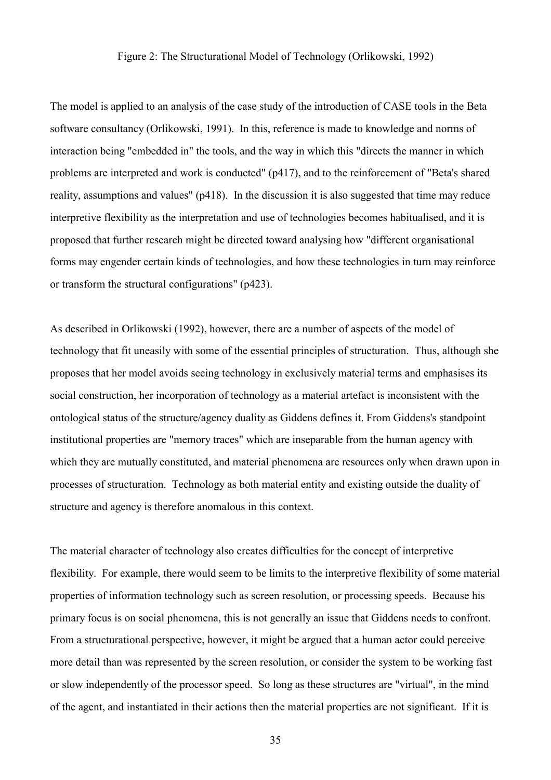### Figure 2: The Structurational Model of Technology (Orlikowski, 1992)

The model is applied to an analysis of the case study of the introduction of CASE tools in the Beta software consultancy (Orlikowski, 1991). In this, reference is made to knowledge and norms of interaction being "embedded in" the tools, and the way in which this "directs the manner in which problems are interpreted and work is conducted" (p417), and to the reinforcement of "Beta's shared reality, assumptions and values" (p418). In the discussion it is also suggested that time may reduce interpretive flexibility as the interpretation and use of technologies becomes habitualised, and it is proposed that further research might be directed toward analysing how "different organisational forms may engender certain kinds of technologies, and how these technologies in turn may reinforce or transform the structural configurations" (p423).

As described in Orlikowski (1992), however, there are a number of aspects of the model of technology that fit uneasily with some of the essential principles of structuration. Thus, although she proposes that her model avoids seeing technology in exclusively material terms and emphasises its social construction, her incorporation of technology as a material artefact is inconsistent with the ontological status of the structure/agency duality as Giddens defines it. From Giddens's standpoint institutional properties are "memory traces" which are inseparable from the human agency with which they are mutually constituted, and material phenomena are resources only when drawn upon in processes of structuration. Technology as both material entity and existing outside the duality of structure and agency is therefore anomalous in this context.

The material character of technology also creates difficulties for the concept of interpretive flexibility. For example, there would seem to be limits to the interpretive flexibility of some material properties of information technology such as screen resolution, or processing speeds. Because his primary focus is on social phenomena, this is not generally an issue that Giddens needs to confront. From a structurational perspective, however, it might be argued that a human actor could perceive more detail than was represented by the screen resolution, or consider the system to be working fast or slow independently of the processor speed. So long as these structures are "virtual", in the mind of the agent, and instantiated in their actions then the material properties are not significant. If it is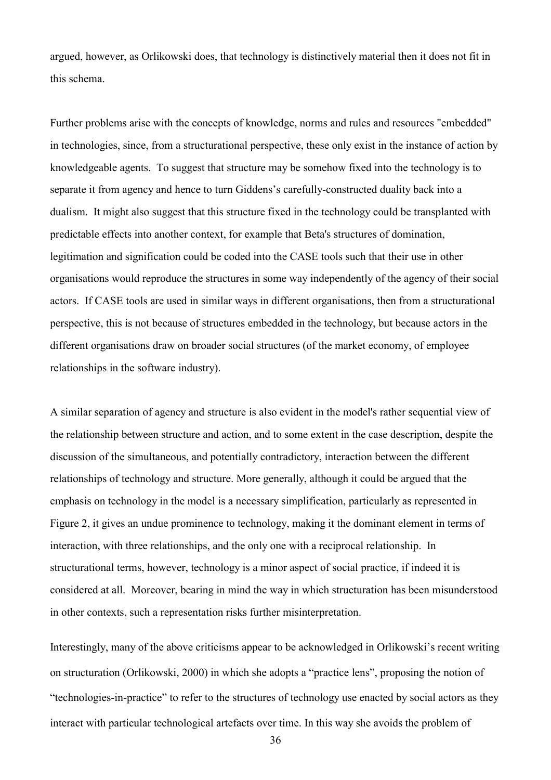argued, however, as Orlikowski does, that technology is distinctively material then it does not fit in this schema.

Further problems arise with the concepts of knowledge, norms and rules and resources "embedded" in technologies, since, from a structurational perspective, these only exist in the instance of action by knowledgeable agents. To suggest that structure may be somehow fixed into the technology is to separate it from agency and hence to turn Giddens's carefully-constructed duality back into a dualism. It might also suggest that this structure fixed in the technology could be transplanted with predictable effects into another context, for example that Beta's structures of domination, legitimation and signification could be coded into the CASE tools such that their use in other organisations would reproduce the structures in some way independently of the agency of their social actors. If CASE tools are used in similar ways in different organisations, then from a structurational perspective, this is not because of structures embedded in the technology, but because actors in the different organisations draw on broader social structures (of the market economy, of employee relationships in the software industry).

A similar separation of agency and structure is also evident in the model's rather sequential view of the relationship between structure and action, and to some extent in the case description, despite the discussion of the simultaneous, and potentially contradictory, interaction between the different relationships of technology and structure. More generally, although it could be argued that the emphasis on technology in the model is a necessary simplification, particularly as represented in Figure 2, it gives an undue prominence to technology, making it the dominant element in terms of interaction, with three relationships, and the only one with a reciprocal relationship. In structurational terms, however, technology is a minor aspect of social practice, if indeed it is considered at all. Moreover, bearing in mind the way in which structuration has been misunderstood in other contexts, such a representation risks further misinterpretation.

Interestingly, many of the above criticisms appear to be acknowledged in Orlikowski's recent writing on structuration (Orlikowski, 2000) in which she adopts a "practice lens", proposing the notion of "technologies-in-practice" to refer to the structures of technology use enacted by social actors as they interact with particular technological artefacts over time. In this way she avoids the problem of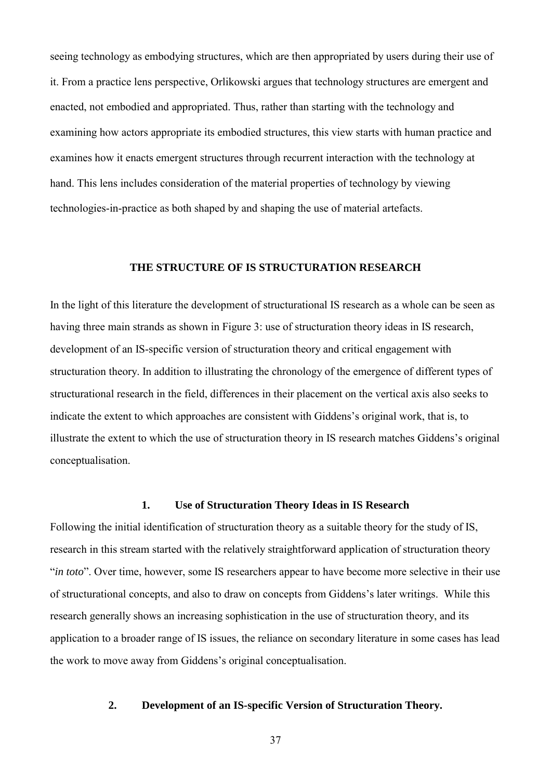seeing technology as embodying structures, which are then appropriated by users during their use of it. From a practice lens perspective, Orlikowski argues that technology structures are emergent and enacted, not embodied and appropriated. Thus, rather than starting with the technology and examining how actors appropriate its embodied structures, this view starts with human practice and examines how it enacts emergent structures through recurrent interaction with the technology at hand. This lens includes consideration of the material properties of technology by viewing technologies-in-practice as both shaped by and shaping the use of material artefacts.

### **THE STRUCTURE OF IS STRUCTURATION RESEARCH**

In the light of this literature the development of structurational IS research as a whole can be seen as having three main strands as shown in Figure 3: use of structuration theory ideas in IS research, development of an IS-specific version of structuration theory and critical engagement with structuration theory. In addition to illustrating the chronology of the emergence of different types of structurational research in the field, differences in their placement on the vertical axis also seeks to indicate the extent to which approaches are consistent with Giddens's original work, that is, to illustrate the extent to which the use of structuration theory in IS research matches Giddens's original conceptualisation.

### **1. Use of Structuration Theory Ideas in IS Research**

Following the initial identification of structuration theory as a suitable theory for the study of IS, research in this stream started with the relatively straightforward application of structuration theory "*in toto*". Over time, however, some IS researchers appear to have become more selective in their use of structurational concepts, and also to draw on concepts from Giddens's later writings. While this research generally shows an increasing sophistication in the use of structuration theory, and its application to a broader range of IS issues, the reliance on secondary literature in some cases has lead the work to move away from Giddens's original conceptualisation.

### **2. Development of an IS-specific Version of Structuration Theory.**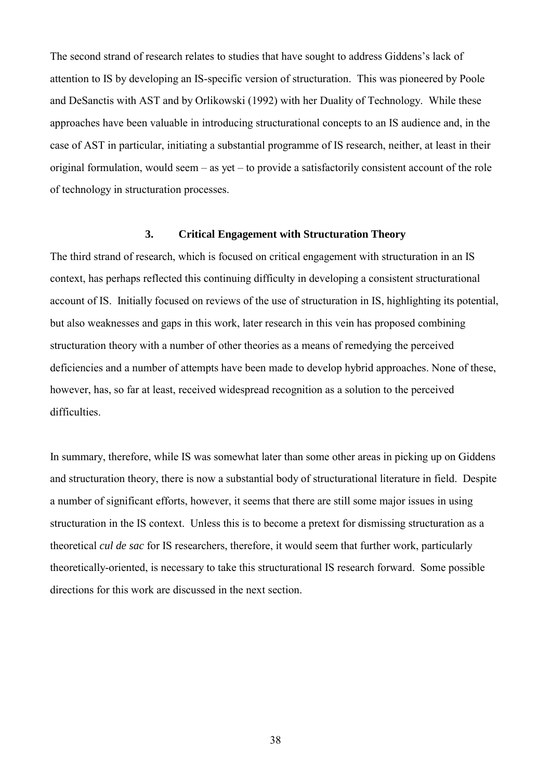The second strand of research relates to studies that have sought to address Giddens's lack of attention to IS by developing an IS-specific version of structuration. This was pioneered by Poole and DeSanctis with AST and by Orlikowski (1992) with her Duality of Technology. While these approaches have been valuable in introducing structurational concepts to an IS audience and, in the case of AST in particular, initiating a substantial programme of IS research, neither, at least in their original formulation, would seem – as yet – to provide a satisfactorily consistent account of the role of technology in structuration processes.

#### **3. Critical Engagement with Structuration Theory**

The third strand of research, which is focused on critical engagement with structuration in an IS context, has perhaps reflected this continuing difficulty in developing a consistent structurational account of IS. Initially focused on reviews of the use of structuration in IS, highlighting its potential, but also weaknesses and gaps in this work, later research in this vein has proposed combining structuration theory with a number of other theories as a means of remedying the perceived deficiencies and a number of attempts have been made to develop hybrid approaches. None of these, however, has, so far at least, received widespread recognition as a solution to the perceived difficulties.

In summary, therefore, while IS was somewhat later than some other areas in picking up on Giddens and structuration theory, there is now a substantial body of structurational literature in field. Despite a number of significant efforts, however, it seems that there are still some major issues in using structuration in the IS context. Unless this is to become a pretext for dismissing structuration as a theoretical *cul de sac* for IS researchers, therefore, it would seem that further work, particularly theoretically-oriented, is necessary to take this structurational IS research forward. Some possible directions for this work are discussed in the next section.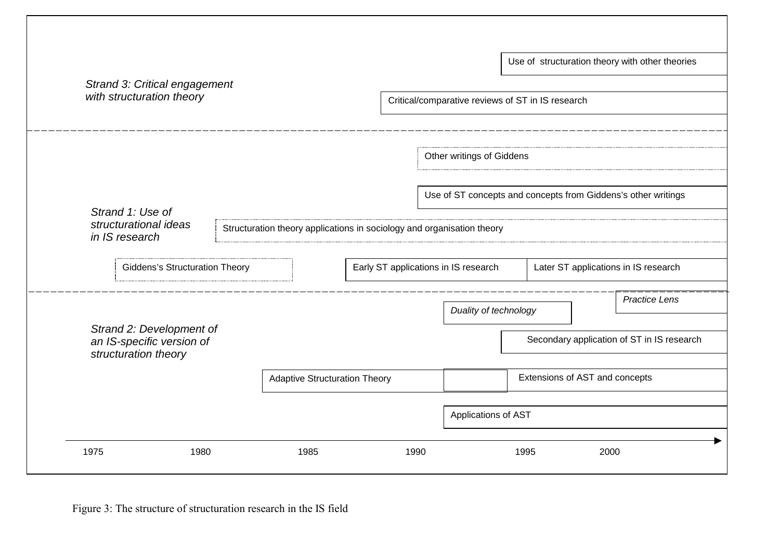| Strand 3: Critical engagement |                                                                               |  |                                                                        |                                                   |      |                                      |                                                               |      | Use of structuration theory with other theories |
|-------------------------------|-------------------------------------------------------------------------------|--|------------------------------------------------------------------------|---------------------------------------------------|------|--------------------------------------|---------------------------------------------------------------|------|-------------------------------------------------|
| with structuration theory     |                                                                               |  |                                                                        | Critical/comparative reviews of ST in IS research |      |                                      |                                                               |      |                                                 |
|                               |                                                                               |  |                                                                        |                                                   |      | Other writings of Giddens            |                                                               |      |                                                 |
|                               | Strand 1: Use of                                                              |  |                                                                        |                                                   |      |                                      | Use of ST concepts and concepts from Giddens's other writings |      |                                                 |
|                               | structurational ideas<br>in IS research                                       |  | Structuration theory applications in sociology and organisation theory |                                                   |      |                                      |                                                               |      |                                                 |
|                               | <b>Giddens's Structuration Theory</b>                                         |  |                                                                        |                                                   |      | Early ST applications in IS research |                                                               |      | Later ST applications in IS research            |
|                               | Strand 2: Development of<br>an IS-specific version of<br>structuration theory |  |                                                                        |                                                   |      |                                      | Duality of technology                                         |      | <b>Practice Lens</b>                            |
|                               |                                                                               |  |                                                                        |                                                   |      |                                      |                                                               |      | Secondary application of ST in IS research      |
|                               |                                                                               |  |                                                                        | <b>Adaptive Structuration Theory</b>              |      |                                      | Extensions of AST and concepts                                |      |                                                 |
|                               |                                                                               |  |                                                                        |                                                   |      | Applications of AST                  |                                                               |      |                                                 |
| 1975                          | 1980                                                                          |  | 1985                                                                   |                                                   | 1990 |                                      | 1995                                                          | 2000 |                                                 |

Figure 3: The structure of structuration research in the IS field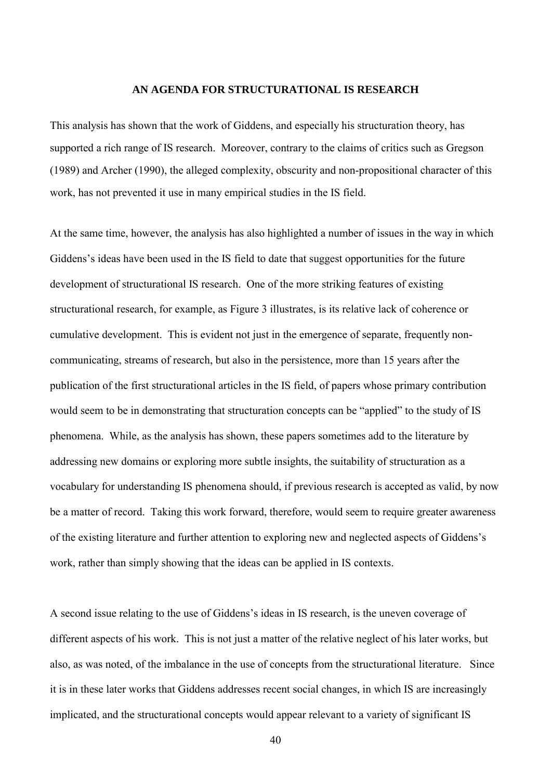### **AN AGENDA FOR STRUCTURATIONAL IS RESEARCH**

This analysis has shown that the work of Giddens, and especially his structuration theory, has supported a rich range of IS research. Moreover, contrary to the claims of critics such as Gregson (1989) and Archer (1990), the alleged complexity, obscurity and non-propositional character of this work, has not prevented it use in many empirical studies in the IS field.

At the same time, however, the analysis has also highlighted a number of issues in the way in which Giddens's ideas have been used in the IS field to date that suggest opportunities for the future development of structurational IS research. One of the more striking features of existing structurational research, for example, as Figure 3 illustrates, is its relative lack of coherence or cumulative development. This is evident not just in the emergence of separate, frequently noncommunicating, streams of research, but also in the persistence, more than 15 years after the publication of the first structurational articles in the IS field, of papers whose primary contribution would seem to be in demonstrating that structuration concepts can be "applied" to the study of IS phenomena. While, as the analysis has shown, these papers sometimes add to the literature by addressing new domains or exploring more subtle insights, the suitability of structuration as a vocabulary for understanding IS phenomena should, if previous research is accepted as valid, by now be a matter of record. Taking this work forward, therefore, would seem to require greater awareness of the existing literature and further attention to exploring new and neglected aspects of Giddens's work, rather than simply showing that the ideas can be applied in IS contexts.

A second issue relating to the use of Giddens's ideas in IS research, is the uneven coverage of different aspects of his work. This is not just a matter of the relative neglect of his later works, but also, as was noted, of the imbalance in the use of concepts from the structurational literature. Since it is in these later works that Giddens addresses recent social changes, in which IS are increasingly implicated, and the structurational concepts would appear relevant to a variety of significant IS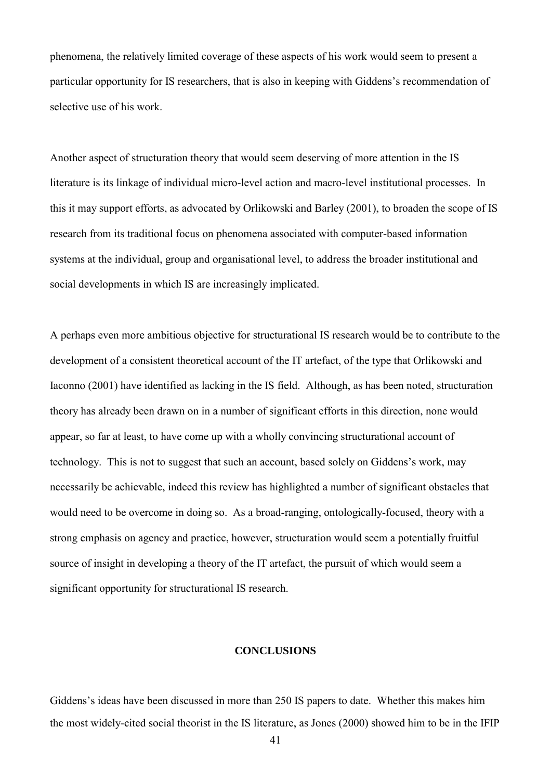phenomena, the relatively limited coverage of these aspects of his work would seem to present a particular opportunity for IS researchers, that is also in keeping with Giddens's recommendation of selective use of his work.

Another aspect of structuration theory that would seem deserving of more attention in the IS literature is its linkage of individual micro-level action and macro-level institutional processes. In this it may support efforts, as advocated by Orlikowski and Barley (2001), to broaden the scope of IS research from its traditional focus on phenomena associated with computer-based information systems at the individual, group and organisational level, to address the broader institutional and social developments in which IS are increasingly implicated.

A perhaps even more ambitious objective for structurational IS research would be to contribute to the development of a consistent theoretical account of the IT artefact, of the type that Orlikowski and Iaconno (2001) have identified as lacking in the IS field. Although, as has been noted, structuration theory has already been drawn on in a number of significant efforts in this direction, none would appear, so far at least, to have come up with a wholly convincing structurational account of technology. This is not to suggest that such an account, based solely on Giddens's work, may necessarily be achievable, indeed this review has highlighted a number of significant obstacles that would need to be overcome in doing so. As a broad-ranging, ontologically-focused, theory with a strong emphasis on agency and practice, however, structuration would seem a potentially fruitful source of insight in developing a theory of the IT artefact, the pursuit of which would seem a significant opportunity for structurational IS research.

#### **CONCLUSIONS**

Giddens's ideas have been discussed in more than 250 IS papers to date. Whether this makes him the most widely-cited social theorist in the IS literature, as Jones (2000) showed him to be in the IFIP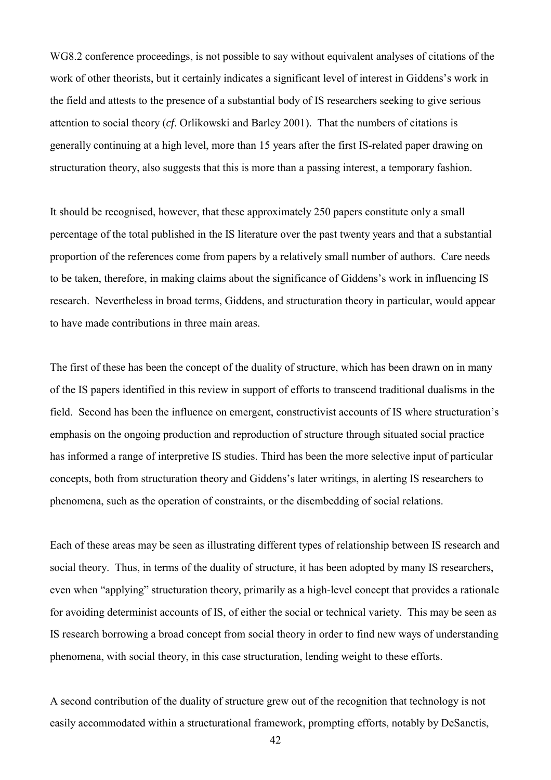WG8.2 conference proceedings, is not possible to say without equivalent analyses of citations of the work of other theorists, but it certainly indicates a significant level of interest in Giddens's work in the field and attests to the presence of a substantial body of IS researchers seeking to give serious attention to social theory (*cf*. Orlikowski and Barley 2001). That the numbers of citations is generally continuing at a high level, more than 15 years after the first IS-related paper drawing on structuration theory, also suggests that this is more than a passing interest, a temporary fashion.

It should be recognised, however, that these approximately 250 papers constitute only a small percentage of the total published in the IS literature over the past twenty years and that a substantial proportion of the references come from papers by a relatively small number of authors. Care needs to be taken, therefore, in making claims about the significance of Giddens's work in influencing IS research. Nevertheless in broad terms, Giddens, and structuration theory in particular, would appear to have made contributions in three main areas.

The first of these has been the concept of the duality of structure, which has been drawn on in many of the IS papers identified in this review in support of efforts to transcend traditional dualisms in the field. Second has been the influence on emergent, constructivist accounts of IS where structuration's emphasis on the ongoing production and reproduction of structure through situated social practice has informed a range of interpretive IS studies. Third has been the more selective input of particular concepts, both from structuration theory and Giddens's later writings, in alerting IS researchers to phenomena, such as the operation of constraints, or the disembedding of social relations.

Each of these areas may be seen as illustrating different types of relationship between IS research and social theory. Thus, in terms of the duality of structure, it has been adopted by many IS researchers, even when "applying" structuration theory, primarily as a high-level concept that provides a rationale for avoiding determinist accounts of IS, of either the social or technical variety. This may be seen as IS research borrowing a broad concept from social theory in order to find new ways of understanding phenomena, with social theory, in this case structuration, lending weight to these efforts.

A second contribution of the duality of structure grew out of the recognition that technology is not easily accommodated within a structurational framework, prompting efforts, notably by DeSanctis,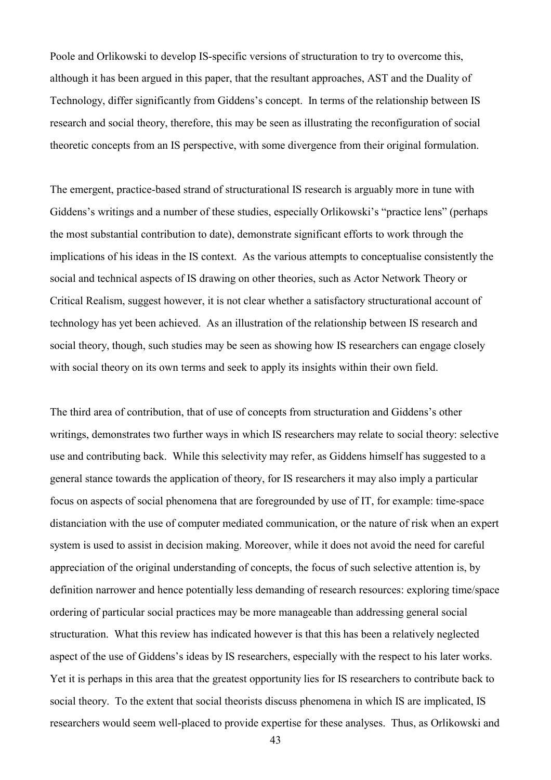Poole and Orlikowski to develop IS-specific versions of structuration to try to overcome this, although it has been argued in this paper, that the resultant approaches, AST and the Duality of Technology, differ significantly from Giddens's concept. In terms of the relationship between IS research and social theory, therefore, this may be seen as illustrating the reconfiguration of social theoretic concepts from an IS perspective, with some divergence from their original formulation.

The emergent, practice-based strand of structurational IS research is arguably more in tune with Giddens's writings and a number of these studies, especially Orlikowski's "practice lens" (perhaps the most substantial contribution to date), demonstrate significant efforts to work through the implications of his ideas in the IS context. As the various attempts to conceptualise consistently the social and technical aspects of IS drawing on other theories, such as Actor Network Theory or Critical Realism, suggest however, it is not clear whether a satisfactory structurational account of technology has yet been achieved. As an illustration of the relationship between IS research and social theory, though, such studies may be seen as showing how IS researchers can engage closely with social theory on its own terms and seek to apply its insights within their own field.

The third area of contribution, that of use of concepts from structuration and Giddens's other writings, demonstrates two further ways in which IS researchers may relate to social theory: selective use and contributing back. While this selectivity may refer, as Giddens himself has suggested to a general stance towards the application of theory, for IS researchers it may also imply a particular focus on aspects of social phenomena that are foregrounded by use of IT, for example: time-space distanciation with the use of computer mediated communication, or the nature of risk when an expert system is used to assist in decision making. Moreover, while it does not avoid the need for careful appreciation of the original understanding of concepts, the focus of such selective attention is, by definition narrower and hence potentially less demanding of research resources: exploring time/space ordering of particular social practices may be more manageable than addressing general social structuration. What this review has indicated however is that this has been a relatively neglected aspect of the use of Giddens's ideas by IS researchers, especially with the respect to his later works. Yet it is perhaps in this area that the greatest opportunity lies for IS researchers to contribute back to social theory. To the extent that social theorists discuss phenomena in which IS are implicated, IS researchers would seem well-placed to provide expertise for these analyses. Thus, as Orlikowski and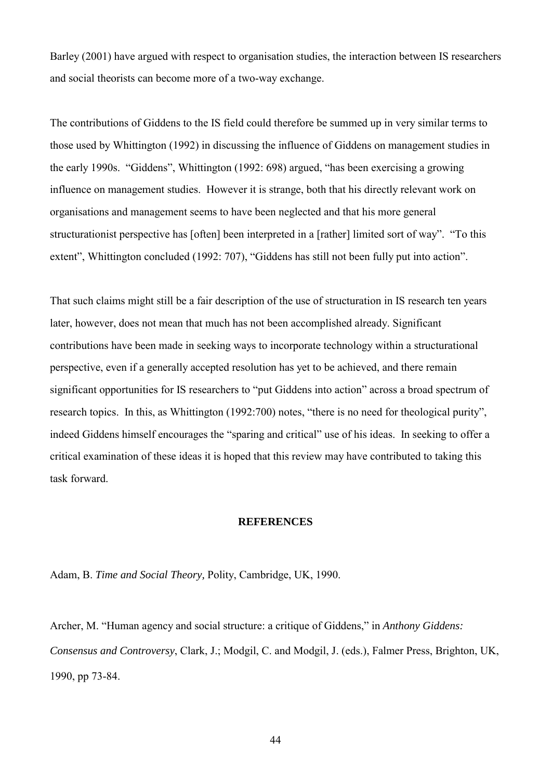Barley (2001) have argued with respect to organisation studies, the interaction between IS researchers and social theorists can become more of a two-way exchange.

The contributions of Giddens to the IS field could therefore be summed up in very similar terms to those used by Whittington (1992) in discussing the influence of Giddens on management studies in the early 1990s. "Giddens", Whittington (1992: 698) argued, "has been exercising a growing influence on management studies. However it is strange, both that his directly relevant work on organisations and management seems to have been neglected and that his more general structurationist perspective has [often] been interpreted in a [rather] limited sort of way". "To this extent", Whittington concluded (1992: 707), "Giddens has still not been fully put into action".

That such claims might still be a fair description of the use of structuration in IS research ten years later, however, does not mean that much has not been accomplished already. Significant contributions have been made in seeking ways to incorporate technology within a structurational perspective, even if a generally accepted resolution has yet to be achieved, and there remain significant opportunities for IS researchers to "put Giddens into action" across a broad spectrum of research topics. In this, as Whittington (1992:700) notes, "there is no need for theological purity", indeed Giddens himself encourages the "sparing and critical" use of his ideas. In seeking to offer a critical examination of these ideas it is hoped that this review may have contributed to taking this task forward.

## **REFERENCES**

Adam, B. *Time and Social Theory,* Polity, Cambridge, UK, 1990.

Archer, M. "Human agency and social structure: a critique of Giddens," in *Anthony Giddens: Consensus and Controversy*, Clark, J.; Modgil, C. and Modgil, J. (eds.), Falmer Press, Brighton, UK, 1990, pp 73-84.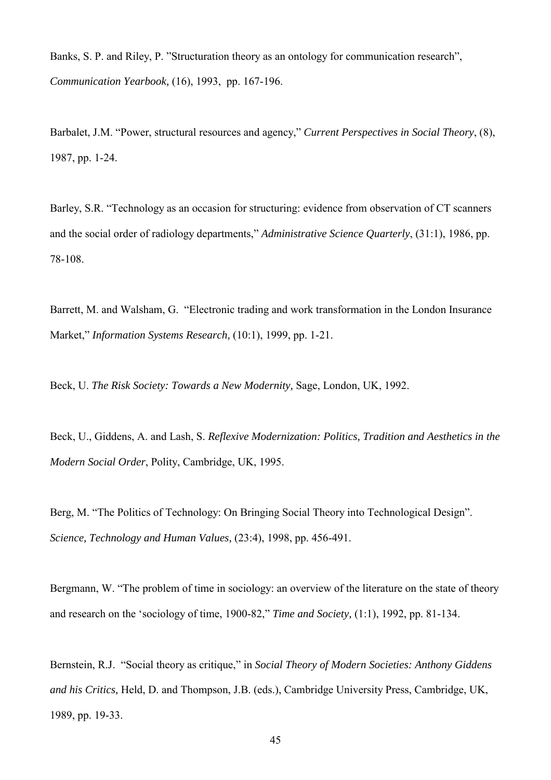Banks, S. P. and Riley, P. "Structuration theory as an ontology for communication research", *Communication Yearbook,* (16), 1993, pp. 167-196.

Barbalet, J.M. "Power, structural resources and agency," *Current Perspectives in Social Theory*, (8), 1987, pp. 1-24.

Barley, S.R. "Technology as an occasion for structuring: evidence from observation of CT scanners and the social order of radiology departments," *Administrative Science Quarterly*, (31:1), 1986, pp. 78-108.

Barrett, M. and Walsham, G. "Electronic trading and work transformation in the London Insurance Market," *Information Systems Research,* (10:1), 1999, pp. 1-21.

Beck, U. *The Risk Society: Towards a New Modernity,* Sage, London, UK, 1992.

Beck, U., Giddens, A. and Lash, S. *Reflexive Modernization: Politics, Tradition and Aesthetics in the Modern Social Order*, Polity, Cambridge, UK, 1995.

Berg, M. "The Politics of Technology: On Bringing Social Theory into Technological Design". *Science, Technology and Human Values,* (23:4), 1998, pp. 456-491.

Bergmann, W. "The problem of time in sociology: an overview of the literature on the state of theory and research on the 'sociology of time, 1900-82," *Time and Society,* (1:1), 1992, pp. 81-134.

Bernstein, R.J. "Social theory as critique," in *Social Theory of Modern Societies: Anthony Giddens and his Critics,* Held, D. and Thompson, J.B. (eds.), Cambridge University Press, Cambridge, UK, 1989, pp. 19-33.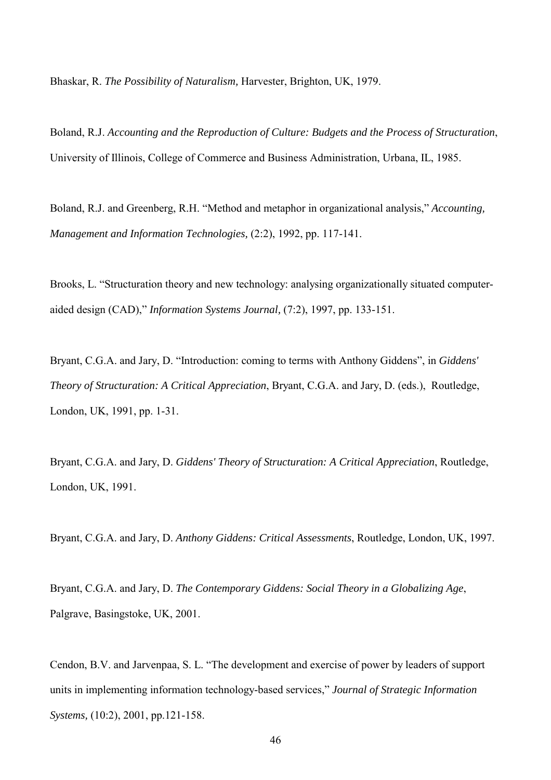Bhaskar, R. *The Possibility of Naturalism,* Harvester, Brighton, UK, 1979.

Boland, R.J. *Accounting and the Reproduction of Culture: Budgets and the Process of Structuration*, University of Illinois, College of Commerce and Business Administration, Urbana, IL, 1985.

Boland, R.J. and Greenberg, R.H. "Method and metaphor in organizational analysis," *Accounting, Management and Information Technologies,* (2:2), 1992, pp. 117-141.

Brooks, L. "Structuration theory and new technology: analysing organizationally situated computeraided design (CAD)," *Information Systems Journal,* (7:2), 1997, pp. 133-151.

Bryant, C.G.A. and Jary, D. "Introduction: coming to terms with Anthony Giddens", in *Giddens' Theory of Structuration: A Critical Appreciation*, Bryant, C.G.A. and Jary, D. (eds.), Routledge, London, UK, 1991, pp. 1-31.

Bryant, C.G.A. and Jary, D. *Giddens' Theory of Structuration: A Critical Appreciation*, Routledge, London, UK, 1991.

Bryant, C.G.A. and Jary, D. *Anthony Giddens: Critical Assessments*, Routledge, London, UK, 1997.

Bryant, C.G.A. and Jary, D. *The Contemporary Giddens: Social Theory in a Globalizing Age*, Palgrave, Basingstoke, UK, 2001.

Cendon, B.V. and Jarvenpaa, S. L. "The development and exercise of power by leaders of support units in implementing information technology-based services," *Journal of Strategic Information Systems,* (10:2), 2001, pp.121-158.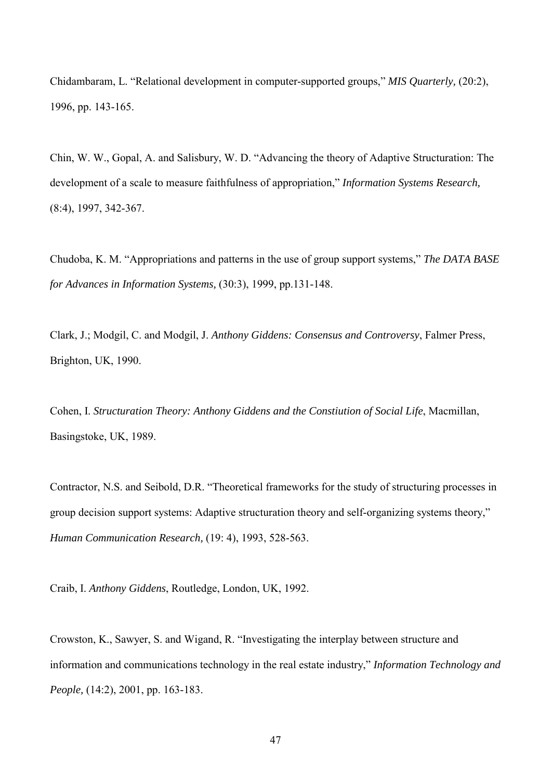Chidambaram, L. "Relational development in computer-supported groups," *MIS Quarterly,* (20:2), 1996, pp. 143-165.

Chin, W. W., Gopal, A. and Salisbury, W. D. "Advancing the theory of Adaptive Structuration: The development of a scale to measure faithfulness of appropriation," *Information Systems Research,* (8:4), 1997, 342-367.

Chudoba, K. M. "Appropriations and patterns in the use of group support systems," *The DATA BASE for Advances in Information Systems,* (30:3), 1999, pp.131-148.

Clark, J.; Modgil, C. and Modgil, J. *Anthony Giddens: Consensus and Controversy*, Falmer Press, Brighton, UK, 1990.

Cohen, I. *Structuration Theory: Anthony Giddens and the Constiution of Social Life*, Macmillan, Basingstoke, UK, 1989.

Contractor, N.S. and Seibold, D.R. "Theoretical frameworks for the study of structuring processes in group decision support systems: Adaptive structuration theory and self-organizing systems theory," *Human Communication Research,* (19: 4), 1993, 528-563.

Craib, I. *Anthony Giddens*, Routledge, London, UK, 1992.

Crowston, K., Sawyer, S. and Wigand, R. "Investigating the interplay between structure and information and communications technology in the real estate industry," *Information Technology and People,* (14:2), 2001, pp. 163-183.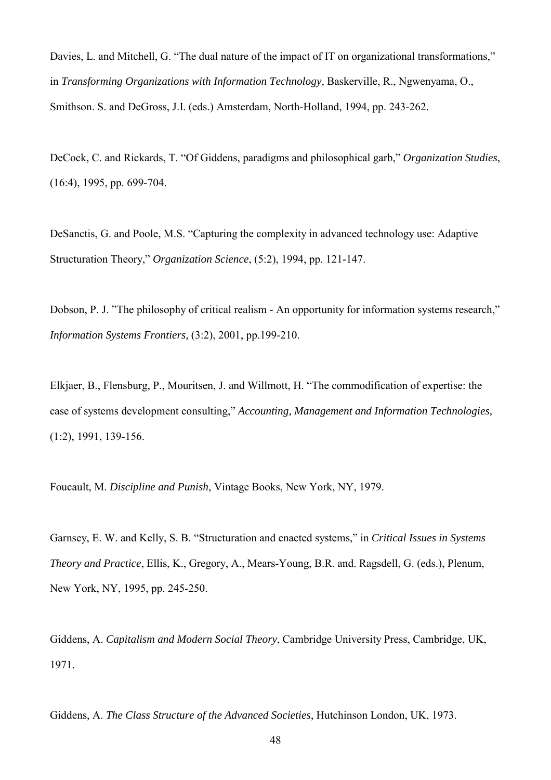Davies, L. and Mitchell, G. "The dual nature of the impact of IT on organizational transformations," in *Transforming Organizations with Information Technology,* Baskerville, R., Ngwenyama, O., Smithson. S. and DeGross, J.I. (eds.) Amsterdam, North-Holland, 1994, pp. 243-262.

DeCock, C. and Rickards, T. "Of Giddens, paradigms and philosophical garb," *Organization Studies*, (16:4), 1995, pp. 699-704.

DeSanctis, G. and Poole, M.S. "Capturing the complexity in advanced technology use: Adaptive Structuration Theory," *Organization Science*, (5:2), 1994, pp. 121-147.

Dobson, P. J. "The philosophy of critical realism - An opportunity for information systems research," *Information Systems Frontiers,* (3:2), 2001, pp.199-210.

Elkjaer, B., Flensburg, P., Mouritsen, J. and Willmott, H. "The commodification of expertise: the case of systems development consulting," *Accounting, Management and Information Technologies,* (1:2), 1991, 139-156.

Foucault, M. *Discipline and Punish*, Vintage Books, New York, NY, 1979.

Garnsey, E. W. and Kelly, S. B. "Structuration and enacted systems," in *Critical Issues in Systems Theory and Practice*, Ellis, K., Gregory, A., Mears-Young, B.R. and. Ragsdell, G. (eds.), Plenum, New York, NY, 1995, pp. 245-250.

Giddens, A. *Capitalism and Modern Social Theory*, Cambridge University Press, Cambridge, UK, 1971.

Giddens, A. *The Class Structure of the Advanced Societies*, Hutchinson London, UK, 1973.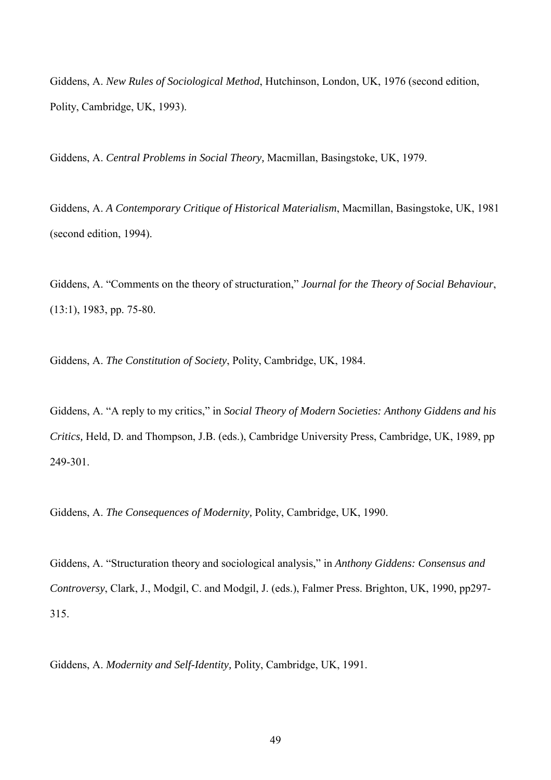Giddens, A. *New Rules of Sociological Method*, Hutchinson, London, UK, 1976 (second edition, Polity, Cambridge, UK, 1993).

Giddens, A. *Central Problems in Social Theory,* Macmillan, Basingstoke, UK, 1979.

Giddens, A. *A Contemporary Critique of Historical Materialism*, Macmillan, Basingstoke, UK, 1981 (second edition, 1994).

Giddens, A. "Comments on the theory of structuration," *Journal for the Theory of Social Behaviour*, (13:1), 1983, pp. 75-80.

Giddens, A. *The Constitution of Society*, Polity, Cambridge, UK, 1984.

Giddens, A. "A reply to my critics," in *Social Theory of Modern Societies: Anthony Giddens and his Critics,* Held, D. and Thompson, J.B. (eds.), Cambridge University Press, Cambridge, UK, 1989, pp 249-301.

Giddens, A. *The Consequences of Modernity,* Polity, Cambridge, UK, 1990.

Giddens, A. "Structuration theory and sociological analysis," in *Anthony Giddens: Consensus and Controversy*, Clark, J., Modgil, C. and Modgil, J. (eds.), Falmer Press. Brighton, UK, 1990, pp297- 315.

Giddens, A. *Modernity and Self-Identity,* Polity, Cambridge, UK, 1991.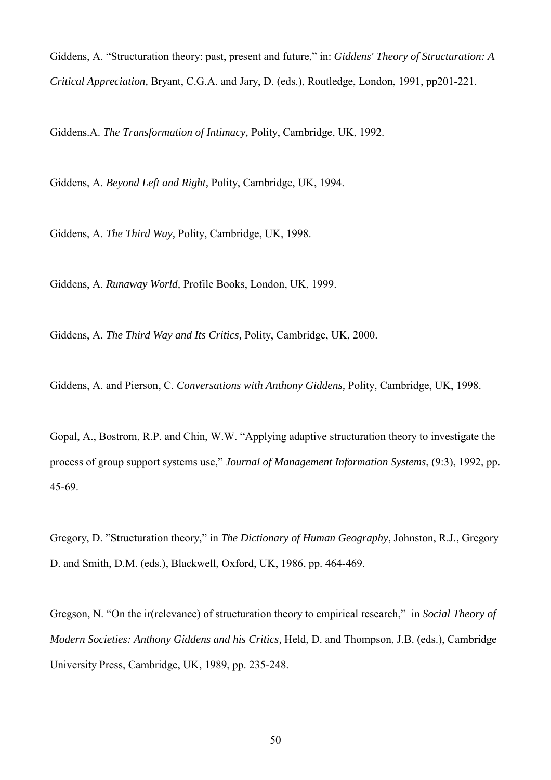Giddens, A. "Structuration theory: past, present and future," in: *Giddens' Theory of Structuration: A Critical Appreciation,* Bryant, C.G.A. and Jary, D. (eds.), Routledge, London, 1991, pp201-221.

Giddens.A. *The Transformation of Intimacy,* Polity, Cambridge, UK, 1992.

Giddens, A. *Beyond Left and Right,* Polity, Cambridge, UK, 1994.

Giddens, A. *The Third Way,* Polity, Cambridge, UK, 1998.

Giddens, A. *Runaway World,* Profile Books, London, UK, 1999.

Giddens, A. *The Third Way and Its Critics,* Polity, Cambridge, UK, 2000.

Giddens, A. and Pierson, C. *Conversations with Anthony Giddens,* Polity, Cambridge, UK, 1998.

Gopal, A., Bostrom, R.P. and Chin, W.W. "Applying adaptive structuration theory to investigate the process of group support systems use," *Journal of Management Information Systems*, (9:3), 1992, pp. 45-69.

Gregory, D. "Structuration theory," in *The Dictionary of Human Geography*, Johnston, R.J., Gregory D. and Smith, D.M. (eds.), Blackwell, Oxford, UK, 1986, pp. 464-469.

Gregson, N. "On the ir(relevance) of structuration theory to empirical research," in *Social Theory of Modern Societies: Anthony Giddens and his Critics,* Held, D. and Thompson, J.B. (eds.), Cambridge University Press, Cambridge, UK, 1989, pp. 235-248.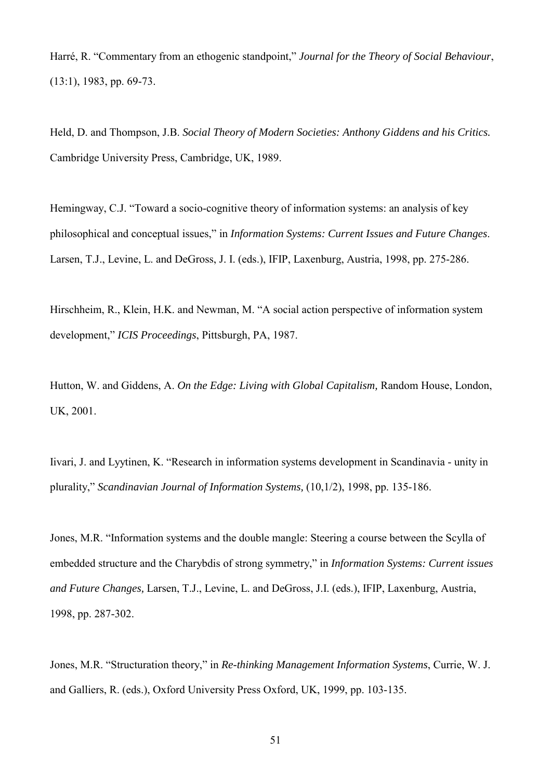Harré, R. "Commentary from an ethogenic standpoint," *Journal for the Theory of Social Behaviour*, (13:1), 1983, pp. 69-73.

Held, D. and Thompson, J.B. *Social Theory of Modern Societies: Anthony Giddens and his Critics.*  Cambridge University Press, Cambridge, UK, 1989.

Hemingway, C.J. "Toward a socio-cognitive theory of information systems: an analysis of key philosophical and conceptual issues," in *Information Systems: Current Issues and Future Changes*. Larsen, T.J., Levine, L. and DeGross, J. I. (eds.), IFIP, Laxenburg, Austria, 1998, pp. 275-286.

Hirschheim, R., Klein, H.K. and Newman, M. "A social action perspective of information system development," *ICIS Proceedings*, Pittsburgh, PA, 1987.

Hutton, W. and Giddens, A. *On the Edge: Living with Global Capitalism,* Random House, London, UK, 2001.

Iivari, J. and Lyytinen, K. "Research in information systems development in Scandinavia - unity in plurality," *Scandinavian Journal of Information Systems,* (10,1/2), 1998, pp. 135-186.

Jones, M.R. "Information systems and the double mangle: Steering a course between the Scylla of embedded structure and the Charybdis of strong symmetry," in *Information Systems: Current issues and Future Changes,* Larsen, T.J., Levine, L. and DeGross, J.I. (eds.), IFIP, Laxenburg, Austria, 1998, pp. 287-302.

Jones, M.R. "Structuration theory," in *Re-thinking Management Information Systems*, Currie, W. J. and Galliers, R. (eds.), Oxford University Press Oxford, UK, 1999, pp. 103-135.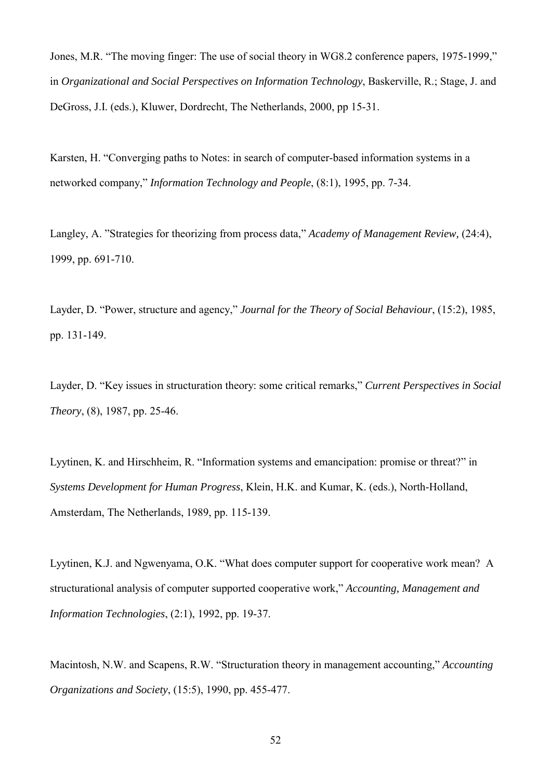Jones, M.R. "The moving finger: The use of social theory in WG8.2 conference papers, 1975-1999," in *Organizational and Social Perspectives on Information Technology*, Baskerville, R.; Stage, J. and DeGross, J.I. (eds.), Kluwer, Dordrecht, The Netherlands, 2000, pp 15-31.

Karsten, H. "Converging paths to Notes: in search of computer-based information systems in a networked company," *Information Technology and People*, (8:1), 1995, pp. 7-34.

Langley, A. "Strategies for theorizing from process data," *Academy of Management Review,* (24:4), 1999, pp. 691-710.

Layder, D. "Power, structure and agency," *Journal for the Theory of Social Behaviour*, (15:2), 1985, pp. 131-149.

Layder, D. "Key issues in structuration theory: some critical remarks," *Current Perspectives in Social Theory*, (8), 1987, pp. 25-46.

Lyytinen, K. and Hirschheim, R. "Information systems and emancipation: promise or threat?" in *Systems Development for Human Progress*, Klein, H.K. and Kumar, K. (eds.), North-Holland, Amsterdam, The Netherlands, 1989, pp. 115-139.

Lyytinen, K.J. and Ngwenyama, O.K. "What does computer support for cooperative work mean? A structurational analysis of computer supported cooperative work," *Accounting, Management and Information Technologies*, (2:1), 1992, pp. 19-37.

Macintosh, N.W. and Scapens, R.W. "Structuration theory in management accounting," *Accounting Organizations and Society*, (15:5), 1990, pp. 455-477.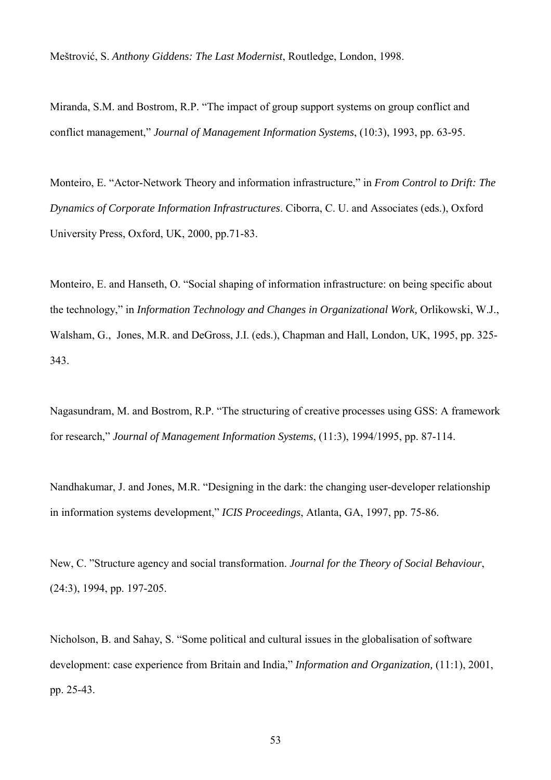Meštrović, S. *Anthony Giddens: The Last Modernist*, Routledge, London, 1998.

Miranda, S.M. and Bostrom, R.P. "The impact of group support systems on group conflict and conflict management," *Journal of Management Information Systems*, (10:3), 1993, pp. 63-95.

Monteiro, E. "Actor-Network Theory and information infrastructure," in *From Control to Drift: The Dynamics of Corporate Information Infrastructures*. Ciborra, C. U. and Associates (eds.), Oxford University Press, Oxford, UK, 2000, pp.71-83.

Monteiro, E. and Hanseth, O. "Social shaping of information infrastructure: on being specific about the technology," in *Information Technology and Changes in Organizational Work,* Orlikowski, W.J., Walsham, G., Jones, M.R. and DeGross, J.I. (eds.), Chapman and Hall, London, UK, 1995, pp. 325- 343.

Nagasundram, M. and Bostrom, R.P. "The structuring of creative processes using GSS: A framework for research," *Journal of Management Information Systems*, (11:3), 1994/1995, pp. 87-114.

Nandhakumar, J. and Jones, M.R. "Designing in the dark: the changing user-developer relationship in information systems development," *ICIS Proceedings*, Atlanta, GA, 1997, pp. 75-86.

New, C. "Structure agency and social transformation. *Journal for the Theory of Social Behaviour*, (24:3), 1994, pp. 197-205.

Nicholson, B. and Sahay, S. "Some political and cultural issues in the globalisation of software development: case experience from Britain and India," *Information and Organization,* (11:1), 2001, pp. 25-43.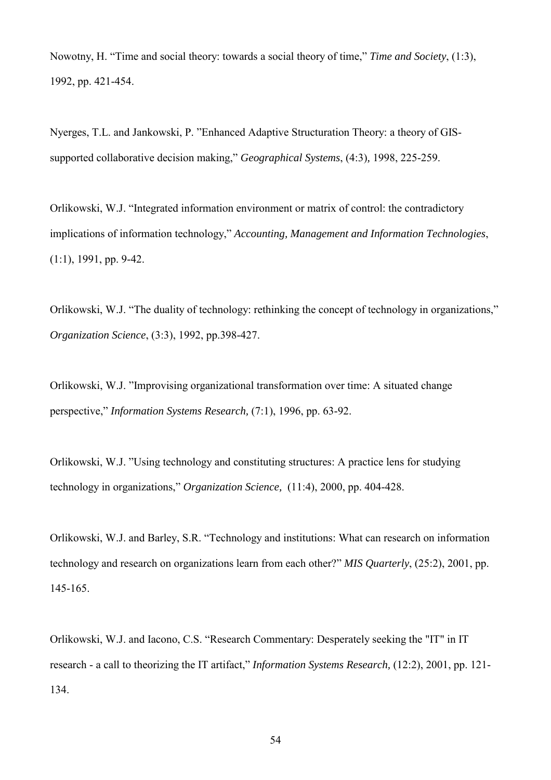Nowotny, H. "Time and social theory: towards a social theory of time," *Time and Society*, (1:3), 1992, pp. 421-454.

Nyerges, T.L. and Jankowski, P. "Enhanced Adaptive Structuration Theory: a theory of GISsupported collaborative decision making," *Geographical Systems*, (4:3)*,* 1998, 225-259.

Orlikowski, W.J. "Integrated information environment or matrix of control: the contradictory implications of information technology," *Accounting, Management and Information Technologies*, (1:1), 1991, pp. 9-42.

Orlikowski, W.J. "The duality of technology: rethinking the concept of technology in organizations," *Organization Science*, (3:3), 1992, pp.398-427.

Orlikowski, W.J. "Improvising organizational transformation over time: A situated change perspective," *Information Systems Research,* (7:1), 1996, pp. 63-92.

Orlikowski, W.J. "Using technology and constituting structures: A practice lens for studying technology in organizations," *Organization Science,* (11:4), 2000, pp. 404-428.

Orlikowski, W.J. and Barley, S.R. "Technology and institutions: What can research on information technology and research on organizations learn from each other?" *MIS Quarterly*, (25:2), 2001, pp. 145-165.

Orlikowski, W.J. and Iacono, C.S. "Research Commentary: Desperately seeking the "IT" in IT research - a call to theorizing the IT artifact," *Information Systems Research,* (12:2), 2001, pp. 121- 134.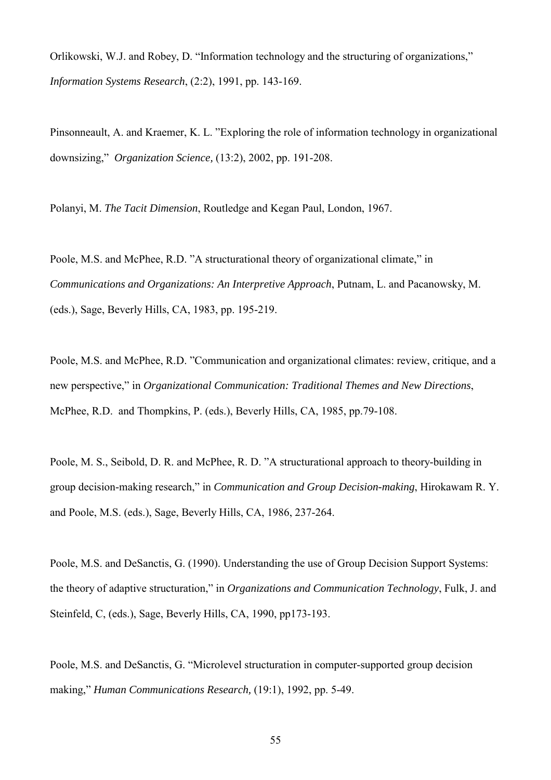Orlikowski, W.J. and Robey, D. "Information technology and the structuring of organizations," *Information Systems Research*, (2:2), 1991, pp. 143-169.

Pinsonneault, A. and Kraemer, K. L. "Exploring the role of information technology in organizational downsizing," *Organization Science,* (13:2), 2002, pp. 191-208.

Polanyi, M. *The Tacit Dimension*, Routledge and Kegan Paul, London, 1967.

Poole, M.S. and McPhee, R.D. "A structurational theory of organizational climate," in *Communications and Organizations: An Interpretive Approach*, Putnam, L. and Pacanowsky, M. (eds.), Sage, Beverly Hills, CA, 1983, pp. 195-219.

Poole, M.S. and McPhee, R.D. "Communication and organizational climates: review, critique, and a new perspective," in *Organizational Communication: Traditional Themes and New Directions*, McPhee, R.D. and Thompkins, P. (eds.), Beverly Hills, CA, 1985, pp.79-108.

Poole, M. S., Seibold, D. R. and McPhee, R. D. "A structurational approach to theory-building in group decision-making research," in *Communication and Group Decision-making*, Hirokawam R. Y. and Poole, M.S. (eds.), Sage, Beverly Hills, CA, 1986, 237-264.

Poole, M.S. and DeSanctis, G. (1990). Understanding the use of Group Decision Support Systems: the theory of adaptive structuration," in *Organizations and Communication Technology*, Fulk, J. and Steinfeld, C, (eds.), Sage, Beverly Hills, CA, 1990, pp173-193.

Poole, M.S. and DeSanctis, G. "Microlevel structuration in computer-supported group decision making," *Human Communications Research,* (19:1), 1992, pp. 5-49.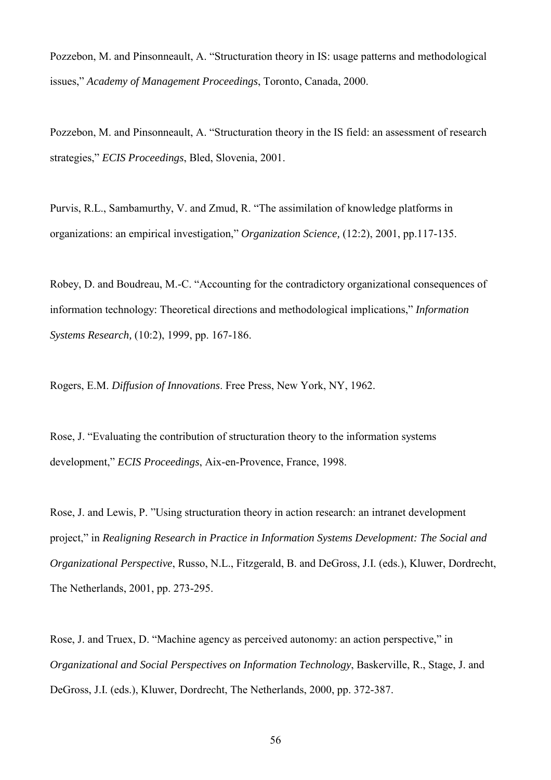Pozzebon, M. and Pinsonneault, A. "Structuration theory in IS: usage patterns and methodological issues," *Academy of Management Proceedings*, Toronto, Canada, 2000.

Pozzebon, M. and Pinsonneault, A. "Structuration theory in the IS field: an assessment of research strategies," *ECIS Proceedings*, Bled, Slovenia, 2001.

Purvis, R.L., Sambamurthy, V. and Zmud, R. "The assimilation of knowledge platforms in organizations: an empirical investigation," *Organization Science,* (12:2), 2001, pp.117-135.

Robey, D. and Boudreau, M.-C. "Accounting for the contradictory organizational consequences of information technology: Theoretical directions and methodological implications," *Information Systems Research,* (10:2), 1999, pp. 167-186.

Rogers, E.M. *Diffusion of Innovations*. Free Press, New York, NY, 1962.

Rose, J. "Evaluating the contribution of structuration theory to the information systems development," *ECIS Proceedings*, Aix-en-Provence, France, 1998.

Rose, J. and Lewis, P. "Using structuration theory in action research: an intranet development project," in *Realigning Research in Practice in Information Systems Development: The Social and Organizational Perspective*, Russo, N.L., Fitzgerald, B. and DeGross, J.I. (eds.), Kluwer, Dordrecht, The Netherlands, 2001, pp. 273-295.

Rose, J. and Truex, D. "Machine agency as perceived autonomy: an action perspective," in *Organizational and Social Perspectives on Information Technology*, Baskerville, R., Stage, J. and DeGross, J.I. (eds.), Kluwer, Dordrecht, The Netherlands, 2000, pp. 372-387.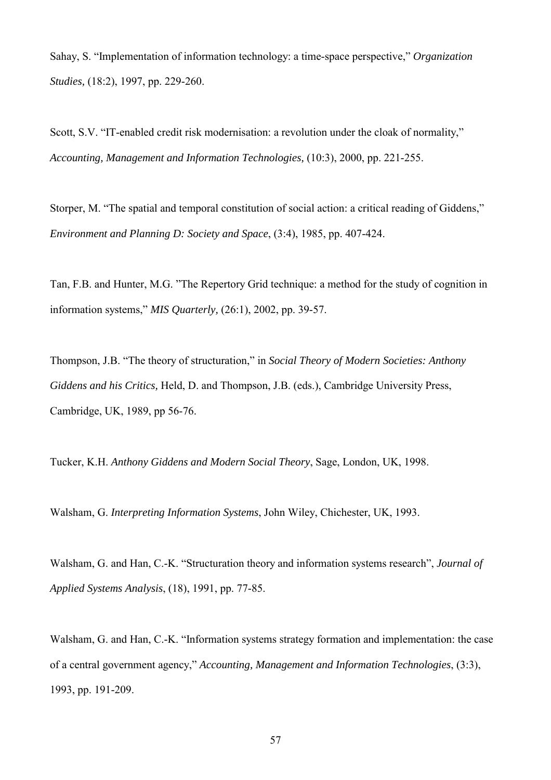Sahay, S. "Implementation of information technology: a time-space perspective," *Organization Studies,* (18:2), 1997, pp. 229-260.

Scott, S.V. "IT-enabled credit risk modernisation: a revolution under the cloak of normality," *Accounting, Management and Information Technologies,* (10:3), 2000, pp. 221-255.

Storper, M. "The spatial and temporal constitution of social action: a critical reading of Giddens," *Environment and Planning D: Society and Space*, (3:4), 1985, pp. 407-424.

Tan, F.B. and Hunter, M.G. "The Repertory Grid technique: a method for the study of cognition in information systems," *MIS Quarterly,* (26:1), 2002, pp. 39-57.

Thompson, J.B. "The theory of structuration," in *Social Theory of Modern Societies: Anthony Giddens and his Critics,* Held, D. and Thompson, J.B. (eds.), Cambridge University Press, Cambridge, UK, 1989, pp 56-76.

Tucker, K.H. *Anthony Giddens and Modern Social Theory*, Sage, London, UK, 1998.

Walsham, G. *Interpreting Information Systems*, John Wiley, Chichester, UK, 1993.

Walsham, G. and Han, C.-K. "Structuration theory and information systems research", *Journal of Applied Systems Analysis*, (18), 1991, pp. 77-85.

Walsham, G. and Han, C.-K. "Information systems strategy formation and implementation: the case of a central government agency," *Accounting, Management and Information Technologies*, (3:3), 1993, pp. 191-209.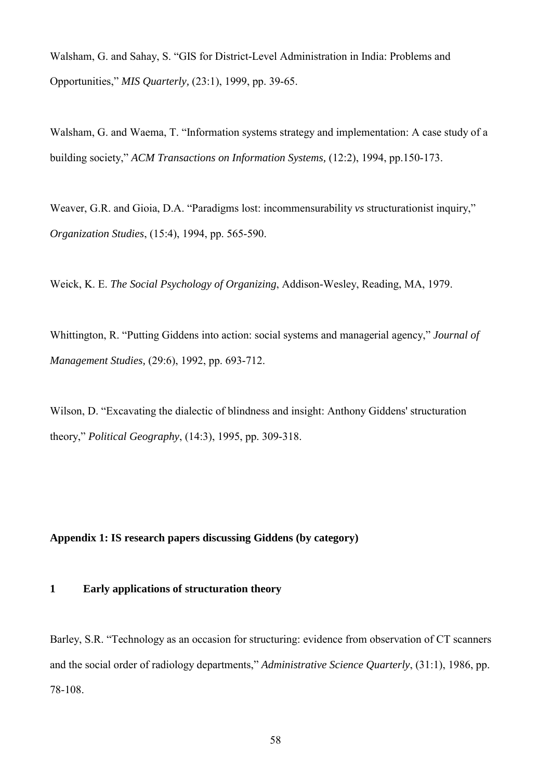Walsham, G. and Sahay, S. "GIS for District-Level Administration in India: Problems and Opportunities," *MIS Quarterly,* (23:1), 1999, pp. 39-65.

Walsham, G. and Waema, T. "Information systems strategy and implementation: A case study of a building society," *ACM Transactions on Information Systems,* (12:2), 1994, pp.150-173.

Weaver, G.R. and Gioia, D.A. "Paradigms lost: incommensurability *vs* structurationist inquiry," *Organization Studies*, (15:4), 1994, pp. 565-590.

Weick, K. E. *The Social Psychology of Organizing*, Addison-Wesley, Reading, MA, 1979.

Whittington, R. "Putting Giddens into action: social systems and managerial agency," *Journal of Management Studies,* (29:6), 1992, pp. 693-712.

Wilson, D. "Excavating the dialectic of blindness and insight: Anthony Giddens' structuration theory," *Political Geography*, (14:3), 1995, pp. 309-318.

# **Appendix 1: IS research papers discussing Giddens (by category)**

## **1 Early applications of structuration theory**

Barley, S.R. "Technology as an occasion for structuring: evidence from observation of CT scanners and the social order of radiology departments," *Administrative Science Quarterly*, (31:1), 1986, pp. 78-108.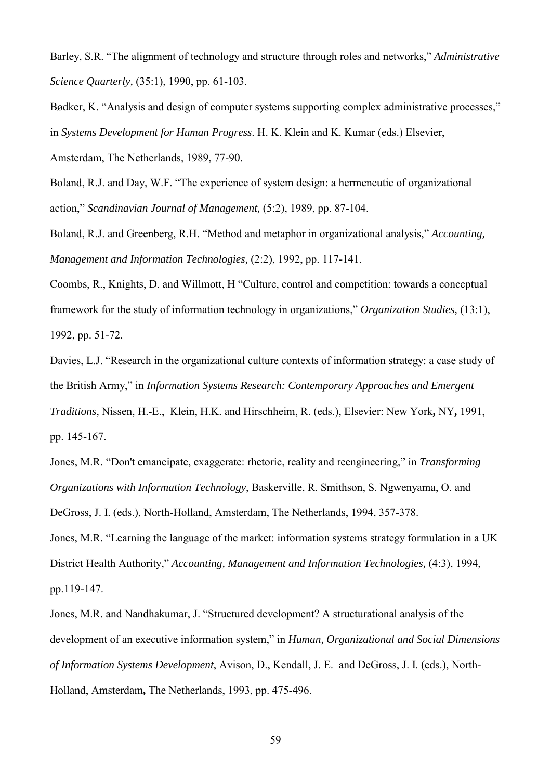Barley, S.R. "The alignment of technology and structure through roles and networks," *Administrative Science Quarterly,* (35:1), 1990, pp. 61-103.

Bødker, K. "Analysis and design of computer systems supporting complex administrative processes," in *Systems Development for Human Progress*. H. K. Klein and K. Kumar (eds.) Elsevier, Amsterdam, The Netherlands, 1989, 77-90.

Boland, R.J. and Day, W.F. "The experience of system design: a hermeneutic of organizational action," *Scandinavian Journal of Management,* (5:2), 1989, pp. 87-104.

Boland, R.J. and Greenberg, R.H. "Method and metaphor in organizational analysis," *Accounting, Management and Information Technologies,* (2:2), 1992, pp. 117-141.

Coombs, R., Knights, D. and Willmott, H "Culture, control and competition: towards a conceptual framework for the study of information technology in organizations," *Organization Studies,* (13:1), 1992, pp. 51-72.

Davies, L.J. "Research in the organizational culture contexts of information strategy: a case study of the British Army," in *Information Systems Research: Contemporary Approaches and Emergent Traditions*, Nissen, H.-E., Klein, H.K. and Hirschheim, R. (eds.), Elsevier: New York**,** NY**,** 1991, pp. 145-167.

Jones, M.R. "Don't emancipate, exaggerate: rhetoric, reality and reengineering," in *Transforming Organizations with Information Technology*, Baskerville, R. Smithson, S. Ngwenyama, O. and DeGross, J. I. (eds.), North-Holland, Amsterdam, The Netherlands, 1994, 357-378.

Jones, M.R. "Learning the language of the market: information systems strategy formulation in a UK District Health Authority," *Accounting, Management and Information Technologies,* (4:3), 1994, pp.119-147.

Jones, M.R. and Nandhakumar, J. "Structured development? A structurational analysis of the development of an executive information system," in *Human, Organizational and Social Dimensions of Information Systems Development*, Avison, D., Kendall, J. E. and DeGross, J. I. (eds.), North-Holland, Amsterdam**,** The Netherlands, 1993, pp. 475-496.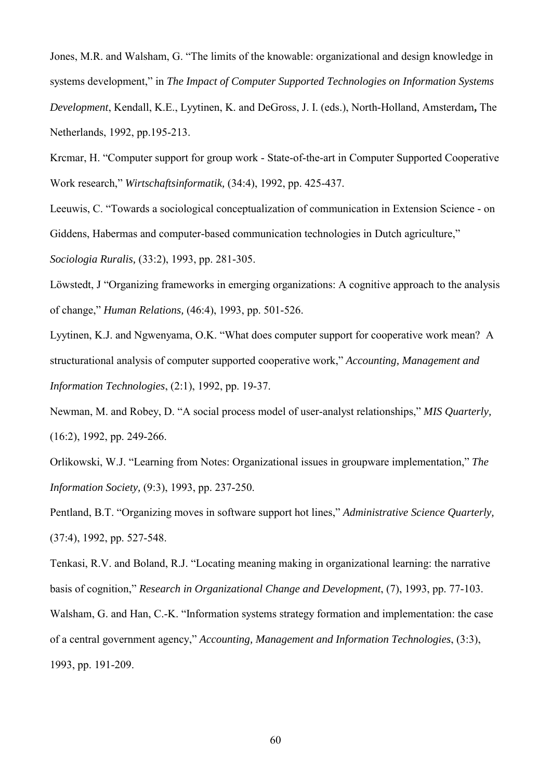Jones, M.R. and Walsham, G. "The limits of the knowable: organizational and design knowledge in systems development," in *The Impact of Computer Supported Technologies on Information Systems Development*, Kendall, K.E., Lyytinen, K. and DeGross, J. I. (eds.), North-Holland, Amsterdam**,** The Netherlands, 1992, pp.195-213.

Krcmar, H. "Computer support for group work - State-of-the-art in Computer Supported Cooperative Work research," *Wirtschaftsinformatik,* (34:4), 1992, pp. 425-437.

Leeuwis, C. "Towards a sociological conceptualization of communication in Extension Science - on Giddens, Habermas and computer-based communication technologies in Dutch agriculture,"

*Sociologia Ruralis,* (33:2), 1993, pp. 281-305.

Löwstedt, J "Organizing frameworks in emerging organizations: A cognitive approach to the analysis of change," *Human Relations,* (46:4), 1993, pp. 501-526.

Lyytinen, K.J. and Ngwenyama, O.K. "What does computer support for cooperative work mean? A structurational analysis of computer supported cooperative work," *Accounting, Management and Information Technologies*, (2:1), 1992, pp. 19-37.

Newman, M. and Robey, D. "A social process model of user-analyst relationships," *MIS Quarterly,* (16:2), 1992, pp. 249-266.

Orlikowski, W.J. "Learning from Notes: Organizational issues in groupware implementation," *The Information Society,* (9:3), 1993, pp. 237-250.

Pentland, B.T. "Organizing moves in software support hot lines," *Administrative Science Quarterly,* (37:4), 1992, pp. 527-548.

Tenkasi, R.V. and Boland, R.J. "Locating meaning making in organizational learning: the narrative basis of cognition," *Research in Organizational Change and Development*, (7), 1993, pp. 77-103.

Walsham, G. and Han, C.-K. "Information systems strategy formation and implementation: the case of a central government agency," *Accounting, Management and Information Technologies*, (3:3), 1993, pp. 191-209.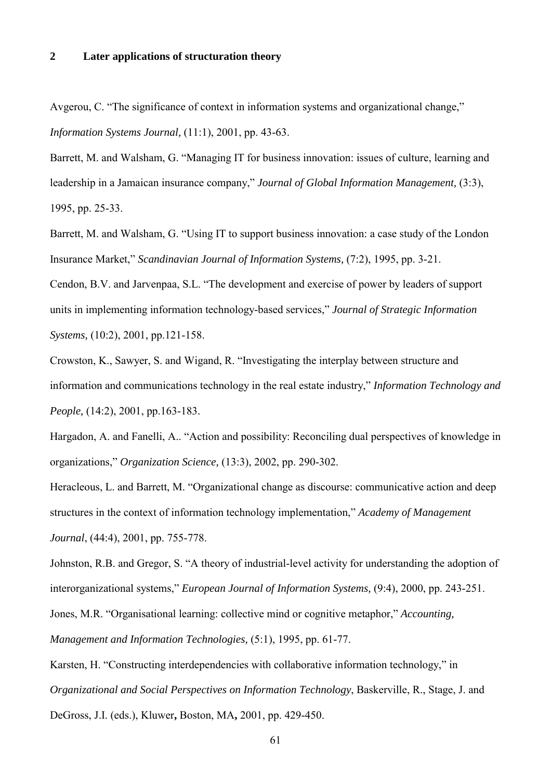### **2 Later applications of structuration theory**

Avgerou, C. "The significance of context in information systems and organizational change," *Information Systems Journal,* (11:1), 2001, pp. 43-63.

Barrett, M. and Walsham, G. "Managing IT for business innovation: issues of culture, learning and leadership in a Jamaican insurance company," *Journal of Global Information Management,* (3:3), 1995, pp. 25-33.

Barrett, M. and Walsham, G. "Using IT to support business innovation: a case study of the London Insurance Market," *Scandinavian Journal of Information Systems,* (7:2), 1995, pp. 3-21.

Cendon, B.V. and Jarvenpaa, S.L. "The development and exercise of power by leaders of support units in implementing information technology-based services," *Journal of Strategic Information Systems,* (10:2), 2001, pp.121-158.

Crowston, K., Sawyer, S. and Wigand, R. "Investigating the interplay between structure and information and communications technology in the real estate industry," *Information Technology and People,* (14:2), 2001, pp.163-183.

Hargadon, A. and Fanelli, A.. "Action and possibility: Reconciling dual perspectives of knowledge in organizations," *Organization Science,* (13:3), 2002, pp. 290-302.

Heracleous, L. and Barrett, M. "Organizational change as discourse: communicative action and deep structures in the context of information technology implementation," *Academy of Management Journal*, (44:4), 2001, pp. 755-778.

Johnston, R.B. and Gregor, S. "A theory of industrial-level activity for understanding the adoption of interorganizational systems," *European Journal of Information Systems,* (9:4), 2000, pp. 243-251.

Jones, M.R. "Organisational learning: collective mind or cognitive metaphor," *Accounting,* 

*Management and Information Technologies,* (5:1), 1995, pp. 61-77.

Karsten, H. "Constructing interdependencies with collaborative information technology," in *Organizational and Social Perspectives on Information Technology*, Baskerville, R., Stage, J. and DeGross, J.I. (eds.), Kluwer**,** Boston, MA**,** 2001, pp. 429-450.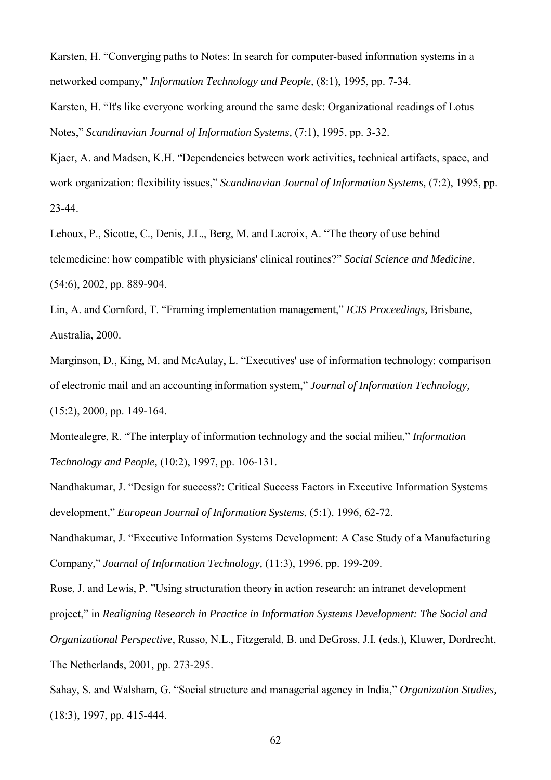Karsten, H. "Converging paths to Notes: In search for computer-based information systems in a networked company," *Information Technology and People,* (8:1), 1995, pp. 7-34.

Karsten, H. "It's like everyone working around the same desk: Organizational readings of Lotus Note*s*," *Scandinavian Journal of Information Systems,* (7:1), 1995, pp. 3-32.

Kjaer, A. and Madsen, K.H. "Dependencies between work activities, technical artifacts, space, and work organization: flexibility issues," *Scandinavian Journal of Information Systems,* (7:2), 1995, pp. 23-44.

Lehoux, P., Sicotte, C., Denis, J.L., Berg, M. and Lacroix, A. "The theory of use behind telemedicine: how compatible with physicians' clinical routines?" *Social Science and Medicine*, (54:6), 2002, pp. 889-904.

Lin, A. and Cornford, T. "Framing implementation management," *ICIS Proceedings,* Brisbane, Australia, 2000.

Marginson, D., King, M. and McAulay, L. "Executives' use of information technology: comparison of electronic mail and an accounting information system," *Journal of Information Technology,* (15:2), 2000, pp. 149-164.

Montealegre, R. "The interplay of information technology and the social milieu," *Information Technology and People,* (10:2), 1997, pp. 106-131.

Nandhakumar, J. "Design for success?: Critical Success Factors in Executive Information Systems development," *European Journal of Information Systems*, (5:1), 1996, 62-72.

Nandhakumar, J. "Executive Information Systems Development: A Case Study of a Manufacturing Company," *Journal of Information Technology,* (11:3), 1996, pp. 199-209.

Rose, J. and Lewis, P. "Using structuration theory in action research: an intranet development project," in *Realigning Research in Practice in Information Systems Development: The Social and Organizational Perspective*, Russo, N.L., Fitzgerald, B. and DeGross, J.I. (eds.), Kluwer, Dordrecht, The Netherlands, 2001, pp. 273-295.

Sahay, S. and Walsham, G. "Social structure and managerial agency in India," *Organization Studies,* (18:3), 1997, pp. 415-444.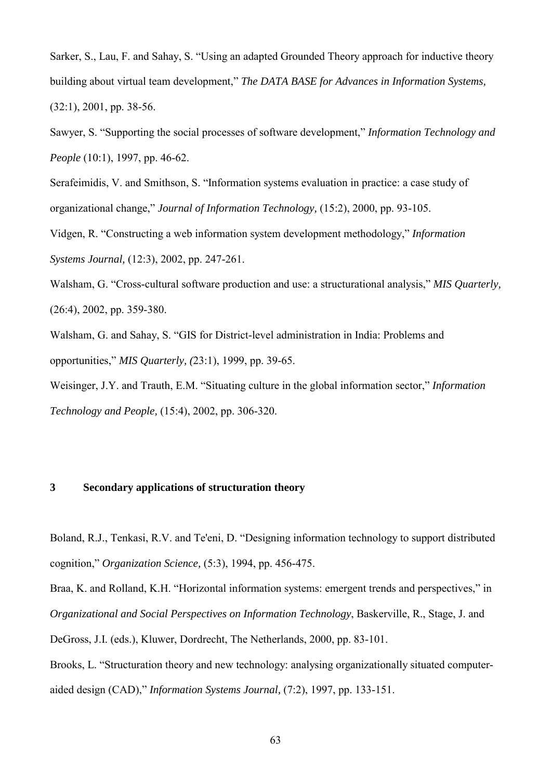Sarker, S., Lau, F. and Sahay, S. "Using an adapted Grounded Theory approach for inductive theory building about virtual team development," *The DATA BASE for Advances in Information Systems,* (32:1), 2001, pp. 38-56.

Sawyer, S. "Supporting the social processes of software development," *Information Technology and People* (10:1), 1997, pp. 46-62.

Serafeimidis, V. and Smithson, S. "Information systems evaluation in practice: a case study of organizational change," *Journal of Information Technology,* (15:2), 2000, pp. 93-105.

Vidgen, R. "Constructing a web information system development methodology," *Information Systems Journal,* (12:3), 2002, pp. 247-261.

Walsham, G. "Cross-cultural software production and use: a structurational analysis," *MIS Quarterly,* (26:4), 2002, pp. 359-380.

Walsham, G. and Sahay, S. "GIS for District-level administration in India: Problems and opportunities," *MIS Quarterly, (*23:1), 1999, pp. 39-65.

Weisinger, J.Y. and Trauth, E.M. "Situating culture in the global information sector," *Information Technology and People,* (15:4), 2002, pp. 306-320.

## **3 Secondary applications of structuration theory**

Boland, R.J., Tenkasi, R.V. and Te'eni, D. "Designing information technology to support distributed cognition," *Organization Science,* (5:3), 1994, pp. 456-475.

Braa, K. and Rolland, K.H. "Horizontal information systems: emergent trends and perspectives," in *Organizational and Social Perspectives on Information Technology*, Baskerville, R., Stage, J. and DeGross, J.I. (eds.), Kluwer, Dordrecht, The Netherlands, 2000, pp. 83-101.

Brooks, L. "Structuration theory and new technology: analysing organizationally situated computeraided design (CAD)," *Information Systems Journal,* (7:2), 1997, pp. 133-151.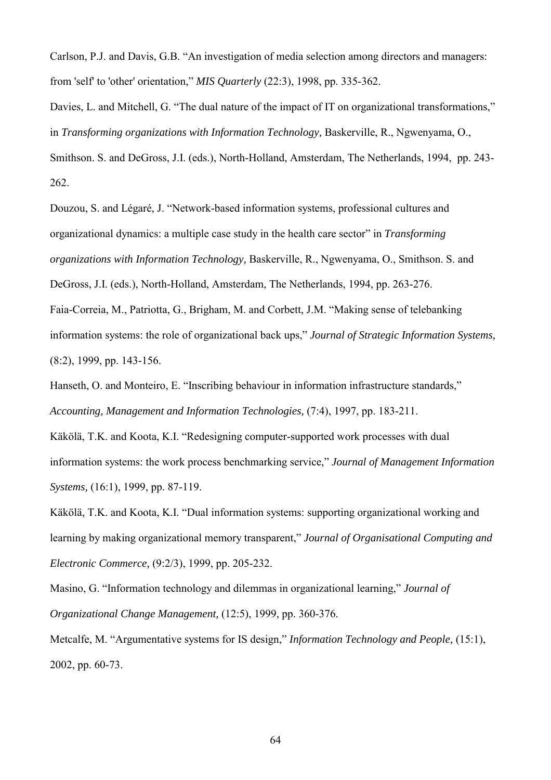Carlson, P.J. and Davis, G.B. "An investigation of media selection among directors and managers: from 'self' to 'other' orientation," *MIS Quarterly* (22:3), 1998, pp. 335-362.

Davies, L. and Mitchell, G. "The dual nature of the impact of IT on organizational transformations," in *Transforming organizations with Information Technology,* Baskerville, R., Ngwenyama, O., Smithson. S. and DeGross, J.I. (eds.), North-Holland, Amsterdam, The Netherlands, 1994, pp. 243- 262.

Douzou, S. and Légaré, J. "Network-based information systems, professional cultures and organizational dynamics: a multiple case study in the health care sector" in *Transforming organizations with Information Technology,* Baskerville, R., Ngwenyama, O., Smithson. S. and DeGross, J.I. (eds.), North-Holland, Amsterdam, The Netherlands, 1994, pp. 263-276. Faia-Correia, M., Patriotta, G., Brigham, M. and Corbett, J.M. "Making sense of telebanking information systems: the role of organizational back ups," *Journal of Strategic Information Systems,*

(8:2), 1999, pp. 143-156.

Hanseth, O. and Monteiro, E. "Inscribing behaviour in information infrastructure standards," *Accounting, Management and Information Technologies,* (7:4), 1997, pp. 183-211.

Käkölä, T.K. and Koota, K.I. "Redesigning computer-supported work processes with dual information systems: the work process benchmarking service," *Journal of Management Information Systems,* (16:1), 1999, pp. 87-119.

Käkölä, T.K. and Koota, K.I. "Dual information systems: supporting organizational working and learning by making organizational memory transparent," *Journal of Organisational Computing and Electronic Commerce,* (9:2/3), 1999, pp. 205-232.

Masino, G. "Information technology and dilemmas in organizational learning," *Journal of Organizational Change Management,* (12:5), 1999, pp. 360-376.

Metcalfe, M. "Argumentative systems for IS design," *Information Technology and People,* (15:1), 2002, pp. 60-73.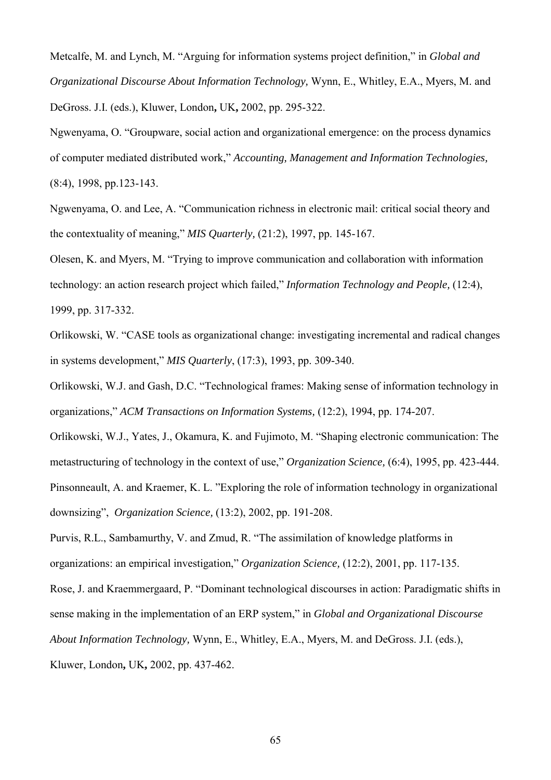Metcalfe, M. and Lynch, M. "Arguing for information systems project definition," in *Global and Organizational Discourse About Information Technology,* Wynn, E., Whitley, E.A., Myers, M. and DeGross. J.I. (eds.), Kluwer, London**,** UK**,** 2002, pp. 295-322.

Ngwenyama, O. "Groupware, social action and organizational emergence: on the process dynamics of computer mediated distributed work," *Accounting, Management and Information Technologies,* (8:4), 1998, pp.123-143.

Ngwenyama, O. and Lee, A. "Communication richness in electronic mail: critical social theory and the contextuality of meaning," *MIS Quarterly,* (21:2), 1997, pp. 145-167.

Olesen, K. and Myers, M. "Trying to improve communication and collaboration with information technology: an action research project which failed," *Information Technology and People,* (12:4), 1999, pp. 317-332.

Orlikowski, W. "CASE tools as organizational change: investigating incremental and radical changes in systems development," *MIS Quarterly*, (17:3), 1993, pp. 309-340.

Orlikowski, W.J. and Gash, D.C. "Technological frames: Making sense of information technology in organizations," *ACM Transactions on Information Systems,* (12:2), 1994, pp. 174-207.

Orlikowski, W.J., Yates, J., Okamura, K. and Fujimoto, M. "Shaping electronic communication: The metastructuring of technology in the context of use," *Organization Science,* (6:4), 1995, pp. 423-444. Pinsonneault, A. and Kraemer, K. L. "Exploring the role of information technology in organizational downsizing", *Organization Science,* (13:2), 2002, pp. 191-208.

Purvis, R.L., Sambamurthy, V. and Zmud, R. "The assimilation of knowledge platforms in organizations: an empirical investigation," *Organization Science,* (12:2), 2001, pp. 117-135.

Rose, J. and Kraemmergaard, P. "Dominant technological discourses in action: Paradigmatic shifts in sense making in the implementation of an ERP system," in *Global and Organizational Discourse* 

*About Information Technology,* Wynn, E., Whitley, E.A., Myers, M. and DeGross. J.I. (eds.),

Kluwer, London**,** UK**,** 2002, pp. 437-462.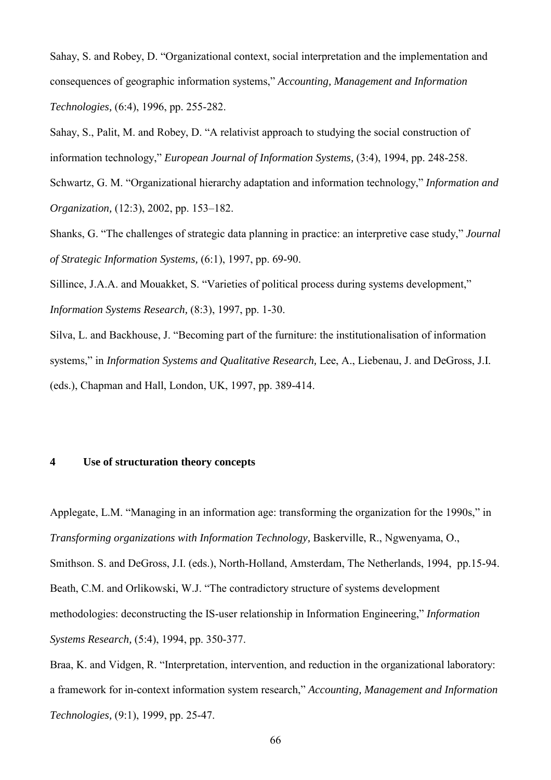Sahay, S. and Robey, D. "Organizational context, social interpretation and the implementation and consequences of geographic information systems," *Accounting, Management and Information Technologies,* (6:4), 1996, pp. 255-282.

Sahay, S., Palit, M. and Robey, D. "A relativist approach to studying the social construction of information technology," *European Journal of Information Systems,* (3:4), 1994, pp. 248-258.

Schwartz, G. M. "Organizational hierarchy adaptation and information technology," *Information and Organization,* (12:3), 2002, pp. 153–182.

Shanks, G. "The challenges of strategic data planning in practice: an interpretive case study," *Journal of Strategic Information Systems,* (6:1), 1997, pp. 69-90.

Sillince, J.A.A. and Mouakket, S. "Varieties of political process during systems development," *Information Systems Research,* (8:3), 1997, pp. 1-30.

Silva, L. and Backhouse, J. "Becoming part of the furniture: the institutionalisation of information systems," in *Information Systems and Qualitative Research,* Lee, A., Liebenau, J. and DeGross, J.I. (eds.), Chapman and Hall, London, UK, 1997, pp. 389-414.

## **4 Use of structuration theory concepts**

Applegate, L.M. "Managing in an information age: transforming the organization for the 1990s," in *Transforming organizations with Information Technology,* Baskerville, R., Ngwenyama, O., Smithson. S. and DeGross, J.I. (eds.), North-Holland, Amsterdam, The Netherlands, 1994, pp.15-94. Beath, C.M. and Orlikowski, W.J. "The contradictory structure of systems development methodologies: deconstructing the IS-user relationship in Information Engineering," *Information Systems Research,* (5:4), 1994, pp. 350-377.

Braa, K. and Vidgen, R. "Interpretation, intervention, and reduction in the organizational laboratory: a framework for in-context information system research," *Accounting, Management and Information Technologies,* (9:1), 1999, pp. 25-47.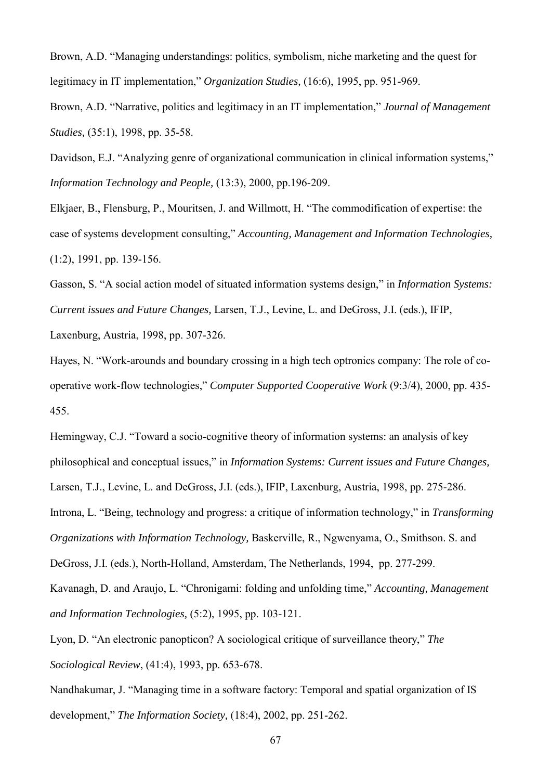Brown, A.D. "Managing understandings: politics, symbolism, niche marketing and the quest for legitimacy in IT implementation," *Organization Studies,* (16:6), 1995, pp. 951-969.

Brown, A.D. "Narrative, politics and legitimacy in an IT implementation," *Journal of Management Studies,* (35:1), 1998, pp. 35-58.

Davidson, E.J. "Analyzing genre of organizational communication in clinical information systems," *Information Technology and People,* (13:3), 2000, pp.196-209.

Elkjaer, B., Flensburg, P., Mouritsen, J. and Willmott, H. "The commodification of expertise: the case of systems development consulting," *Accounting, Management and Information Technologies,*  (1:2), 1991, pp. 139-156.

Gasson, S. "A social action model of situated information systems design," in *Information Systems: Current issues and Future Changes,* Larsen, T.J., Levine, L. and DeGross, J.I. (eds.), IFIP,

Laxenburg, Austria, 1998, pp. 307-326.

Hayes, N. "Work-arounds and boundary crossing in a high tech optronics company: The role of cooperative work-flow technologies," *Computer Supported Cooperative Work* (9:3/4), 2000, pp. 435- 455.

Hemingway, C.J. "Toward a socio-cognitive theory of information systems: an analysis of key philosophical and conceptual issues," in *Information Systems: Current issues and Future Changes,* Larsen, T.J., Levine, L. and DeGross, J.I. (eds.), IFIP, Laxenburg, Austria, 1998, pp. 275-286. Introna, L. "Being, technology and progress: a critique of information technology," in *Transforming* 

*Organizations with Information Technology,* Baskerville, R., Ngwenyama, O., Smithson. S. and

DeGross, J.I. (eds.), North-Holland, Amsterdam, The Netherlands, 1994, pp. 277-299.

Kavanagh, D. and Araujo, L. "Chronigami: folding and unfolding time," *Accounting, Management and Information Technologies,* (5:2), 1995, pp. 103-121.

Lyon, D. "An electronic panopticon? A sociological critique of surveillance theory," *The Sociological Review*, (41:4), 1993, pp. 653-678.

Nandhakumar, J. "Managing time in a software factory: Temporal and spatial organization of IS development," *The Information Society,* (18:4), 2002, pp. 251-262.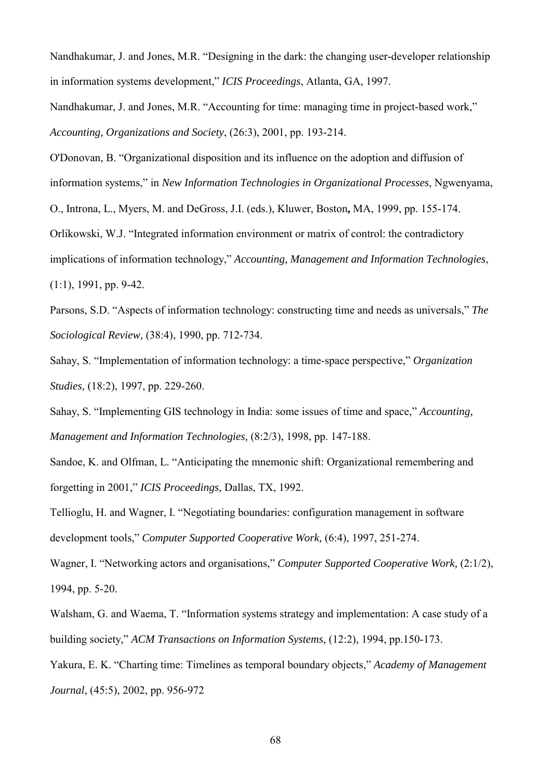Nandhakumar, J. and Jones, M.R. "Designing in the dark: the changing user-developer relationship in information systems development," *ICIS Proceedings*, Atlanta, GA, 1997.

Nandhakumar, J. and Jones, M.R. "Accounting for time: managing time in project-based work," *Accounting, Organizations and Society*, (26:3), 2001, pp. 193-214.

O'Donovan, B. "Organizational disposition and its influence on the adoption and diffusion of information systems," in *New Information Technologies in Organizational Processes,* Ngwenyama,

O., Introna, L., Myers, M. and DeGross, J.I. (eds.), Kluwer, Boston**,** MA, 1999, pp. 155-174.

Orlikowski, W.J. "Integrated information environment or matrix of control: the contradictory

implications of information technology," *Accounting, Management and Information Technologies*, (1:1), 1991, pp. 9-42.

Parsons, S.D. "Aspects of information technology: constructing time and needs as universals," *The Sociological Review,* (38:4), 1990, pp. 712-734.

Sahay, S. "Implementation of information technology: a time-space perspective," *Organization Studies,* (18:2), 1997, pp. 229-260.

Sahay, S. "Implementing GIS technology in India: some issues of time and space," *Accounting, Management and Information Technologies,* (8:2/3), 1998, pp. 147-188.

Sandoe, K. and Olfman, L. "Anticipating the mnemonic shift: Organizational remembering and forgetting in 2001," *ICIS Proceedings,* Dallas, TX, 1992.

Tellioglu, H. and Wagner, I. "Negotiating boundaries: configuration management in software development tools," *Computer Supported Cooperative Work,* (6:4), 1997, 251-274.

Wagner, I. "Networking actors and organisations," *Computer Supported Cooperative Work,* (2:1/2), 1994, pp. 5-20.

Walsham, G. and Waema, T. "Information systems strategy and implementation: A case study of a building society," *ACM Transactions on Information Systems,* (12:2), 1994, pp.150-173.

Yakura, E. K. "Charting time: Timelines as temporal boundary objects," *Academy of Management Journal*, (45:5), 2002, pp. 956-972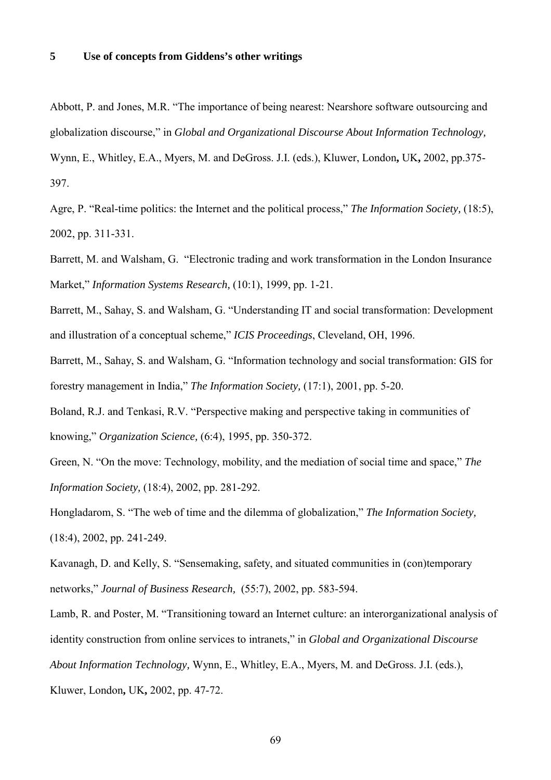### **5 Use of concepts from Giddens's other writings**

Abbott, P. and Jones, M.R. "The importance of being nearest: Nearshore software outsourcing and globalization discourse," in *Global and Organizational Discourse About Information Technology,* Wynn, E., Whitley, E.A., Myers, M. and DeGross. J.I. (eds.), Kluwer, London**,** UK**,** 2002, pp.375- 397.

Agre, P. "Real-time politics: the Internet and the political process," *The Information Society,* (18:5), 2002, pp. 311-331.

Barrett, M. and Walsham, G. "Electronic trading and work transformation in the London Insurance Market," *Information Systems Research,* (10:1), 1999, pp. 1-21.

Barrett, M., Sahay, S. and Walsham, G. "Understanding IT and social transformation: Development and illustration of a conceptual scheme," *ICIS Proceedings*, Cleveland, OH, 1996.

Barrett, M., Sahay, S. and Walsham, G. "Information technology and social transformation: GIS for forestry management in India," *The Information Society,* (17:1), 2001, pp. 5-20.

Boland, R.J. and Tenkasi, R.V. "Perspective making and perspective taking in communities of knowing," *Organization Science,* (6:4), 1995, pp. 350-372.

Green, N. "On the move: Technology, mobility, and the mediation of social time and space," *The Information Society,* (18:4), 2002, pp. 281-292.

Hongladarom, S. "The web of time and the dilemma of globalization," *The Information Society,*  (18:4), 2002, pp. 241-249.

Kavanagh, D. and Kelly, S. "Sensemaking, safety, and situated communities in (con)temporary networks," *Journal of Business Research,* (55:7), 2002, pp. 583-594.

Lamb, R. and Poster, M. "Transitioning toward an Internet culture: an interorganizational analysis of identity construction from online services to intranets," in *Global and Organizational Discourse About Information Technology,* Wynn, E., Whitley, E.A., Myers, M. and DeGross. J.I. (eds.), Kluwer, London**,** UK**,** 2002, pp. 47-72.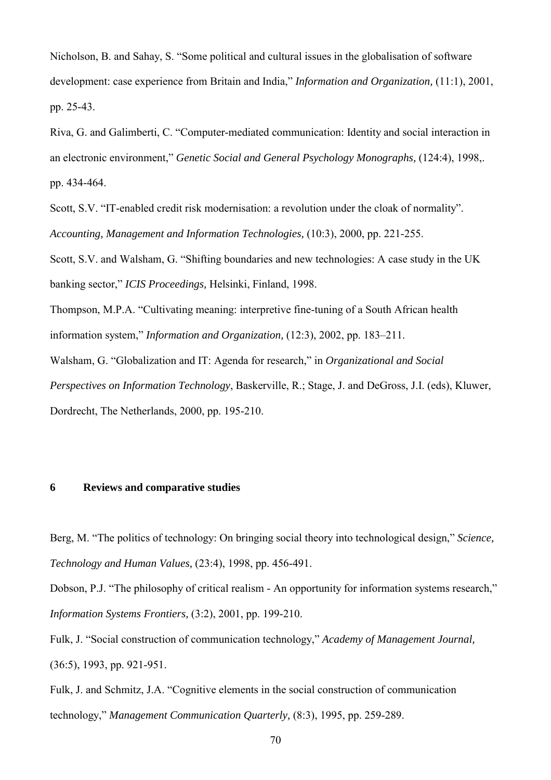Nicholson, B. and Sahay, S. "Some political and cultural issues in the globalisation of software development: case experience from Britain and India," *Information and Organization,* (11:1), 2001, pp. 25-43.

Riva, G. and Galimberti, C. "Computer-mediated communication: Identity and social interaction in an electronic environment," *Genetic Social and General Psychology Monographs,* (124:4), 1998,. pp. 434-464.

Scott, S.V. "IT-enabled credit risk modernisation: a revolution under the cloak of normality". *Accounting, Management and Information Technologies,* (10:3), 2000, pp. 221-255.

Scott, S.V. and Walsham, G. "Shifting boundaries and new technologies: A case study in the UK banking sector," *ICIS Proceedings,* Helsinki, Finland, 1998.

Thompson, M.P.A. "Cultivating meaning: interpretive fine-tuning of a South African health information system," *Information and Organization,* (12:3), 2002, pp. 183–211.

Walsham, G. "Globalization and IT: Agenda for research," in *Organizational and Social Perspectives on Information Technology*, Baskerville, R.; Stage, J. and DeGross, J.I. (eds), Kluwer, Dordrecht, The Netherlands, 2000, pp. 195-210.

# **6 Reviews and comparative studies**

Berg, M. "The politics of technology: On bringing social theory into technological design," *Science, Technology and Human Values,* (23:4), 1998, pp. 456-491.

Dobson, P.J. "The philosophy of critical realism - An opportunity for information systems research," *Information Systems Frontiers,* (3:2), 2001, pp. 199-210.

Fulk, J. "Social construction of communication technology," *Academy of Management Journal,* (36:5), 1993, pp. 921-951.

Fulk, J. and Schmitz, J.A. "Cognitive elements in the social construction of communication technology," *Management Communication Quarterly,* (8:3), 1995, pp. 259-289.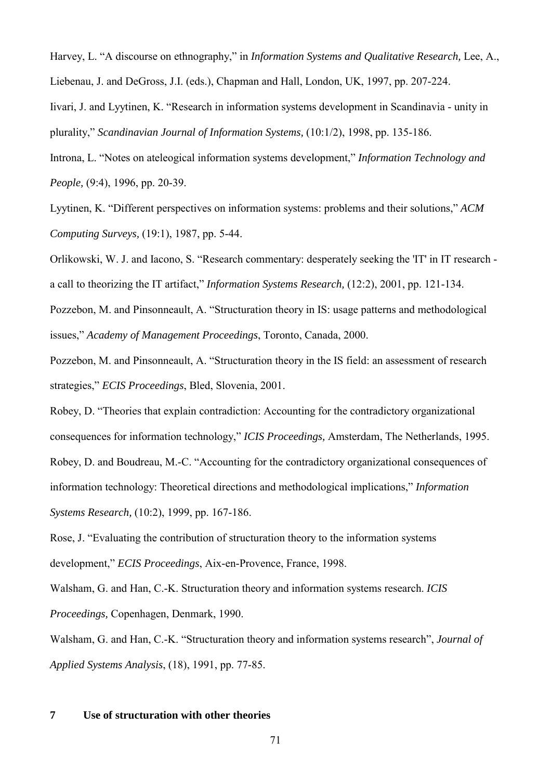Harvey, L. "A discourse on ethnography," in *Information Systems and Qualitative Research,* Lee, A., Liebenau, J. and DeGross, J.I. (eds.), Chapman and Hall, London, UK, 1997, pp. 207-224.

Iivari, J. and Lyytinen, K. "Research in information systems development in Scandinavia - unity in plurality," *Scandinavian Journal of Information Systems,* (10:1/2), 1998, pp. 135-186.

Introna, L. "Notes on ateleogical information systems development," *Information Technology and People,* (9:4), 1996, pp. 20-39.

Lyytinen, K. "Different perspectives on information systems: problems and their solutions," *ACM Computing Surveys,* (19:1), 1987, pp. 5-44.

Orlikowski, W. J. and Iacono, S. "Research commentary: desperately seeking the 'IT' in IT research a call to theorizing the IT artifact," *Information Systems Research,* (12:2), 2001, pp. 121-134.

Pozzebon, M. and Pinsonneault, A. "Structuration theory in IS: usage patterns and methodological issues," *Academy of Management Proceedings*, Toronto, Canada, 2000.

Pozzebon, M. and Pinsonneault, A. "Structuration theory in the IS field: an assessment of research strategies," *ECIS Proceedings*, Bled, Slovenia, 2001.

Robey, D. "Theories that explain contradiction: Accounting for the contradictory organizational consequences for information technology," *ICIS Proceedings,* Amsterdam, The Netherlands, 1995. Robey, D. and Boudreau, M.-C. "Accounting for the contradictory organizational consequences of information technology: Theoretical directions and methodological implications," *Information Systems Research,* (10:2), 1999, pp. 167-186.

Rose, J. "Evaluating the contribution of structuration theory to the information systems development," *ECIS Proceedings*, Aix-en-Provence, France, 1998.

Walsham, G. and Han, C.-K. Structuration theory and information systems research. *ICIS Proceedings,* Copenhagen, Denmark, 1990.

Walsham, G. and Han, C.-K. "Structuration theory and information systems research", *Journal of Applied Systems Analysis*, (18), 1991, pp. 77-85.

#### **7 Use of structuration with other theories**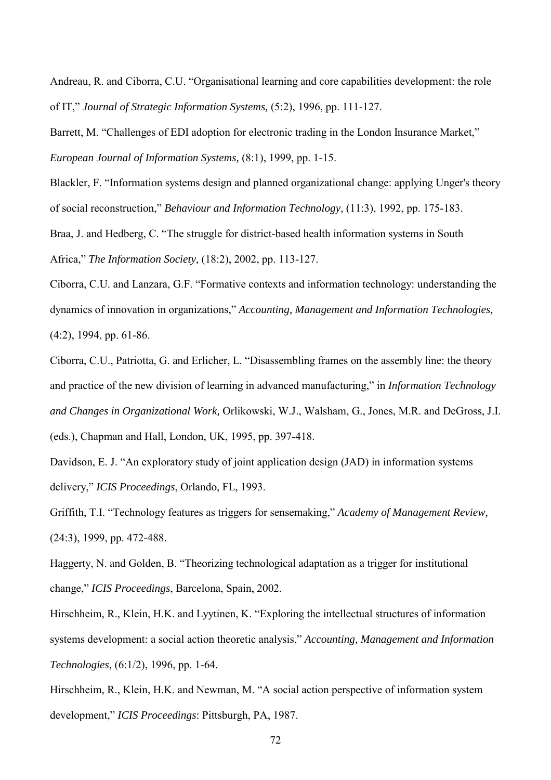Andreau, R. and Ciborra, C.U. "Organisational learning and core capabilities development: the role of IT," *Journal of Strategic Information Systems,* (5:2), 1996, pp. 111-127.

Barrett, M. "Challenges of EDI adoption for electronic trading in the London Insurance Market," *European Journal of Information Systems,* (8:1), 1999, pp. 1-15.

Blackler, F. "Information systems design and planned organizational change: applying Unger's theory of social reconstruction," *Behaviour and Information Technology,* (11:3), 1992, pp. 175-183.

Braa, J. and Hedberg, C. "The struggle for district-based health information systems in South Africa," *The Information Society,* (18:2), 2002, pp. 113-127.

Ciborra, C.U. and Lanzara, G.F. "Formative contexts and information technology: understanding the dynamics of innovation in organizations," *Accounting, Management and Information Technologies,*  (4:2), 1994, pp. 61-86.

Ciborra, C.U., Patriotta, G. and Erlicher, L. "Disassembling frames on the assembly line: the theory and practice of the new division of learning in advanced manufacturing," in *Information Technology and Changes in Organizational Work,* Orlikowski, W.J., Walsham, G., Jones, M.R. and DeGross, J.I.

(eds.), Chapman and Hall, London, UK, 1995, pp. 397-418.

Davidson, E. J. "An exploratory study of joint application design (JAD) in information systems delivery," *ICIS Proceedings*, Orlando, FL, 1993.

Griffith, T.I. "Technology features as triggers for sensemaking," *Academy of Management Review,* (24:3), 1999, pp. 472-488.

Haggerty, N. and Golden, B. "Theorizing technological adaptation as a trigger for institutional change," *ICIS Proceedings*, Barcelona, Spain, 2002.

Hirschheim, R., Klein, H.K. and Lyytinen, K. "Exploring the intellectual structures of information systems development: a social action theoretic analysis," *Accounting, Management and Information Technologies,* (6:1/2), 1996, pp. 1-64.

Hirschheim, R., Klein, H.K. and Newman, M. "A social action perspective of information system development," *ICIS Proceedings*: Pittsburgh, PA, 1987.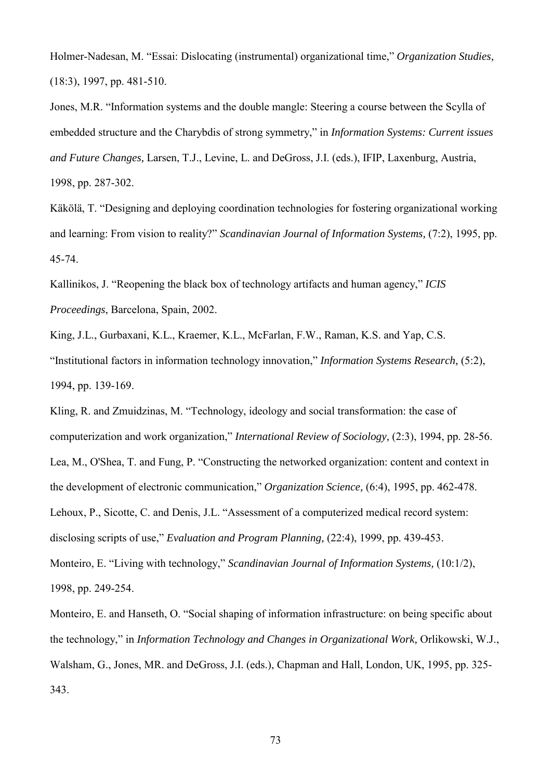Holmer-Nadesan, M. "Essai: Dislocating (instrumental) organizational time," *Organization Studies,* (18:3), 1997, pp. 481-510.

Jones, M.R. "Information systems and the double mangle: Steering a course between the Scylla of embedded structure and the Charybdis of strong symmetry," in *Information Systems: Current issues and Future Changes,* Larsen, T.J., Levine, L. and DeGross, J.I. (eds.), IFIP, Laxenburg, Austria, 1998, pp. 287-302.

Käkölä, T. "Designing and deploying coordination technologies for fostering organizational working and learning: From vision to reality?" *Scandinavian Journal of Information Systems,* (7:2), 1995, pp. 45-74.

Kallinikos, J. "Reopening the black box of technology artifacts and human agency," *ICIS Proceedings*, Barcelona, Spain, 2002.

King, J.L., Gurbaxani, K.L., Kraemer, K.L., McFarlan, F.W., Raman, K.S. and Yap, C.S. "Institutional factors in information technology innovation," *Information Systems Research,* (5:2), 1994, pp. 139-169.

Kling, R. and Zmuidzinas, M. "Technology, ideology and social transformation: the case of computerization and work organization," *International Review of Sociology,* (2:3), 1994, pp. 28-56. Lea, M., O'Shea, T. and Fung, P. "Constructing the networked organization: content and context in the development of electronic communication," *Organization Science,* (6:4), 1995, pp. 462-478. Lehoux, P., Sicotte, C. and Denis, J.L. "Assessment of a computerized medical record system: disclosing scripts of use," *Evaluation and Program Planning,* (22:4), 1999, pp. 439-453. Monteiro, E. "Living with technology," *Scandinavian Journal of Information Systems,* (10:1/2), 1998, pp. 249-254.

Monteiro, E. and Hanseth, O. "Social shaping of information infrastructure: on being specific about the technology," in *Information Technology and Changes in Organizational Work,* Orlikowski, W.J., Walsham, G., Jones, MR. and DeGross, J.I. (eds.), Chapman and Hall, London, UK, 1995, pp. 325- 343.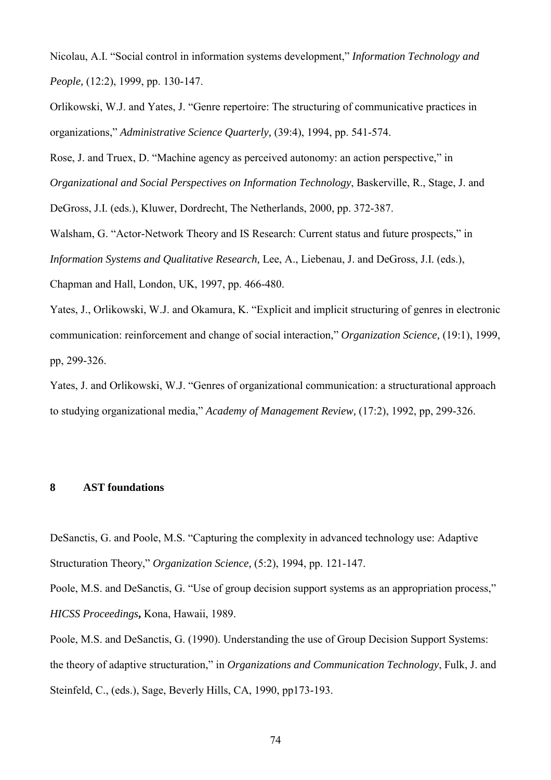Nicolau, A.I. "Social control in information systems development," *Information Technology and People,* (12:2), 1999, pp. 130-147.

Orlikowski, W.J. and Yates, J. "Genre repertoire: The structuring of communicative practices in organizations," *Administrative Science Quarterly,* (39:4), 1994, pp. 541-574.

Rose, J. and Truex, D. "Machine agency as perceived autonomy: an action perspective," in

*Organizational and Social Perspectives on Information Technology*, Baskerville, R., Stage, J. and

DeGross, J.I. (eds.), Kluwer, Dordrecht, The Netherlands, 2000, pp. 372-387.

Walsham, G. "Actor-Network Theory and IS Research: Current status and future prospects," in *Information Systems and Qualitative Research,* Lee, A., Liebenau, J. and DeGross, J.I. (eds.), Chapman and Hall, London, UK, 1997, pp. 466-480.

Yates, J., Orlikowski, W.J. and Okamura, K. "Explicit and implicit structuring of genres in electronic communication: reinforcement and change of social interaction," *Organization Science,* (19:1), 1999, pp, 299-326.

Yates, J. and Orlikowski, W.J. "Genres of organizational communication: a structurational approach to studying organizational media," *Academy of Management Review,* (17:2), 1992, pp, 299-326.

### **8 AST foundations**

DeSanctis, G. and Poole, M.S. "Capturing the complexity in advanced technology use: Adaptive Structuration Theory," *Organization Science,* (5:2), 1994, pp. 121-147.

Poole, M.S. and DeSanctis, G. "Use of group decision support systems as an appropriation process," *HICSS Proceedings***,** Kona, Hawaii, 1989.

Poole, M.S. and DeSanctis, G. (1990). Understanding the use of Group Decision Support Systems: the theory of adaptive structuration," in *Organizations and Communication Technology*, Fulk, J. and Steinfeld, C., (eds.), Sage, Beverly Hills, CA, 1990, pp173-193.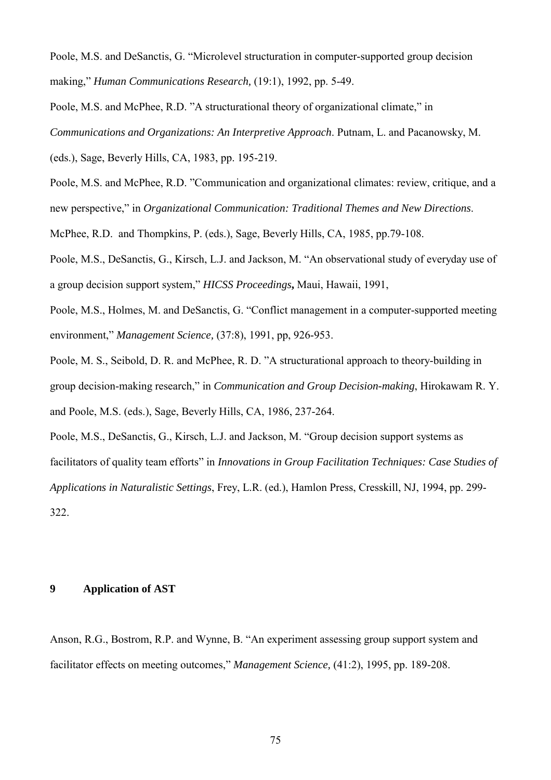Poole, M.S. and DeSanctis, G. "Microlevel structuration in computer-supported group decision making," *Human Communications Research,* (19:1), 1992, pp. 5-49.

Poole, M.S. and McPhee, R.D. "A structurational theory of organizational climate," in *Communications and Organizations: An Interpretive Approach*. Putnam, L. and Pacanowsky, M.

(eds.), Sage, Beverly Hills, CA, 1983, pp. 195-219.

Poole, M.S. and McPhee, R.D. "Communication and organizational climates: review, critique, and a new perspective," in *Organizational Communication: Traditional Themes and New Directions*.

McPhee, R.D. and Thompkins, P. (eds.), Sage, Beverly Hills, CA, 1985, pp.79-108.

Poole, M.S., DeSanctis, G., Kirsch, L.J. and Jackson, M. "An observational study of everyday use of a group decision support system," *HICSS Proceedings***,** Maui, Hawaii, 1991,

Poole, M.S., Holmes, M. and DeSanctis, G. "Conflict management in a computer-supported meeting environment," *Management Science,* (37:8), 1991, pp, 926-953.

Poole, M. S., Seibold, D. R. and McPhee, R. D. "A structurational approach to theory-building in group decision-making research," in *Communication and Group Decision-making*, Hirokawam R. Y. and Poole, M.S. (eds.), Sage, Beverly Hills, CA, 1986, 237-264.

Poole, M.S., DeSanctis, G., Kirsch, L.J. and Jackson, M. "Group decision support systems as facilitators of quality team efforts" in *Innovations in Group Facilitation Techniques: Case Studies of Applications in Naturalistic Settings*, Frey, L.R. (ed.), Hamlon Press, Cresskill, NJ, 1994, pp. 299- 322.

### **9 Application of AST**

Anson, R.G., Bostrom, R.P. and Wynne, B. "An experiment assessing group support system and facilitator effects on meeting outcomes," *Management Science,* (41:2), 1995, pp. 189-208.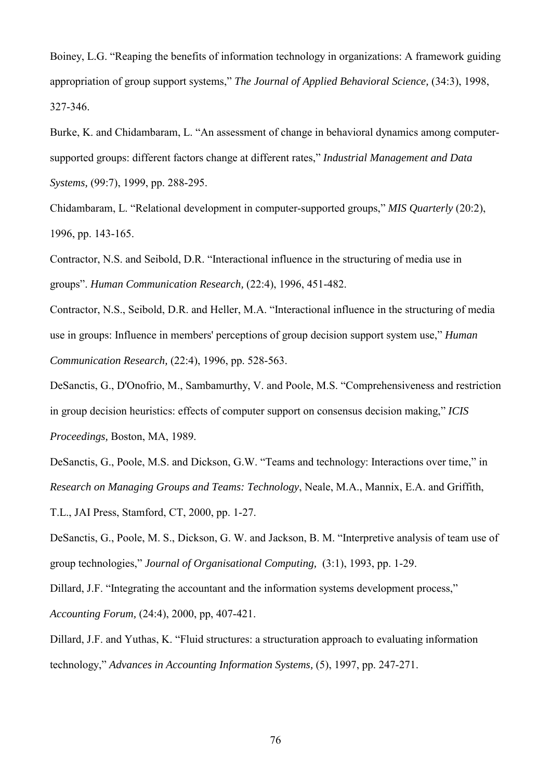Boiney, L.G. "Reaping the benefits of information technology in organizations: A framework guiding appropriation of group support systems," *The Journal of Applied Behavioral Science,* (34:3), 1998, 327-346.

Burke, K. and Chidambaram, L. "An assessment of change in behavioral dynamics among computersupported groups: different factors change at different rates," *Industrial Management and Data Systems,* (99:7), 1999, pp. 288-295.

Chidambaram, L. "Relational development in computer-supported groups," *MIS Quarterly* (20:2), 1996, pp. 143-165.

Contractor, N.S. and Seibold, D.R. "Interactional influence in the structuring of media use in groups". *Human Communication Research,* (22:4), 1996, 451-482.

Contractor, N.S., Seibold, D.R. and Heller, M.A. "Interactional influence in the structuring of media use in groups: Influence in members' perceptions of group decision support system use," *Human Communication Research,* (22:4), 1996, pp. 528-563.

DeSanctis, G., D'Onofrio, M., Sambamurthy, V. and Poole, M.S. "Comprehensiveness and restriction in group decision heuristics: effects of computer support on consensus decision making," *ICIS Proceedings,* Boston, MA, 1989.

DeSanctis, G., Poole, M.S. and Dickson, G.W. "Teams and technology: Interactions over time," in *Research on Managing Groups and Teams: Technology*, Neale, M.A., Mannix, E.A. and Griffith, T.L., JAI Press, Stamford, CT, 2000, pp. 1-27.

DeSanctis, G., Poole, M. S., Dickson, G. W. and Jackson, B. M. "Interpretive analysis of team use of group technologies," *Journal of Organisational Computing,* (3:1), 1993, pp. 1-29.

Dillard, J.F. "Integrating the accountant and the information systems development process," *Accounting Forum,* (24:4), 2000, pp, 407-421.

Dillard, J.F. and Yuthas, K. "Fluid structures: a structuration approach to evaluating information technology," *Advances in Accounting Information Systems,* (5), 1997, pp. 247-271.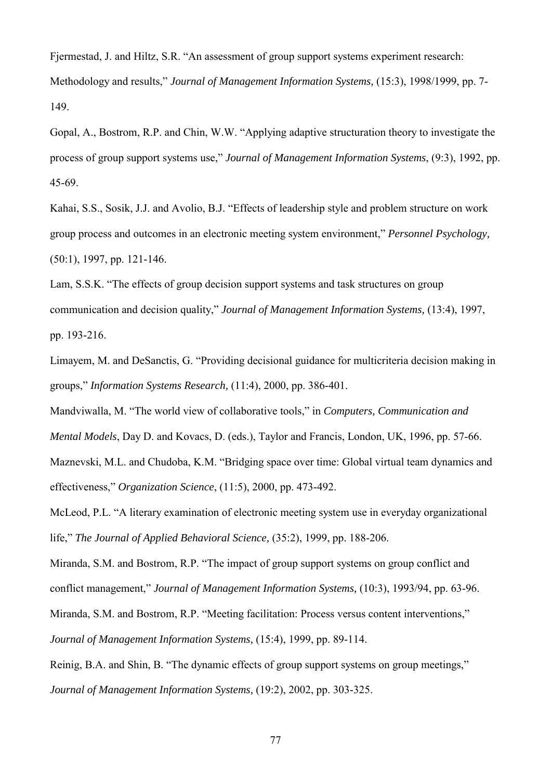Fjermestad, J. and Hiltz, S.R. "An assessment of group support systems experiment research: Methodology and results," *Journal of Management Information Systems,* (15:3), 1998/1999, pp. 7- 149.

Gopal, A., Bostrom, R.P. and Chin, W.W. "Applying adaptive structuration theory to investigate the process of group support systems use," *Journal of Management Information Systems*, (9:3), 1992, pp. 45-69.

Kahai, S.S., Sosik, J.J. and Avolio, B.J. "Effects of leadership style and problem structure on work group process and outcomes in an electronic meeting system environment," *Personnel Psychology,* (50:1), 1997, pp. 121-146.

Lam, S.S.K. "The effects of group decision support systems and task structures on group communication and decision quality," *Journal of Management Information Systems,* (13:4), 1997, pp. 193-216.

Limayem, M. and DeSanctis, G. "Providing decisional guidance for multicriteria decision making in groups," *Information Systems Research,* (11:4), 2000, pp. 386-401.

Mandviwalla, M. "The world view of collaborative tools," in *Computers, Communication and* 

*Mental Models*, Day D. and Kovacs, D. (eds.), Taylor and Francis, London, UK, 1996, pp. 57-66.

Maznevski, M.L. and Chudoba, K.M. "Bridging space over time: Global virtual team dynamics and effectiveness," *Organization Science*, (11:5), 2000, pp. 473-492.

McLeod, P.L. "A literary examination of electronic meeting system use in everyday organizational life," *The Journal of Applied Behavioral Science,* (35:2), 1999, pp. 188-206.

Miranda, S.M. and Bostrom, R.P. "The impact of group support systems on group conflict and conflict management," *Journal of Management Information Systems,* (10:3), 1993/94, pp. 63-96.

Miranda, S.M. and Bostrom, R.P. "Meeting facilitation: Process versus content interventions,"

*Journal of Management Information Systems,* (15:4), 1999, pp. 89-114.

Reinig, B.A. and Shin, B. "The dynamic effects of group support systems on group meetings," *Journal of Management Information Systems,* (19:2), 2002, pp. 303-325.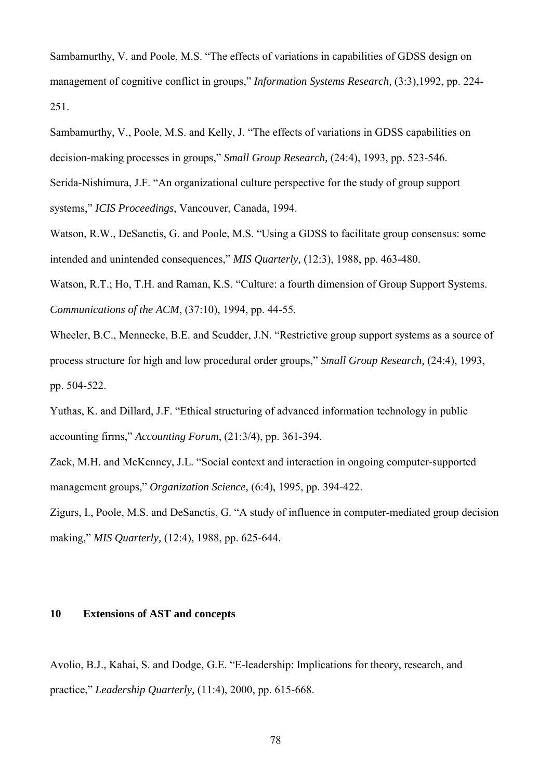Sambamurthy, V. and Poole, M.S. "The effects of variations in capabilities of GDSS design on management of cognitive conflict in groups," *Information Systems Research,* (3:3),1992, pp. 224- 251.

Sambamurthy, V., Poole, M.S. and Kelly, J. "The effects of variations in GDSS capabilities on decision-making processes in groups," *Small Group Research,* (24:4), 1993, pp. 523-546.

Serida-Nishimura, J.F. "An organizational culture perspective for the study of group support systems," *ICIS Proceedings*, Vancouver, Canada, 1994.

Watson, R.W., DeSanctis, G. and Poole, M.S. "Using a GDSS to facilitate group consensus: some intended and unintended consequences," *MIS Quarterly,* (12:3), 1988, pp. 463-480.

Watson, R.T.; Ho, T.H. and Raman, K.S. "Culture: a fourth dimension of Group Support Systems. *Communications of the ACM*, (37:10), 1994, pp. 44-55.

Wheeler, B.C., Mennecke, B.E. and Scudder, J.N. "Restrictive group support systems as a source of process structure for high and low procedural order groups," *Small Group Research,* (24:4), 1993, pp. 504-522.

Yuthas, K. and Dillard, J.F. "Ethical structuring of advanced information technology in public accounting firms," *Accounting Forum*, (21:3/4), pp. 361-394.

Zack, M.H. and McKenney, J.L. "Social context and interaction in ongoing computer-supported management groups," *Organization Science,* (6:4), 1995, pp. 394-422.

Zigurs, I., Poole, M.S. and DeSanctis, G. "A study of influence in computer-mediated group decision making," *MIS Quarterly,* (12:4), 1988, pp. 625-644.

### **10 Extensions of AST and concepts**

Avolio, B.J., Kahai, S. and Dodge, G.E. "E-leadership: Implications for theory, research, and practice," *Leadership Quarterly,* (11:4), 2000, pp. 615-668.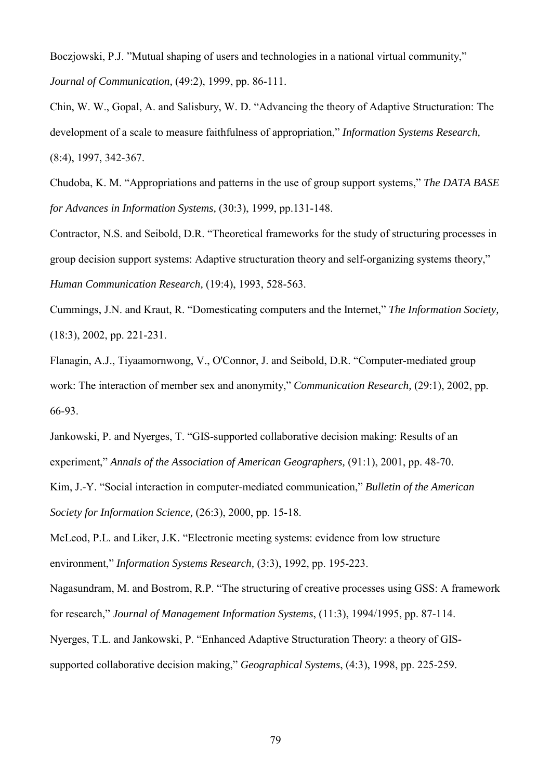Boczjowski, P.J. "Mutual shaping of users and technologies in a national virtual community," *Journal of Communication,* (49:2), 1999, pp. 86-111.

Chin, W. W., Gopal, A. and Salisbury, W. D. "Advancing the theory of Adaptive Structuration: The development of a scale to measure faithfulness of appropriation," *Information Systems Research,* (8:4), 1997, 342-367.

Chudoba, K. M. "Appropriations and patterns in the use of group support systems," *The DATA BASE for Advances in Information Systems,* (30:3), 1999, pp.131-148.

Contractor, N.S. and Seibold, D.R. "Theoretical frameworks for the study of structuring processes in group decision support systems: Adaptive structuration theory and self-organizing systems theory," *Human Communication Research,* (19:4), 1993, 528-563.

Cummings, J.N. and Kraut, R. "Domesticating computers and the Internet," *The Information Society,* (18:3), 2002, pp. 221-231.

Flanagin, A.J., Tiyaamornwong, V., O'Connor, J. and Seibold, D.R. "Computer-mediated group work: The interaction of member sex and anonymity," *Communication Research,* (29:1), 2002, pp. 66-93.

Jankowski, P. and Nyerges, T. "GIS-supported collaborative decision making: Results of an experiment," *Annals of the Association of American Geographers,* (91:1), 2001, pp. 48-70.

Kim, J.-Y. "Social interaction in computer-mediated communication," *Bulletin of the American Society for Information Science,* (26:3), 2000, pp. 15-18.

McLeod, P.L. and Liker, J.K. "Electronic meeting systems: evidence from low structure environment," *Information Systems Research,* (3:3), 1992, pp. 195-223.

Nagasundram, M. and Bostrom, R.P. "The structuring of creative processes using GSS: A framework for research," *Journal of Management Information Systems*, (11:3), 1994/1995, pp. 87-114.

Nyerges, T.L. and Jankowski, P. "Enhanced Adaptive Structuration Theory: a theory of GISsupported collaborative decision making," *Geographical Systems*, (4:3), 1998, pp. 225-259.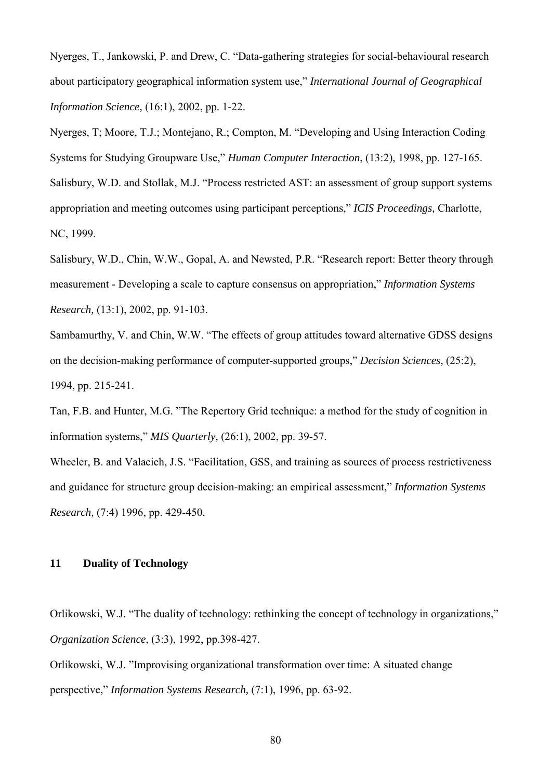Nyerges, T., Jankowski, P. and Drew, C. "Data-gathering strategies for social-behavioural research about participatory geographical information system use," *International Journal of Geographical Information Science,* (16:1), 2002, pp. 1-22.

Nyerges, T; Moore, T.J.; Montejano, R.; Compton, M. "Developing and Using Interaction Coding Systems for Studying Groupware Use," *Human Computer Interaction*, (13:2), 1998, pp. 127-165. Salisbury, W.D. and Stollak, M.J. "Process restricted AST: an assessment of group support systems appropriation and meeting outcomes using participant perceptions," *ICIS Proceedings,* Charlotte, NC, 1999.

Salisbury, W.D., Chin, W.W., Gopal, A. and Newsted, P.R. "Research report: Better theory through measurement - Developing a scale to capture consensus on appropriation," *Information Systems Research,* (13:1), 2002, pp. 91-103.

Sambamurthy, V. and Chin, W.W. "The effects of group attitudes toward alternative GDSS designs on the decision-making performance of computer-supported groups," *Decision Sciences,* (25:2), 1994, pp. 215-241.

Tan, F.B. and Hunter, M.G. "The Repertory Grid technique: a method for the study of cognition in information systems," *MIS Quarterly,* (26:1), 2002, pp. 39-57.

Wheeler, B. and Valacich, J.S. "Facilitation, GSS, and training as sources of process restrictiveness and guidance for structure group decision-making: an empirical assessment," *Information Systems Research,* (7:4) 1996, pp. 429-450.

### **11 Duality of Technology**

Orlikowski, W.J. "The duality of technology: rethinking the concept of technology in organizations," *Organization Science*, (3:3), 1992, pp.398-427.

Orlikowski, W.J. "Improvising organizational transformation over time: A situated change perspective," *Information Systems Research,* (7:1), 1996, pp. 63-92.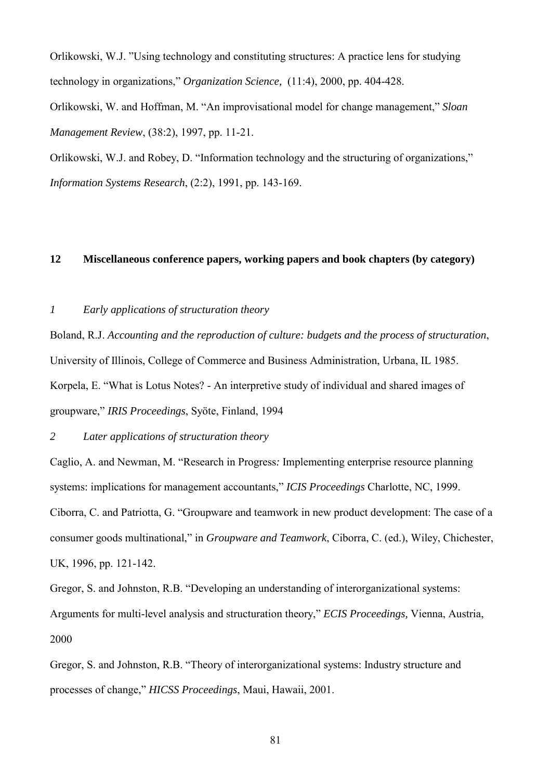Orlikowski, W.J. "Using technology and constituting structures: A practice lens for studying technology in organizations," *Organization Science,* (11:4), 2000, pp. 404-428.

Orlikowski, W. and Hoffman, M. "An improvisational model for change management," *Sloan Management Review*, (38:2), 1997, pp. 11-21.

Orlikowski, W.J. and Robey, D. "Information technology and the structuring of organizations," *Information Systems Research*, (2:2), 1991, pp. 143-169.

# **12 Miscellaneous conference papers, working papers and book chapters (by category)**

## *1 Early applications of structuration theory*

Boland, R.J. *Accounting and the reproduction of culture: budgets and the process of structuration*, University of Illinois, College of Commerce and Business Administration, Urbana, IL 1985. Korpela, E. "What is Lotus Notes? - An interpretive study of individual and shared images of groupware," *IRIS Proceedings*, Syöte, Finland, 1994

## *2 Later applications of structuration theory*

Caglio, A. and Newman, M. "Research in Progress*:* Implementing enterprise resource planning systems: implications for management accountants," *ICIS Proceedings* Charlotte, NC, 1999. Ciborra, C. and Patriotta, G. "Groupware and teamwork in new product development: The case of a consumer goods multinational," in *Groupware and Teamwork*, Ciborra, C. (ed.), Wiley, Chichester, UK, 1996, pp. 121-142.

Gregor, S. and Johnston, R.B. "Developing an understanding of interorganizational systems: Arguments for multi-level analysis and structuration theory," *ECIS Proceedings,* Vienna, Austria, 2000

Gregor, S. and Johnston, R.B. "Theory of interorganizational systems: Industry structure and processes of change," *HICSS Proceedings*, Maui, Hawaii, 2001.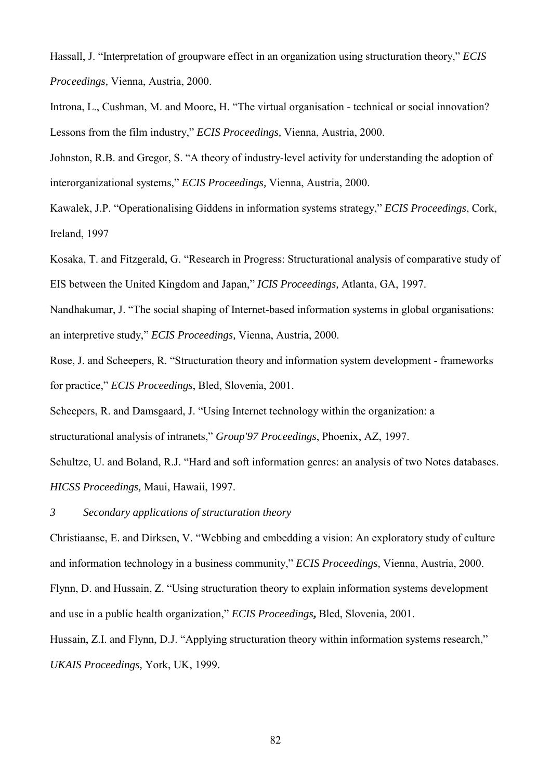Hassall, J. "Interpretation of groupware effect in an organization using structuration theory," *ECIS Proceedings,* Vienna, Austria, 2000.

Introna, L., Cushman, M. and Moore, H. "The virtual organisation - technical or social innovation? Lessons from the film industry," *ECIS Proceedings,* Vienna, Austria, 2000.

Johnston, R.B. and Gregor, S. "A theory of industry-level activity for understanding the adoption of interorganizational systems," *ECIS Proceedings,* Vienna, Austria, 2000.

Kawalek, J.P. "Operationalising Giddens in information systems strategy," *ECIS Proceedings*, Cork, Ireland, 1997

Kosaka, T. and Fitzgerald, G. "Research in Progress: Structurational analysis of comparative study of EIS between the United Kingdom and Japan," *ICIS Proceedings,* Atlanta, GA, 1997.

Nandhakumar, J. "The social shaping of Internet-based information systems in global organisations: an interpretive study," *ECIS Proceedings,* Vienna, Austria, 2000.

Rose, J. and Scheepers, R. "Structuration theory and information system development - frameworks for practice," *ECIS Proceedings*, Bled, Slovenia, 2001.

Scheepers, R. and Damsgaard, J. "Using Internet technology within the organization: a

structurational analysis of intranets," *Group'97 Proceedings*, Phoenix, AZ, 1997.

Schultze, U. and Boland, R.J. "Hard and soft information genres: an analysis of two Notes databases. *HICSS Proceedings,* Maui, Hawaii, 1997.

*3 Secondary applications of structuration theory* 

Christiaanse, E. and Dirksen, V. "Webbing and embedding a vision: An exploratory study of culture and information technology in a business community," *ECIS Proceedings,* Vienna, Austria, 2000.

Flynn, D. and Hussain, Z. "Using structuration theory to explain information systems development and use in a public health organization," *ECIS Proceedings***,** Bled, Slovenia, 2001.

Hussain, Z.I. and Flynn, D.J. "Applying structuration theory within information systems research," *UKAIS Proceedings,* York, UK, 1999.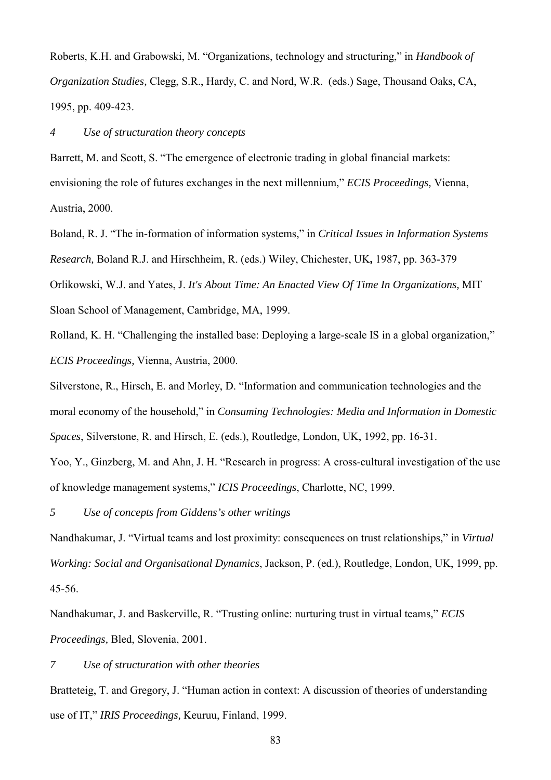Roberts, K.H. and Grabowski, M. "Organizations, technology and structuring," in *Handbook of Organization Studies,* Clegg, S.R., Hardy, C. and Nord, W.R. (eds.) Sage, Thousand Oaks, CA, 1995, pp. 409-423.

#### *4 Use of structuration theory concepts*

Barrett, M. and Scott, S. "The emergence of electronic trading in global financial markets: envisioning the role of futures exchanges in the next millennium," *ECIS Proceedings,* Vienna, Austria, 2000.

Boland, R. J. "The in-formation of information systems," in *Critical Issues in Information Systems Research,* Boland R.J. and Hirschheim, R. (eds.) Wiley, Chichester, UK**,** 1987, pp. 363-379 Orlikowski, W.J. and Yates, J. *It's About Time: An Enacted View Of Time In Organizations,* MIT Sloan School of Management, Cambridge, MA, 1999.

Rolland, K. H. "Challenging the installed base: Deploying a large-scale IS in a global organization," *ECIS Proceedings,* Vienna, Austria, 2000.

Silverstone, R., Hirsch, E. and Morley, D. "Information and communication technologies and the moral economy of the household," in *Consuming Technologies: Media and Information in Domestic* 

*Spaces*, Silverstone, R. and Hirsch, E. (eds.), Routledge, London, UK, 1992, pp. 16-31.

Yoo, Y., Ginzberg, M. and Ahn, J. H. "Research in progress: A cross-cultural investigation of the use of knowledge management systems," *ICIS Proceedings*, Charlotte, NC, 1999.

*5 Use of concepts from Giddens's other writings*

Nandhakumar, J. "Virtual teams and lost proximity: consequences on trust relationships," in *Virtual Working: Social and Organisational Dynamics*, Jackson, P. (ed.), Routledge, London, UK, 1999, pp. 45-56.

Nandhakumar, J. and Baskerville, R. "Trusting online: nurturing trust in virtual teams," *ECIS Proceedings,* Bled, Slovenia, 2001.

*7 Use of structuration with other theories* 

Bratteteig, T. and Gregory, J. "Human action in context: A discussion of theories of understanding use of IT," *IRIS Proceedings,* Keuruu, Finland, 1999.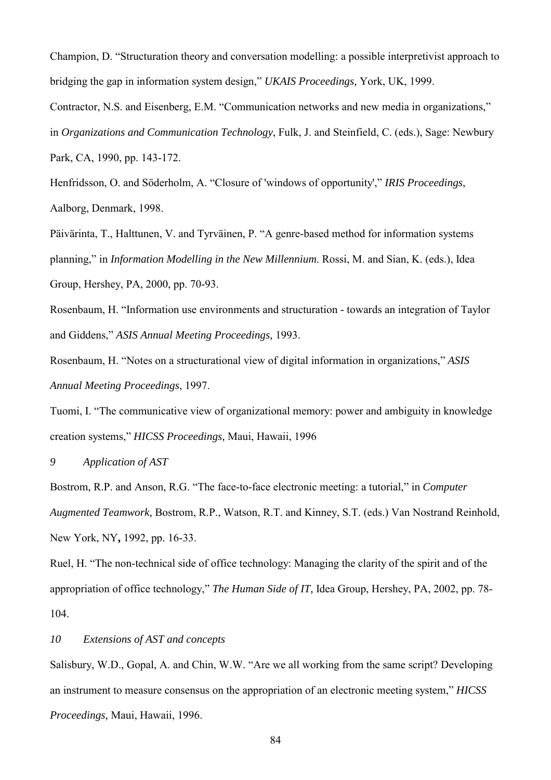Champion, D. "Structuration theory and conversation modelling: a possible interpretivist approach to bridging the gap in information system design," *UKAIS Proceedings,* York, UK, 1999.

Contractor, N.S. and Eisenberg, E.M. "Communication networks and new media in organizations,"

in *Organizations and Communication Technology*, Fulk, J. and Steinfield, C. (eds.), Sage: Newbury

Park, CA, 1990, pp. 143-172.

Henfridsson, O. and Söderholm, A. "Closure of 'windows of opportunity'," *IRIS Proceedings*, Aalborg, Denmark, 1998.

Päivärinta, T., Halttunen, V. and Tyrväinen, P. "A genre-based method for information systems planning," in *Information Modelling in the New Millennium*. Rossi, M. and Sian, K. (eds.), Idea Group, Hershey, PA, 2000, pp. 70-93.

Rosenbaum, H. "Information use environments and structuration - towards an integration of Taylor and Giddens," *ASIS Annual Meeting Proceedings,* 1993.

Rosenbaum, H. "Notes on a structurational view of digital information in organizations," *ASIS Annual Meeting Proceedings*, 1997.

Tuomi, I. "The communicative view of organizational memory: power and ambiguity in knowledge creation systems," *HICSS Proceedings,* Maui, Hawaii, 1996

*9 Application of AST* 

Bostrom, R.P. and Anson, R.G. "The face-to-face electronic meeting: a tutorial," in *Computer Augmented Teamwork,* Bostrom, R.P., Watson, R.T. and Kinney, S.T. (eds.) Van Nostrand Reinhold, New York, NY**,** 1992, pp. 16-33.

Ruel, H. "The non-technical side of office technology: Managing the clarity of the spirit and of the appropriation of office technology," *The Human Side of IT,* Idea Group, Hershey, PA, 2002, pp. 78- 104.

*10 Extensions of AST and concepts* 

Salisbury, W.D., Gopal, A. and Chin, W.W. "Are we all working from the same script? Developing an instrument to measure consensus on the appropriation of an electronic meeting system," *HICSS Proceedings,* Maui, Hawaii, 1996.